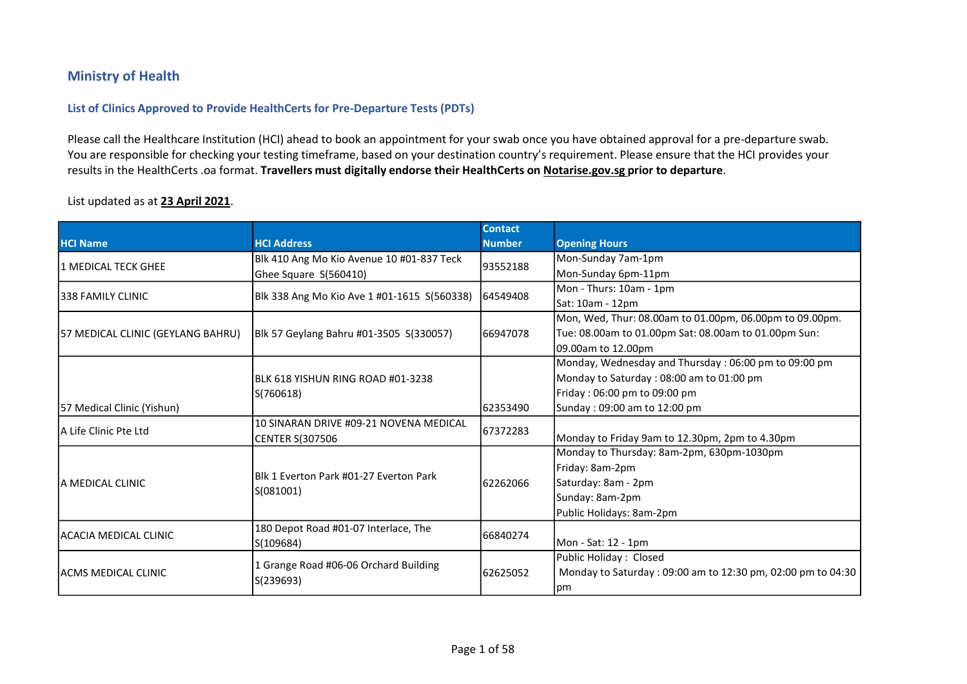## Ministry of Health

## List of Clinics Approved to Provide HealthCerts for Pre-Departure Tests (PDTs)

Ministry of Health<br>Please call the Healthcare Institution (HCI) ahead to book an appointment for your swab once you have obtained approval for a pre-departure swab.<br>You are responsible for checking your testing timeframe, Version Commistry of Health<br>
List of Clinics Approved to Provide HealthCerts for Pre-Departure Tests (PDTs)<br>
Please call the Healthcare Institution (HCI) ahead to book an appointment for your swab once you have obtained ap results in the HealthCerts .oa format. Travellers must digitally endorse their HealthCerts on Notarise.gov.sg prior to departure.

## List updated as at 23 April 2021.

|                                   |                                                     | <b>Contact</b> |                                                             |
|-----------------------------------|-----------------------------------------------------|----------------|-------------------------------------------------------------|
| <b>HCI Name</b>                   | <b>HCI Address</b>                                  | <b>Number</b>  | <b>Opening Hours</b>                                        |
| 1 MEDICAL TECK GHEE               | Blk 410 Ang Mo Kio Avenue 10 #01-837 Teck           | 93552188       | Mon-Sunday 7am-1pm                                          |
|                                   | Ghee Square S(560410)                               |                | Mon-Sunday 6pm-11pm                                         |
| 1338 FAMILY CLINIC                | Blk 338 Ang Mo Kio Ave 1 #01-1615 S(560338)         | 64549408       | Mon - Thurs: 10am - 1pm                                     |
|                                   |                                                     |                | Sat: 10am - 12pm                                            |
|                                   |                                                     |                | Mon, Wed, Thur: 08.00am to 01.00pm, 06.00pm to 09.00pm.     |
| 57 MEDICAL CLINIC (GEYLANG BAHRU) | Blk 57 Geylang Bahru #01-3505 S(330057)             | 66947078       | Tue: 08.00am to 01.00pm Sat: 08.00am to 01.00pm Sun:        |
|                                   |                                                     |                | 09.00am to 12.00pm                                          |
|                                   |                                                     |                | Monday, Wednesday and Thursday: 06:00 pm to 09:00 pm        |
|                                   | IBLK 618 YISHUN RING ROAD #01-3238                  |                | Monday to Saturday : 08:00 am to 01:00 pm                   |
|                                   | S(760618)                                           |                | Friday: 06:00 pm to 09:00 pm                                |
| 57 Medical Clinic (Yishun)        |                                                     | 62353490       | Sunday: 09:00 am to 12:00 pm                                |
| IA Life Clinic Pte Ltd            | 10 SINARAN DRIVE #09-21 NOVENA MEDICAL              | 67372283       |                                                             |
|                                   | <b>CENTER S(307506</b>                              |                | Monday to Friday 9am to 12.30pm, 2pm to 4.30pm              |
|                                   |                                                     |                | Monday to Thursday: 8am-2pm, 630pm-1030pm                   |
|                                   | Blk 1 Everton Park #01-27 Everton Park<br>S(081001) | 62262066       | Friday: 8am-2pm                                             |
| IA MEDICAL CLINIC                 |                                                     |                | Saturday: 8am - 2pm                                         |
|                                   |                                                     |                | Sunday: 8am-2pm                                             |
|                                   |                                                     |                | Public Holidays: 8am-2pm                                    |
| IACACIA MEDICAL CLINIC            | 180 Depot Road #01-07 Interlace, The                | 66840274       |                                                             |
|                                   | S(109684)                                           |                | Mon - Sat: 12 - 1pm                                         |
|                                   |                                                     |                | Public Holiday: Closed                                      |
| IACMS MEDICAL CLINIC              | 1 Grange Road #06-06 Orchard Building<br>S(239693)  | 62625052       | Monday to Saturday: 09:00 am to 12:30 pm, 02:00 pm to 04:30 |
|                                   |                                                     |                | pm                                                          |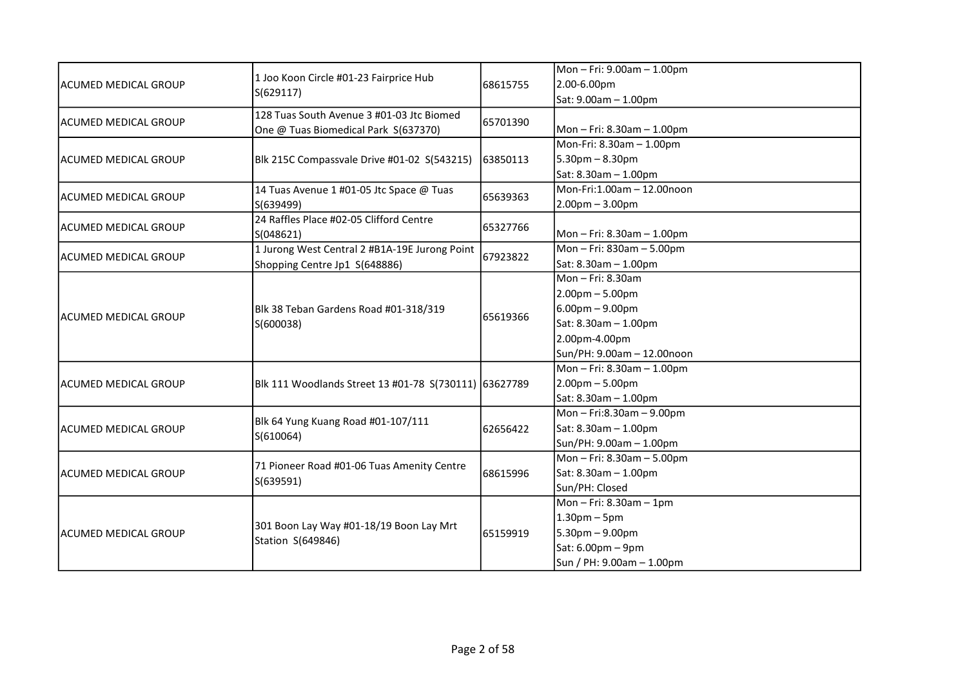| ACUMED MEDICAL GROUP        | 1 Joo Koon Circle #01-23 Fairprice Hub                       | 68615755 | Mon-Fri: 9.00am-1.00pm      |
|-----------------------------|--------------------------------------------------------------|----------|-----------------------------|
|                             |                                                              |          | 2.00-6.00pm                 |
|                             | S(629117)                                                    |          | Sat: 9.00am - 1.00pm        |
|                             | 128 Tuas South Avenue 3 #01-03 Jtc Biomed                    |          |                             |
| lacumed medical GROUP       | One @ Tuas Biomedical Park S(637370)                         | 65701390 | Mon-Fri: 8.30am-1.00pm      |
|                             |                                                              |          | Mon-Fri: 8.30am - 1.00pm    |
| lACUMED MEDICAL GROUP       | Blk 215C Compassvale Drive #01-02 S(543215)                  | 63850113 | $5.30$ pm $- 8.30$ pm       |
|                             |                                                              |          | Sat: 8.30am - 1.00pm        |
|                             | 14 Tuas Avenue 1 #01-05 Jtc Space @ Tuas                     |          | Mon-Fri:1.00am - 12.00noon  |
| ACUMED MEDICAL GROUP        | S(639499)                                                    | 65639363 | $2.00pm - 3.00pm$           |
| <b>ACUMED MEDICAL GROUP</b> | 24 Raffles Place #02-05 Clifford Centre                      | 65327766 |                             |
|                             | S(048621)                                                    |          | Mon-Fri: 8.30am-1.00pm      |
|                             | 1 Jurong West Central 2 #B1A-19E Jurong Point                | 67923822 | Mon-Fri: 830am-5.00pm       |
| ACUMED MEDICAL GROUP        | Shopping Centre Jp1 S(648886)                                |          | Sat: 8.30am - 1.00pm        |
|                             | Blk 38 Teban Gardens Road #01-318/319<br>S(600038)           |          | Mon-Fri: 8.30am             |
|                             |                                                              | 65619366 | $2.00pm - 5.00pm$           |
|                             |                                                              |          | $6.00$ pm – 9.00pm          |
| lacumed medical GROUP       |                                                              |          | Sat: 8.30am - 1.00pm        |
|                             |                                                              |          | 2.00pm-4.00pm               |
|                             |                                                              |          | Sun/PH: 9.00am - 12.00noon  |
|                             | Blk 111 Woodlands Street 13 #01-78 S(730111) 63627789        |          | Mon-Fri: 8.30am-1.00pm      |
| lacumed medical GROUP       |                                                              |          | $2.00pm - 5.00pm$           |
|                             |                                                              |          | Sat: 8.30am - 1.00pm        |
|                             | Blk 64 Yung Kuang Road #01-107/111<br>S(610064)              | 62656422 | Mon-Fri:8.30am-9.00pm       |
| ACUMED MEDICAL GROUP        |                                                              |          | Sat: 8.30am - 1.00pm        |
|                             |                                                              |          | Sun/PH: 9.00am - 1.00pm     |
|                             |                                                              |          | Mon-Fri: 8.30am-5.00pm      |
| lacumed medical GROUP       | 71 Pioneer Road #01-06 Tuas Amenity Centre                   | 68615996 | Sat: 8.30am - 1.00pm        |
|                             | S(639591)                                                    |          | Sun/PH: Closed              |
|                             |                                                              |          | Mon $-$ Fri: 8.30am $-$ 1pm |
| ACUMED MEDICAL GROUP        | 301 Boon Lay Way #01-18/19 Boon Lay Mrt<br>Station S(649846) | 65159919 | $1.30pm - 5pm$              |
|                             |                                                              |          | $5.30$ pm - 9.00pm          |
|                             |                                                              |          | Sat: 6.00pm - 9pm           |
|                             |                                                              |          | Sun / PH: 9.00am - 1.00pm   |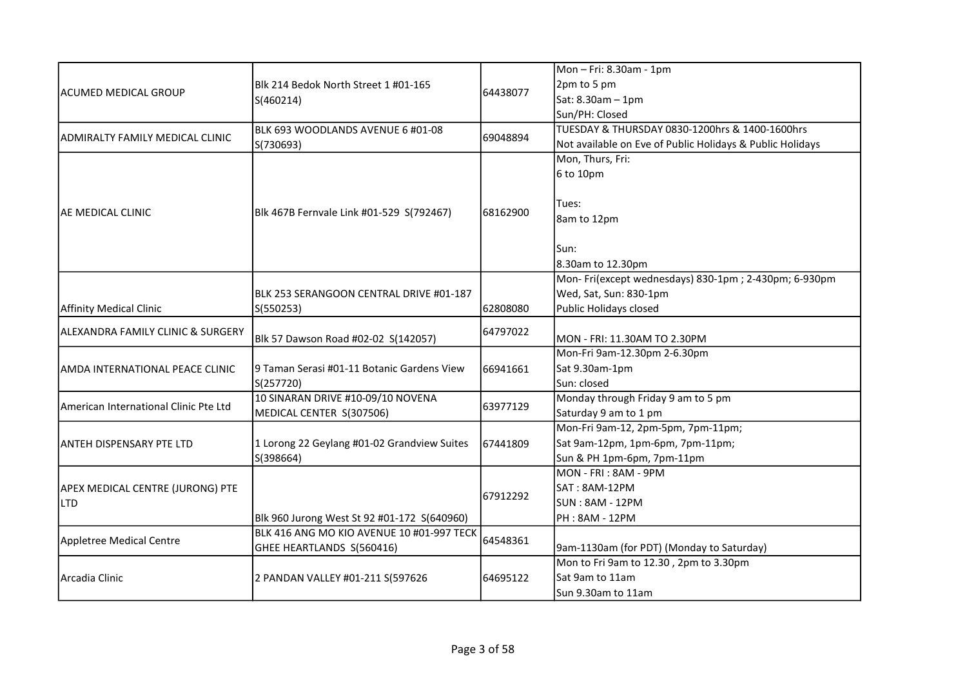|                                        |                                                               |          | Mon-Fri: 8.30am - 1pm                                     |
|----------------------------------------|---------------------------------------------------------------|----------|-----------------------------------------------------------|
| IACUMED MEDICAL GROUP                  | Blk 214 Bedok North Street 1 #01-165                          |          | 2pm to 5 pm                                               |
|                                        | S(460214)                                                     | 64438077 | Sat: 8.30am - 1pm                                         |
|                                        |                                                               |          | Sun/PH: Closed                                            |
|                                        | BLK 693 WOODLANDS AVENUE 6 #01-08                             |          | TUESDAY & THURSDAY 0830-1200hrs & 1400-1600hrs            |
| ADMIRALTY FAMILY MEDICAL CLINIC        | S(730693)                                                     | 69048894 | Not available on Eve of Public Holidays & Public Holidays |
|                                        |                                                               |          | Mon, Thurs, Fri:                                          |
|                                        |                                                               |          | 6 to 10pm                                                 |
|                                        |                                                               |          |                                                           |
|                                        |                                                               |          | Tues:                                                     |
| <b>AE MEDICAL CLINIC</b>               | Blk 467B Fernvale Link #01-529 S(792467)                      | 68162900 | 8am to 12pm                                               |
|                                        |                                                               |          |                                                           |
|                                        |                                                               |          | Sun:                                                      |
|                                        |                                                               |          | 8.30am to 12.30pm                                         |
|                                        |                                                               |          | Mon-Fri(except wednesdays) 830-1pm; 2-430pm; 6-930pm      |
|                                        | BLK 253 SERANGOON CENTRAL DRIVE #01-187                       |          | Wed, Sat, Sun: 830-1pm                                    |
| <b>Affinity Medical Clinic</b>         | S(550253)                                                     | 62808080 | Public Holidays closed                                    |
| ALEXANDRA FAMILY CLINIC & SURGERY      |                                                               | 64797022 |                                                           |
|                                        | Blk 57 Dawson Road #02-02 S(142057)                           |          | MON - FRI: 11.30AM TO 2.30PM                              |
|                                        |                                                               |          | Mon-Fri 9am-12.30pm 2-6.30pm                              |
| AMDA INTERNATIONAL PEACE CLINIC        | 9 Taman Serasi #01-11 Botanic Gardens View                    | 66941661 | Sat 9.30am-1pm                                            |
|                                        | S(257720)                                                     |          | Sun: closed                                               |
| lAmerican International Clinic Pte Ltd | 10 SINARAN DRIVE #10-09/10 NOVENA<br>MEDICAL CENTER S(307506) | 63977129 | Monday through Friday 9 am to 5 pm                        |
|                                        |                                                               |          | Saturday 9 am to 1 pm                                     |
|                                        |                                                               |          | Mon-Fri 9am-12, 2pm-5pm, 7pm-11pm;                        |
| IANTEH DISPENSARY PTE LTD              | 1 Lorong 22 Geylang #01-02 Grandview Suites<br>S(398664)      | 67441809 | Sat 9am-12pm, 1pm-6pm, 7pm-11pm;                          |
|                                        |                                                               |          | Sun & PH 1pm-6pm, 7pm-11pm                                |
|                                        |                                                               |          | MON - FRI : 8AM - 9PM                                     |
| APEX MEDICAL CENTRE (JURONG) PTE       |                                                               | 67912292 | SAT: 8AM-12PM                                             |
| <b>LTD</b>                             |                                                               |          | <b>SUN: 8AM - 12PM</b>                                    |
|                                        | Blk 960 Jurong West St 92 #01-172 S(640960)                   |          | PH: 8AM - 12PM                                            |
| Appletree Medical Centre               | BLK 416 ANG MO KIO AVENUE 10 #01-997 TECK                     | 64548361 |                                                           |
|                                        | GHEE HEARTLANDS S(560416)                                     |          | 9am-1130am (for PDT) (Monday to Saturday)                 |
|                                        |                                                               |          | Mon to Fri 9am to 12.30, 2pm to 3.30pm                    |
| Arcadia Clinic                         | 2 PANDAN VALLEY #01-211 S(597626                              | 64695122 | Sat 9am to 11am                                           |
|                                        |                                                               |          | Sun 9.30am to 11am                                        |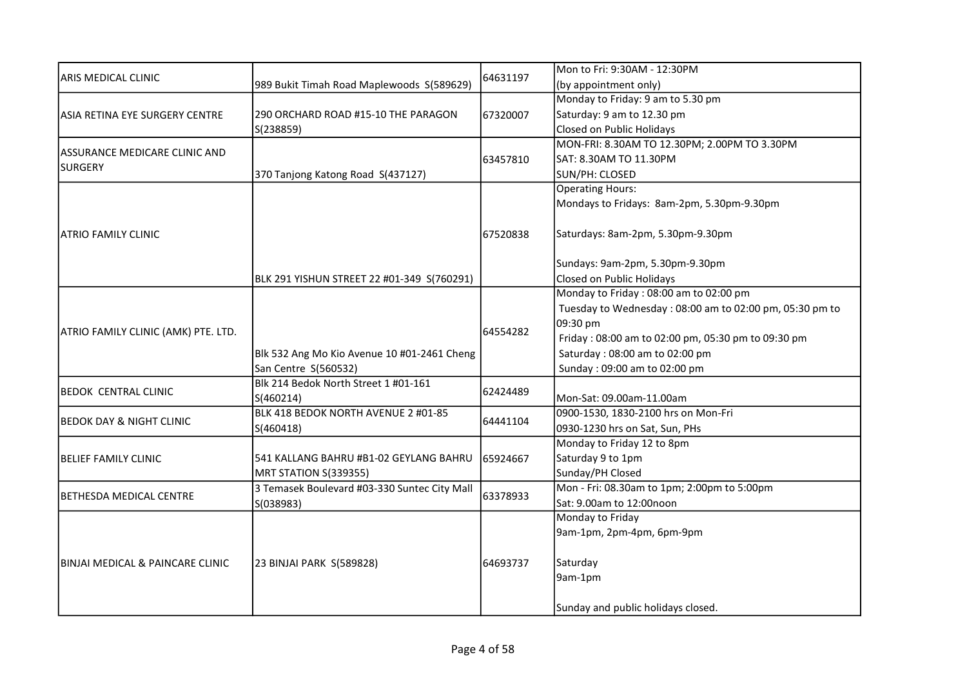| ARIS MEDICAL CLINIC                 | 989 Bukit Timah Road Maplewoods S(589629)    | 64631197 | Mon to Fri: 9:30AM - 12:30PM                            |
|-------------------------------------|----------------------------------------------|----------|---------------------------------------------------------|
|                                     |                                              |          | (by appointment only)                                   |
|                                     |                                              |          | Monday to Friday: 9 am to 5.30 pm                       |
| ASIA RETINA EYE SURGERY CENTRE      | 290 ORCHARD ROAD #15-10 THE PARAGON          | 67320007 | Saturday: 9 am to 12.30 pm                              |
|                                     | S(238859)                                    |          | Closed on Public Holidays                               |
|                                     |                                              |          | MON-FRI: 8.30AM TO 12.30PM; 2.00PM TO 3.30PM            |
| ASSURANCE MEDICARE CLINIC AND       |                                              | 63457810 | SAT: 8.30AM TO 11.30PM                                  |
| <b>SURGERY</b>                      | 370 Tanjong Katong Road S(437127)            |          | SUN/PH: CLOSED                                          |
|                                     |                                              |          | <b>Operating Hours:</b>                                 |
|                                     |                                              |          | Mondays to Fridays: 8am-2pm, 5.30pm-9.30pm              |
|                                     |                                              |          |                                                         |
| <b>ATRIO FAMILY CLINIC</b>          |                                              | 67520838 | Saturdays: 8am-2pm, 5.30pm-9.30pm                       |
|                                     |                                              |          |                                                         |
|                                     |                                              |          | Sundays: 9am-2pm, 5.30pm-9.30pm                         |
|                                     | BLK 291 YISHUN STREET 22 #01-349 S(760291)   |          | Closed on Public Holidays                               |
|                                     |                                              |          | Monday to Friday: 08:00 am to 02:00 pm                  |
|                                     |                                              |          | Tuesday to Wednesday: 08:00 am to 02:00 pm, 05:30 pm to |
| ATRIO FAMILY CLINIC (AMK) PTE. LTD. |                                              | 64554282 | 09:30 pm                                                |
|                                     |                                              |          | Friday: 08:00 am to 02:00 pm, 05:30 pm to 09:30 pm      |
|                                     | Blk 532 Ang Mo Kio Avenue 10 #01-2461 Cheng  |          | Saturday: 08:00 am to 02:00 pm                          |
|                                     | San Centre S(560532)                         |          | Sunday: 09:00 am to 02:00 pm                            |
| <b>BEDOK CENTRAL CLINIC</b>         | Blk 214 Bedok North Street 1 #01-161         | 62424489 |                                                         |
|                                     | S(460214)                                    |          | Mon-Sat: 09.00am-11.00am                                |
| <b>BEDOK DAY &amp; NIGHT CLINIC</b> | BLK 418 BEDOK NORTH AVENUE 2 #01-85          | 64441104 | 0900-1530, 1830-2100 hrs on Mon-Fri                     |
|                                     | S(460418)                                    |          | 0930-1230 hrs on Sat, Sun, PHs                          |
|                                     |                                              |          | Monday to Friday 12 to 8pm                              |
| <b>BELIEF FAMILY CLINIC</b>         | 541 KALLANG BAHRU #B1-02 GEYLANG BAHRU       | 65924667 | Saturday 9 to 1pm                                       |
|                                     | MRT STATION S(339355)                        |          | Sunday/PH Closed                                        |
| <b>BETHESDA MEDICAL CENTRE</b>      | 3 Temasek Boulevard #03-330 Suntec City Mall | 63378933 | Mon - Fri: 08.30am to 1pm; 2:00pm to 5:00pm             |
|                                     | S(038983)                                    |          | Sat: 9.00am to 12:00noon                                |
| IBINJAI MEDICAL & PAINCARE CLINIC   |                                              |          | Monday to Friday                                        |
|                                     |                                              |          | 9am-1pm, 2pm-4pm, 6pm-9pm                               |
|                                     |                                              |          |                                                         |
|                                     | 23 BINJAI PARK S(589828)                     | 64693737 | Saturday                                                |
|                                     |                                              |          | 9am-1pm                                                 |
|                                     |                                              |          | Sunday and public holidays closed.                      |
|                                     |                                              |          |                                                         |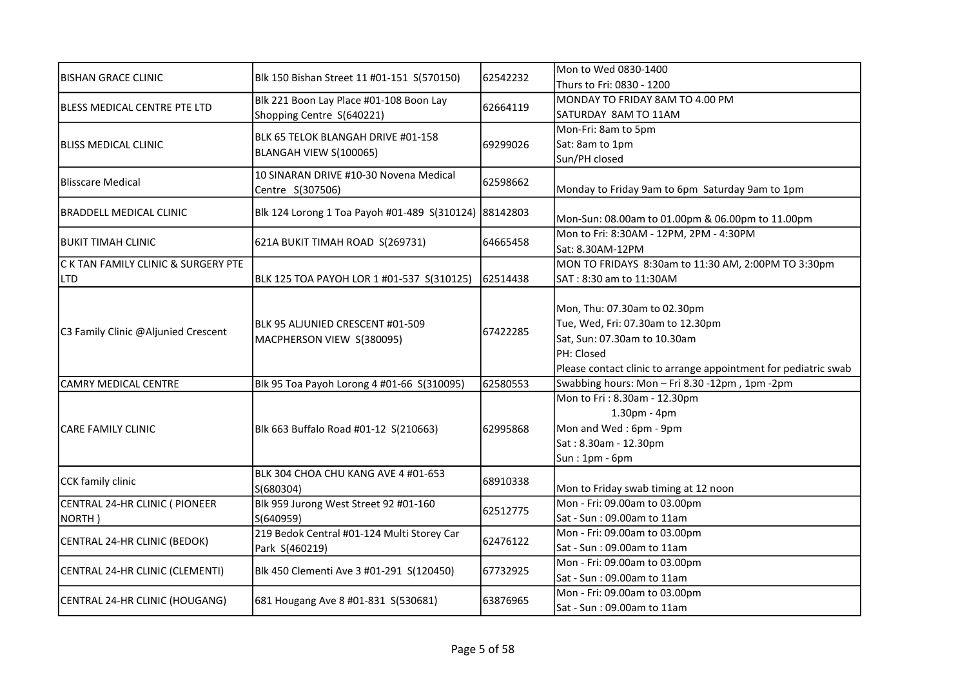| <b>BISHAN GRACE CLINIC</b>          | Blk 150 Bishan Street 11 #01-151 S(570150)                    | 62542232 | Mon to Wed 0830-1400                                            |
|-------------------------------------|---------------------------------------------------------------|----------|-----------------------------------------------------------------|
|                                     |                                                               |          | Thurs to Fri: 0830 - 1200                                       |
| <b>BLESS MEDICAL CENTRE PTE LTD</b> | Blk 221 Boon Lay Place #01-108 Boon Lay                       | 62664119 | MONDAY TO FRIDAY 8AM TO 4.00 PM                                 |
|                                     | Shopping Centre S(640221)                                     |          | SATURDAY 8AM TO 11AM                                            |
|                                     | BLK 65 TELOK BLANGAH DRIVE #01-158                            |          | Mon-Fri: 8am to 5pm                                             |
| <b>BLISS MEDICAL CLINIC</b>         | BLANGAH VIEW S(100065)                                        | 69299026 | Sat: 8am to 1pm                                                 |
|                                     |                                                               |          | Sun/PH closed                                                   |
| <b>Blisscare Medical</b>            | 10 SINARAN DRIVE #10-30 Novena Medical                        | 62598662 |                                                                 |
|                                     | Centre S(307506)                                              |          | Monday to Friday 9am to 6pm Saturday 9am to 1pm                 |
| <b>BRADDELL MEDICAL CLINIC</b>      | Blk 124 Lorong 1 Toa Payoh #01-489 S(310124) 88142803         |          |                                                                 |
|                                     |                                                               |          | Mon-Sun: 08.00am to 01.00pm & 06.00pm to 11.00pm                |
| <b>BUKIT TIMAH CLINIC</b>           | 621A BUKIT TIMAH ROAD S(269731)                               | 64665458 | Mon to Fri: 8:30AM - 12PM, 2PM - 4:30PM                         |
|                                     |                                                               |          | Sat: 8.30AM-12PM                                                |
| C K TAN FAMILY CLINIC & SURGERY PTE |                                                               |          | MON TO FRIDAYS 8:30am to 11:30 AM, 2:00PM TO 3:30pm             |
| <b>LTD</b>                          | BLK 125 TOA PAYOH LOR 1 #01-537 S(310125)                     | 62514438 | SAT: 8:30 am to 11:30AM                                         |
|                                     |                                                               |          |                                                                 |
| C3 Family Clinic @Aljunied Crescent | BLK 95 ALJUNIED CRESCENT #01-509<br>MACPHERSON VIEW S(380095) |          | Mon, Thu: 07.30am to 02.30pm                                    |
|                                     |                                                               | 67422285 | Tue, Wed, Fri: 07.30am to 12.30pm                               |
|                                     |                                                               |          | Sat, Sun: 07.30am to 10.30am                                    |
|                                     |                                                               |          | PH: Closed                                                      |
|                                     |                                                               |          | Please contact clinic to arrange appointment for pediatric swab |
| <b>CAMRY MEDICAL CENTRE</b>         | Blk 95 Toa Payoh Lorong 4 #01-66 S(310095)                    | 62580553 | Swabbing hours: Mon - Fri 8.30 -12pm, 1pm -2pm                  |
|                                     |                                                               |          | Mon to Fri: 8.30am - 12.30pm                                    |
|                                     | Blk 663 Buffalo Road #01-12 S(210663)                         | 62995868 | 1.30pm - 4pm                                                    |
| ICARE FAMILY CLINIC                 |                                                               |          | Mon and Wed: 6pm - 9pm                                          |
|                                     |                                                               |          | Sat: 8.30am - 12.30pm                                           |
|                                     |                                                               |          | Sun: 1pm - 6pm                                                  |
| CCK family clinic                   | BLK 304 CHOA CHU KANG AVE 4 #01-653                           | 68910338 |                                                                 |
|                                     | S(680304)                                                     |          | Mon to Friday swab timing at 12 noon                            |
| CENTRAL 24-HR CLINIC ( PIONEER      | Blk 959 Jurong West Street 92 #01-160                         | 62512775 | Mon - Fri: 09.00am to 03.00pm                                   |
| NORTH)                              | S(640959)                                                     |          | Sat - Sun: 09.00am to 11am                                      |
| CENTRAL 24-HR CLINIC (BEDOK)        | 219 Bedok Central #01-124 Multi Storey Car                    | 62476122 | Mon - Fri: 09.00am to 03.00pm                                   |
|                                     | Park S(460219)                                                |          | Sat - Sun: 09.00am to 11am                                      |
|                                     | Blk 450 Clementi Ave 3 #01-291 S(120450)                      |          | Mon - Fri: 09.00am to 03.00pm                                   |
| CENTRAL 24-HR CLINIC (CLEMENTI)     |                                                               | 67732925 | Sat - Sun: 09.00am to 11am                                      |
|                                     | 681 Hougang Ave 8 #01-831 S(530681)                           | 63876965 | Mon - Fri: 09.00am to 03.00pm                                   |
| CENTRAL 24-HR CLINIC (HOUGANG)      |                                                               |          | Sat - Sun: 09.00am to 11am                                      |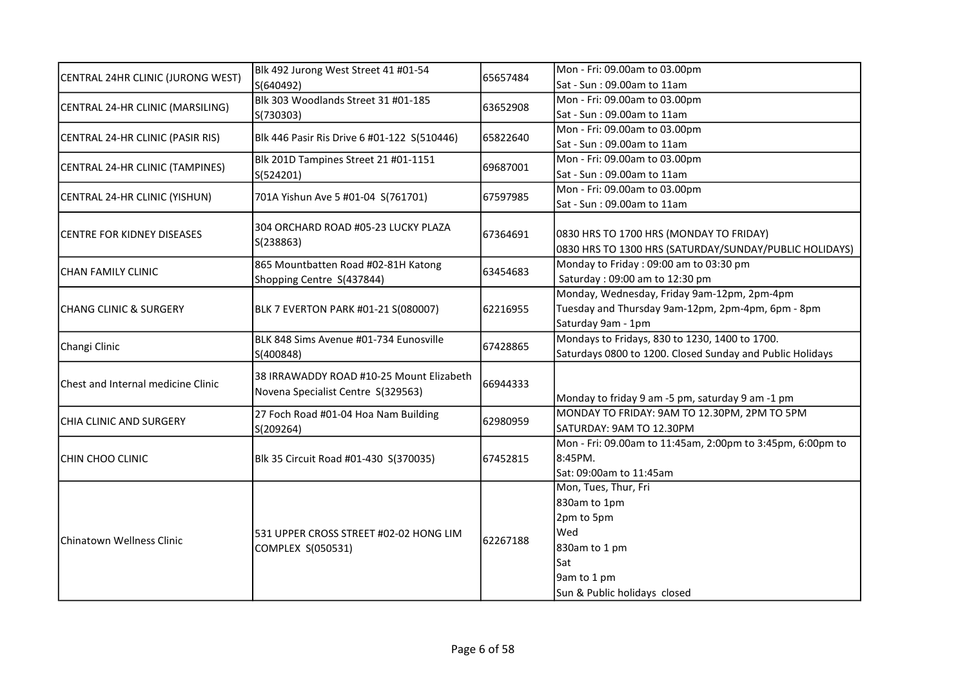|                                    | Blk 492 Jurong West Street 41 #01-54<br>S(640492)                              | 65657484 | Mon - Fri: 09.00am to 03.00pm                              |
|------------------------------------|--------------------------------------------------------------------------------|----------|------------------------------------------------------------|
| CENTRAL 24HR CLINIC (JURONG WEST)  |                                                                                |          | Sat - Sun : 09.00am to 11am                                |
| CENTRAL 24-HR CLINIC (MARSILING)   | Blk 303 Woodlands Street 31 #01-185                                            |          | Mon - Fri: 09.00am to 03.00pm                              |
|                                    | S(730303)                                                                      | 63652908 | Sat - Sun: 09.00am to 11am                                 |
| CENTRAL 24-HR CLINIC (PASIR RIS)   | Blk 446 Pasir Ris Drive 6 #01-122 S(510446)                                    | 65822640 | Mon - Fri: 09.00am to 03.00pm                              |
|                                    |                                                                                |          | Sat - Sun: 09.00am to 11am                                 |
|                                    | Blk 201D Tampines Street 21 #01-1151                                           | 69687001 | Mon - Fri: 09.00am to 03.00pm                              |
| CENTRAL 24-HR CLINIC (TAMPINES)    | S(524201)                                                                      |          | Sat - Sun: 09.00am to 11am                                 |
|                                    |                                                                                |          | Mon - Fri: 09.00am to 03.00pm                              |
| CENTRAL 24-HR CLINIC (YISHUN)      | 701A Yishun Ave 5 #01-04 S(761701)                                             | 67597985 | Sat - Sun: 09.00am to 11am                                 |
|                                    | 304 ORCHARD ROAD #05-23 LUCKY PLAZA                                            |          |                                                            |
| <b>CENTRE FOR KIDNEY DISEASES</b>  | S(238863)                                                                      | 67364691 | 0830 HRS TO 1700 HRS (MONDAY TO FRIDAY)                    |
|                                    |                                                                                |          | 0830 HRS TO 1300 HRS (SATURDAY/SUNDAY/PUBLIC HOLIDAYS)     |
| <b>CHAN FAMILY CLINIC</b>          | 865 Mountbatten Road #02-81H Katong                                            | 63454683 | Monday to Friday: 09:00 am to 03:30 pm                     |
|                                    | Shopping Centre S(437844)                                                      |          | Saturday: 09:00 am to 12:30 pm                             |
|                                    | BLK 7 EVERTON PARK #01-21 S(080007)                                            |          | Monday, Wednesday, Friday 9am-12pm, 2pm-4pm                |
| CHANG CLINIC & SURGERY             |                                                                                | 62216955 | Tuesday and Thursday 9am-12pm, 2pm-4pm, 6pm - 8pm          |
|                                    |                                                                                |          | Saturday 9am - 1pm                                         |
| Changi Clinic                      | BLK 848 Sims Avenue #01-734 Eunosville<br>S(400848)                            | 67428865 | Mondays to Fridays, 830 to 1230, 1400 to 1700.             |
|                                    |                                                                                |          | Saturdays 0800 to 1200. Closed Sunday and Public Holidays  |
|                                    | 38 IRRAWADDY ROAD #10-25 Mount Elizabeth<br>Novena Specialist Centre S(329563) |          |                                                            |
| Chest and Internal medicine Clinic |                                                                                | 66944333 |                                                            |
|                                    |                                                                                |          | Monday to friday 9 am -5 pm, saturday 9 am -1 pm           |
| CHIA CLINIC AND SURGERY            | 27 Foch Road #01-04 Hoa Nam Building<br>S(209264)                              | 62980959 | MONDAY TO FRIDAY: 9AM TO 12.30PM, 2PM TO 5PM               |
|                                    |                                                                                |          | SATURDAY: 9AM TO 12.30PM                                   |
|                                    | Blk 35 Circuit Road #01-430 S(370035)                                          |          | Mon - Fri: 09.00am to 11:45am, 2:00pm to 3:45pm, 6:00pm to |
| CHIN CHOO CLINIC                   |                                                                                | 67452815 | 8:45PM.                                                    |
|                                    |                                                                                |          | Sat: 09:00am to 11:45am                                    |
|                                    |                                                                                |          | Mon, Tues, Thur, Fri                                       |
| Chinatown Wellness Clinic          |                                                                                |          | 830am to 1pm                                               |
|                                    |                                                                                |          | 2pm to 5pm                                                 |
|                                    | 531 UPPER CROSS STREET #02-02 HONG LIM                                         | 62267188 | Wed                                                        |
|                                    | COMPLEX S(050531)                                                              |          | 830am to 1 pm                                              |
|                                    |                                                                                |          | Sat                                                        |
|                                    |                                                                                |          | 9am to 1 pm                                                |
|                                    |                                                                                |          | Sun & Public holidays closed                               |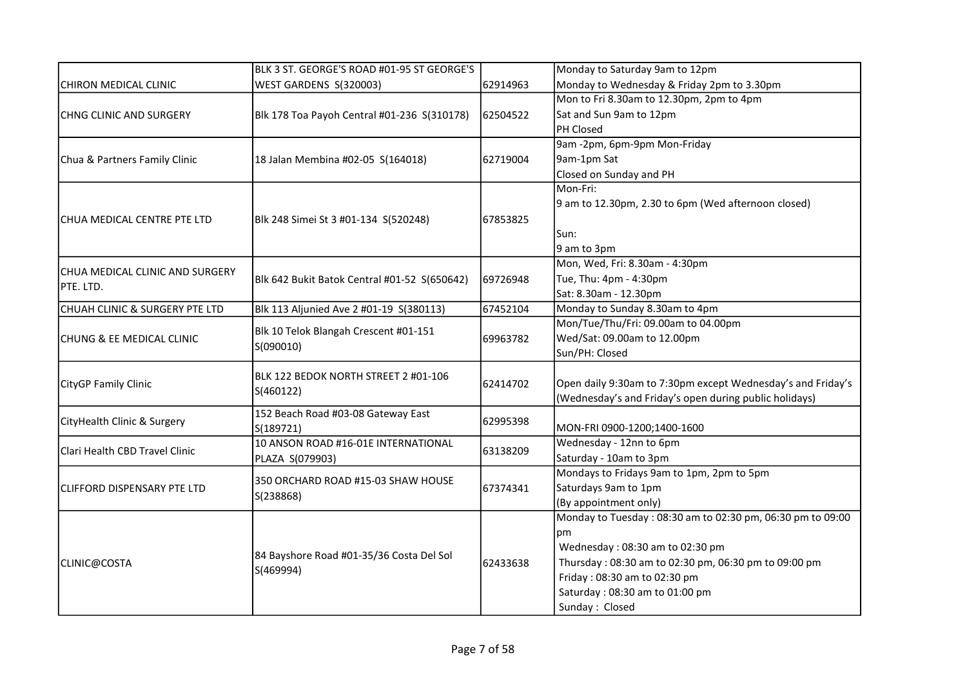|                                    | BLK 3 ST. GEORGE'S ROAD #01-95 ST GEORGE'S             |          | Monday to Saturday 9am to 12pm                              |
|------------------------------------|--------------------------------------------------------|----------|-------------------------------------------------------------|
| CHIRON MEDICAL CLINIC              | WEST GARDENS S(320003)                                 | 62914963 | Monday to Wednesday & Friday 2pm to 3.30pm                  |
|                                    |                                                        |          | Mon to Fri 8.30am to 12.30pm, 2pm to 4pm                    |
| CHNG CLINIC AND SURGERY            | Blk 178 Toa Payoh Central #01-236 S(310178)            | 62504522 | Sat and Sun 9am to 12pm                                     |
|                                    |                                                        |          | PH Closed                                                   |
|                                    |                                                        |          | 9am -2pm, 6pm-9pm Mon-Friday                                |
| Chua & Partners Family Clinic      | 18 Jalan Membina #02-05 S(164018)                      | 62719004 | 9am-1pm Sat                                                 |
|                                    |                                                        |          | Closed on Sunday and PH                                     |
|                                    |                                                        |          | Mon-Fri:                                                    |
|                                    |                                                        |          | 9 am to 12.30pm, 2.30 to 6pm (Wed afternoon closed)         |
| CHUA MEDICAL CENTRE PTE LTD        | Blk 248 Simei St 3 #01-134 S(520248)                   | 67853825 |                                                             |
|                                    |                                                        |          | Sun:                                                        |
|                                    |                                                        |          | 9 am to 3pm                                                 |
|                                    |                                                        |          | Mon, Wed, Fri: 8.30am - 4:30pm                              |
| CHUA MEDICAL CLINIC AND SURGERY    | Blk 642 Bukit Batok Central #01-52 S(650642)           | 69726948 | Tue, Thu: 4pm - 4:30pm                                      |
| PTE. LTD.                          |                                                        |          | Sat: 8.30am - 12.30pm                                       |
| CHUAH CLINIC & SURGERY PTE LTD     | Blk 113 Aljunied Ave 2 #01-19 S(380113)                | 67452104 | Monday to Sunday 8.30am to 4pm                              |
|                                    | Blk 10 Telok Blangah Crescent #01-151<br>S(090010)     |          | Mon/Tue/Thu/Fri: 09.00am to 04.00pm                         |
| CHUNG & EE MEDICAL CLINIC          |                                                        | 69963782 | Wed/Sat: 09.00am to 12.00pm                                 |
|                                    |                                                        |          | Sun/PH: Closed                                              |
|                                    |                                                        |          |                                                             |
| <b>CityGP Family Clinic</b>        | BLK 122 BEDOK NORTH STREET 2 #01-106<br>S(460122)      | 62414702 | Open daily 9:30am to 7:30pm except Wednesday's and Friday's |
|                                    |                                                        |          | (Wednesday's and Friday's open during public holidays)      |
|                                    | 152 Beach Road #03-08 Gateway East<br>S(189721)        | 62995398 |                                                             |
| CityHealth Clinic & Surgery        |                                                        |          | MON-FRI 0900-1200;1400-1600                                 |
| Clari Health CBD Travel Clinic     | 10 ANSON ROAD #16-01E INTERNATIONAL<br>PLAZA S(079903) | 63138209 | Wednesday - 12nn to 6pm                                     |
|                                    |                                                        |          | Saturday - 10am to 3pm                                      |
|                                    | 350 ORCHARD ROAD #15-03 SHAW HOUSE                     |          | Mondays to Fridays 9am to 1pm, 2pm to 5pm                   |
| <b>CLIFFORD DISPENSARY PTE LTD</b> |                                                        | 67374341 | Saturdays 9am to 1pm                                        |
|                                    | S(238868)                                              |          | (By appointment only)                                       |
|                                    |                                                        |          | Monday to Tuesday: 08:30 am to 02:30 pm, 06:30 pm to 09:00  |
| CLINIC@COSTA                       |                                                        |          | pm                                                          |
|                                    | 84 Bayshore Road #01-35/36 Costa Del Sol<br>S(469994)  | 62433638 | Wednesday: 08:30 am to 02:30 pm                             |
|                                    |                                                        |          | Thursday: 08:30 am to 02:30 pm, 06:30 pm to 09:00 pm        |
|                                    |                                                        |          | Friday: 08:30 am to 02:30 pm                                |
|                                    |                                                        |          | Saturday: 08:30 am to 01:00 pm                              |
|                                    |                                                        |          | Sunday: Closed                                              |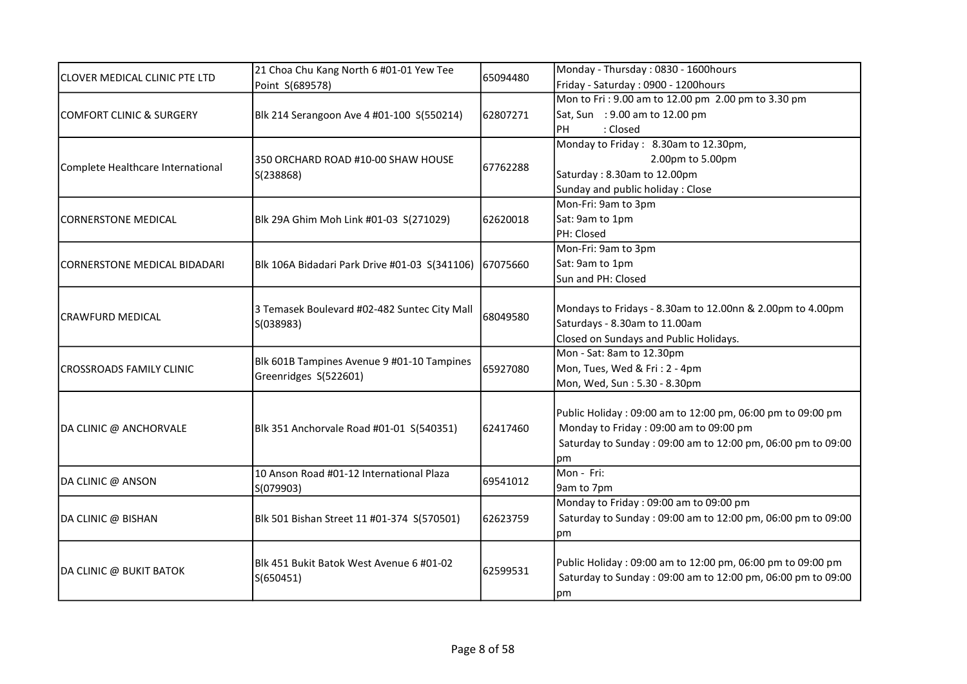|                                     | 21 Choa Chu Kang North 6 #01-01 Yew Tee<br>Point S(689578)          | 65094480 | Monday - Thursday: 0830 - 1600hours                         |
|-------------------------------------|---------------------------------------------------------------------|----------|-------------------------------------------------------------|
| CLOVER MEDICAL CLINIC PTE LTD       |                                                                     |          | Friday - Saturday: 0900 - 1200hours                         |
|                                     |                                                                     |          | Mon to Fri: 9.00 am to 12.00 pm 2.00 pm to 3.30 pm          |
| <b>COMFORT CLINIC &amp; SURGERY</b> | Blk 214 Serangoon Ave 4 #01-100 S(550214)                           | 62807271 | Sat, Sun : 9.00 am to 12.00 pm                              |
|                                     |                                                                     |          | : Closed<br>PH                                              |
|                                     |                                                                     |          | Monday to Friday: 8.30am to 12.30pm,                        |
|                                     | 350 ORCHARD ROAD #10-00 SHAW HOUSE                                  |          | 2.00pm to 5.00pm                                            |
| Complete Healthcare International   | S(238868)                                                           | 67762288 | Saturday: 8.30am to 12.00pm                                 |
|                                     |                                                                     |          | Sunday and public holiday: Close                            |
|                                     |                                                                     |          | Mon-Fri: 9am to 3pm                                         |
| <b>CORNERSTONE MEDICAL</b>          | Blk 29A Ghim Moh Link #01-03 S(271029)                              | 62620018 | Sat: 9am to 1pm                                             |
|                                     |                                                                     |          | PH: Closed                                                  |
|                                     |                                                                     |          | Mon-Fri: 9am to 3pm                                         |
| CORNERSTONE MEDICAL BIDADARI        | Blk 106A Bidadari Park Drive #01-03 S(341106)                       | 67075660 | Sat: 9am to 1pm                                             |
|                                     |                                                                     |          | Sun and PH: Closed                                          |
|                                     |                                                                     |          |                                                             |
| ICRAWFURD MEDICAL                   | 3 Temasek Boulevard #02-482 Suntec City Mall<br>S(038983)           | 68049580 | Mondays to Fridays - 8.30am to 12.00nn & 2.00pm to 4.00pm   |
|                                     |                                                                     |          | Saturdays - 8.30am to 11.00am                               |
|                                     |                                                                     |          | Closed on Sundays and Public Holidays.                      |
|                                     | Blk 601B Tampines Avenue 9 #01-10 Tampines<br>Greenridges S(522601) | 65927080 | Mon - Sat: 8am to 12.30pm                                   |
| <b>ICROSSROADS FAMILY CLINIC</b>    |                                                                     |          | Mon, Tues, Wed & Fri: 2 - 4pm                               |
|                                     |                                                                     |          | Mon, Wed, Sun: 5.30 - 8.30pm                                |
|                                     |                                                                     |          |                                                             |
|                                     |                                                                     | 62417460 | Public Holiday: 09:00 am to 12:00 pm, 06:00 pm to 09:00 pm  |
| DA CLINIC @ ANCHORVALE              | Blk 351 Anchorvale Road #01-01 S(540351)                            |          | Monday to Friday: 09:00 am to 09:00 pm                      |
|                                     |                                                                     |          | Saturday to Sunday: 09:00 am to 12:00 pm, 06:00 pm to 09:00 |
|                                     |                                                                     |          | рm<br>Mon - Fri:                                            |
| DA CLINIC @ ANSON                   | 10 Anson Road #01-12 International Plaza                            | 69541012 |                                                             |
|                                     | S(079903)                                                           |          | 9am to 7pm<br>Monday to Friday: 09:00 am to 09:00 pm        |
| DA CLINIC @ BISHAN                  |                                                                     |          | Saturday to Sunday: 09:00 am to 12:00 pm, 06:00 pm to 09:00 |
|                                     | Blk 501 Bishan Street 11 #01-374 S(570501)                          | 62623759 |                                                             |
|                                     |                                                                     |          | pm                                                          |
|                                     | Blk 451 Bukit Batok West Avenue 6 #01-02                            | 62599531 | Public Holiday: 09:00 am to 12:00 pm, 06:00 pm to 09:00 pm  |
| DA CLINIC @ BUKIT BATOK             | S(650451)                                                           |          | Saturday to Sunday: 09:00 am to 12:00 pm, 06:00 pm to 09:00 |
|                                     |                                                                     |          | pm                                                          |
|                                     |                                                                     |          |                                                             |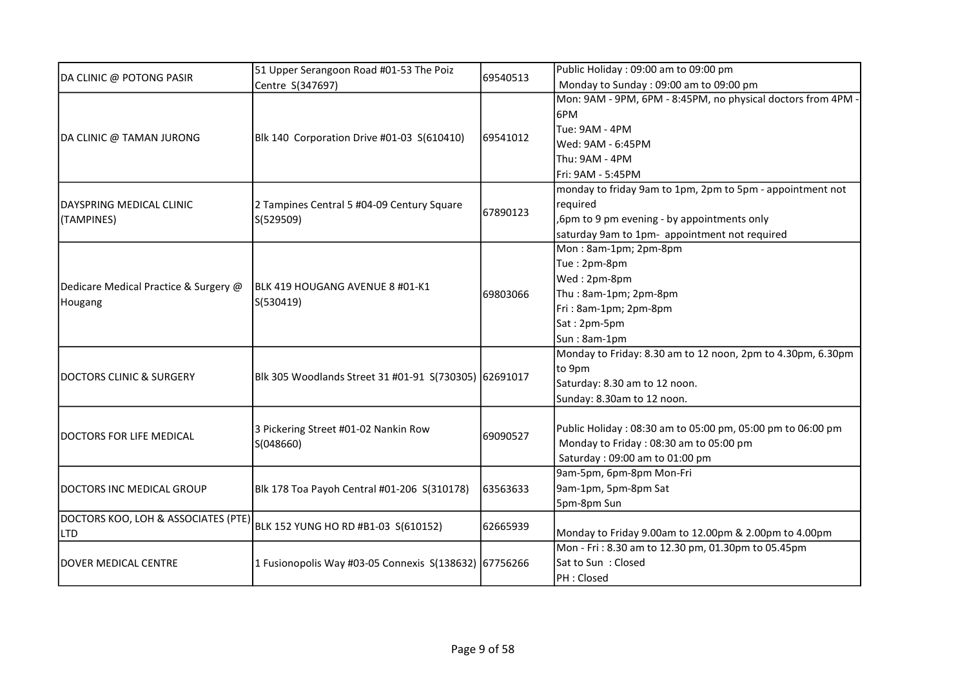|                                       | 51 Upper Serangoon Road #01-53 The Poiz               |          | Public Holiday: 09:00 am to 09:00 pm                         |
|---------------------------------------|-------------------------------------------------------|----------|--------------------------------------------------------------|
| DA CLINIC @ POTONG PASIR              | Centre S(347697)                                      | 69540513 | Monday to Sunday: 09:00 am to 09:00 pm                       |
|                                       |                                                       |          | Mon: 9AM - 9PM, 6PM - 8:45PM, no physical doctors from 4PM · |
|                                       |                                                       |          | 6PM                                                          |
|                                       |                                                       |          | Tue: 9AM - 4PM                                               |
| DA CLINIC @ TAMAN JURONG              | Blk 140 Corporation Drive #01-03 S(610410)            | 69541012 | Wed: 9AM - 6:45PM                                            |
|                                       |                                                       |          | Thu: 9AM - 4PM                                               |
|                                       |                                                       |          | Fri: 9AM - 5:45PM                                            |
|                                       |                                                       |          | monday to friday 9am to 1pm, 2pm to 5pm - appointment not    |
| DAYSPRING MEDICAL CLINIC              | 2 Tampines Central 5 #04-09 Century Square            |          | required                                                     |
| (TAMPINES)                            | S(529509)                                             | 67890123 | ,6pm to 9 pm evening - by appointments only                  |
|                                       |                                                       |          | saturday 9am to 1pm- appointment not required                |
|                                       |                                                       |          | Mon: 8am-1pm; 2pm-8pm                                        |
|                                       |                                                       |          | Tue: 2pm-8pm                                                 |
|                                       | BLK 419 HOUGANG AVENUE 8 #01-K1<br>S(530419)          |          | Wed: 2pm-8pm                                                 |
| Dedicare Medical Practice & Surgery @ |                                                       | 69803066 | Thu: 8am-1pm; 2pm-8pm                                        |
| Hougang                               |                                                       |          | Fri: 8am-1pm; 2pm-8pm                                        |
|                                       |                                                       |          | Sat: 2pm-5pm                                                 |
|                                       |                                                       |          | Sun: 8am-1pm                                                 |
|                                       |                                                       |          | Monday to Friday: 8.30 am to 12 noon, 2pm to 4.30pm, 6.30pm  |
| DOCTORS CLINIC & SURGERY              | Blk 305 Woodlands Street 31 #01-91 S(730305) 62691017 |          | to 9pm                                                       |
|                                       |                                                       |          | Saturday: 8.30 am to 12 noon.                                |
|                                       |                                                       |          | Sunday: 8.30am to 12 noon.                                   |
|                                       |                                                       |          |                                                              |
| <b>DOCTORS FOR LIFE MEDICAL</b>       | 3 Pickering Street #01-02 Nankin Row<br>S(048660)     | 69090527 | Public Holiday: 08:30 am to 05:00 pm, 05:00 pm to 06:00 pm   |
|                                       |                                                       |          | Monday to Friday: 08:30 am to 05:00 pm                       |
|                                       |                                                       |          | Saturday: 09:00 am to 01:00 pm                               |
|                                       |                                                       |          | 9am-5pm, 6pm-8pm Mon-Fri                                     |
| DOCTORS INC MEDICAL GROUP             | Blk 178 Toa Payoh Central #01-206 S(310178)           | 63563633 | 9am-1pm, 5pm-8pm Sat                                         |
|                                       |                                                       |          | 5pm-8pm Sun                                                  |
| DOCTORS KOO, LOH & ASSOCIATES (PTE)   | BLK 152 YUNG HO RD #B1-03 S(610152)                   | 62665939 |                                                              |
| <b>LTD</b>                            |                                                       |          | Monday to Friday 9.00am to 12.00pm & 2.00pm to 4.00pm        |
|                                       |                                                       |          | Mon - Fri: 8.30 am to 12.30 pm, 01.30pm to 05.45pm           |
| <b>DOVER MEDICAL CENTRE</b>           | 1 Fusionopolis Way #03-05 Connexis S(138632) 67756266 |          | Sat to Sun: Closed                                           |
|                                       |                                                       |          | PH : Closed                                                  |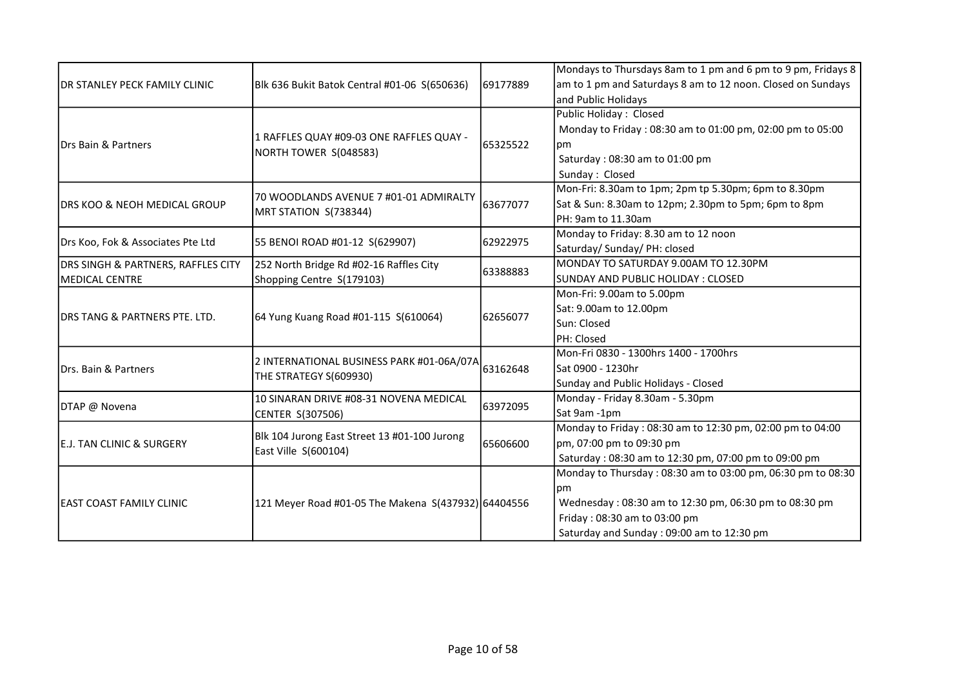|                                               |                                                                     |          | Mondays to Thursdays 8am to 1 pm and 6 pm to 9 pm, Fridays 8 |
|-----------------------------------------------|---------------------------------------------------------------------|----------|--------------------------------------------------------------|
| <b>IDR STANLEY PECK FAMILY CLINIC</b>         | Blk 636 Bukit Batok Central #01-06 S(650636)                        | 69177889 | am to 1 pm and Saturdays 8 am to 12 noon. Closed on Sundays  |
|                                               |                                                                     |          | and Public Holidays                                          |
|                                               |                                                                     |          | Public Holiday: Closed                                       |
|                                               |                                                                     |          | Monday to Friday: 08:30 am to 01:00 pm, 02:00 pm to 05:00    |
| Drs Bain & Partners                           | 1 RAFFLES QUAY #09-03 ONE RAFFLES QUAY -                            | 65325522 | pm                                                           |
|                                               | NORTH TOWER S(048583)                                               |          | Saturday: 08:30 am to 01:00 pm                               |
|                                               |                                                                     |          | Sunday: Closed                                               |
|                                               |                                                                     |          | Mon-Fri: 8.30am to 1pm; 2pm tp 5.30pm; 6pm to 8.30pm         |
| <b>DRS KOO &amp; NEOH MEDICAL GROUP</b>       | 70 WOODLANDS AVENUE 7 #01-01 ADMIRALTY                              | 63677077 | Sat & Sun: 8.30am to 12pm; 2.30pm to 5pm; 6pm to 8pm         |
|                                               | MRT STATION S(738344)                                               |          | PH: 9am to 11.30am                                           |
|                                               |                                                                     |          | Monday to Friday: 8.30 am to 12 noon                         |
| Drs Koo, Fok & Associates Pte Ltd             | 55 BENOI ROAD #01-12 S(629907)                                      | 62922975 | Saturday/ Sunday/ PH: closed                                 |
| <b>DRS SINGH &amp; PARTNERS, RAFFLES CITY</b> | 252 North Bridge Rd #02-16 Raffles City                             |          | MONDAY TO SATURDAY 9.00AM TO 12.30PM                         |
| MEDICAL CENTRE                                | Shopping Centre S(179103)                                           | 63388883 | ISUNDAY AND PUBLIC HOLIDAY : CLOSED                          |
|                                               | 64 Yung Kuang Road #01-115 S(610064)                                | 62656077 | Mon-Fri: 9.00am to 5.00pm                                    |
|                                               |                                                                     |          | Sat: 9.00am to 12.00pm                                       |
| <b>IDRS TANG &amp; PARTNERS PTE. LTD.</b>     |                                                                     |          | Sun: Closed                                                  |
|                                               |                                                                     |          | PH: Closed                                                   |
|                                               | 2 INTERNATIONAL BUSINESS PARK #01-06A/07A<br>THE STRATEGY S(609930) | 63162648 | Mon-Fri 0830 - 1300hrs 1400 - 1700hrs                        |
| Drs. Bain & Partners                          |                                                                     |          | Sat 0900 - 1230hr                                            |
|                                               |                                                                     |          | Sunday and Public Holidays - Closed                          |
|                                               | 10 SINARAN DRIVE #08-31 NOVENA MEDICAL<br>CENTER S(307506)          | 63972095 | Monday - Friday 8.30am - 5.30pm                              |
| DTAP @ Novena                                 |                                                                     |          | Sat 9am -1pm                                                 |
|                                               |                                                                     |          | Monday to Friday: 08:30 am to 12:30 pm, 02:00 pm to 04:00    |
| <b>IE.J. TAN CLINIC &amp; SURGERY</b>         | Blk 104 Jurong East Street 13 #01-100 Jurong                        | 65606600 | pm, 07:00 pm to 09:30 pm                                     |
|                                               | East Ville S(600104)                                                |          | Saturday: 08:30 am to 12:30 pm, 07:00 pm to 09:00 pm         |
|                                               |                                                                     |          | Monday to Thursday: 08:30 am to 03:00 pm, 06:30 pm to 08:30  |
| <b>JEAST COAST FAMILY CLINIC</b>              |                                                                     |          | pm                                                           |
|                                               | 121 Meyer Road #01-05 The Makena S(437932) 64404556                 |          | Wednesday: 08:30 am to 12:30 pm, 06:30 pm to 08:30 pm        |
|                                               |                                                                     |          | Friday: 08:30 am to 03:00 pm                                 |
|                                               |                                                                     |          | Saturday and Sunday: 09:00 am to 12:30 pm                    |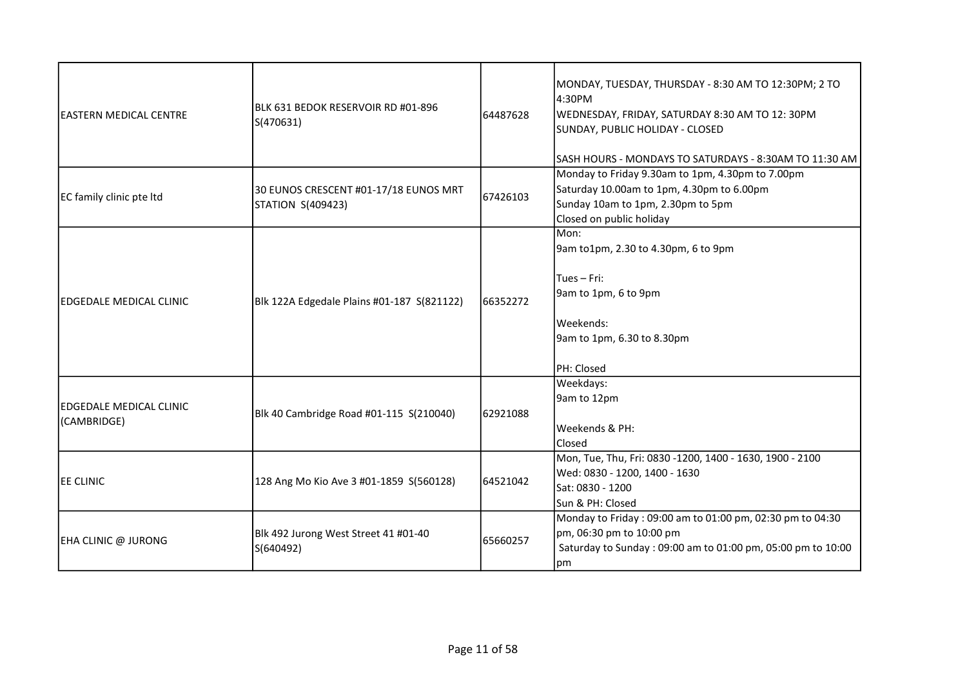| IEASTERN MEDICAL CENTRE                | IBLK 631 BEDOK RESERVOIR RD #01-896<br>S(470631)           | 64487628 | MONDAY, TUESDAY, THURSDAY - 8:30 AM TO 12:30PM; 2 TO<br>4:30PM<br>WEDNESDAY, FRIDAY, SATURDAY 8:30 AM TO 12: 30PM<br>SUNDAY, PUBLIC HOLIDAY - CLOSED<br>SASH HOURS - MONDAYS TO SATURDAYS - 8:30AM TO 11:30 AM |
|----------------------------------------|------------------------------------------------------------|----------|----------------------------------------------------------------------------------------------------------------------------------------------------------------------------------------------------------------|
| EC family clinic pte Itd               | 30 EUNOS CRESCENT #01-17/18 EUNOS MRT<br>STATION S(409423) | 67426103 | Monday to Friday 9.30am to 1pm, 4.30pm to 7.00pm<br>Saturday 10.00am to 1pm, 4.30pm to 6.00pm<br>Sunday 10am to 1pm, 2.30pm to 5pm<br>Closed on public holiday                                                 |
| lEDGEDALE MEDICAL CLINIC               | Blk 122A Edgedale Plains #01-187 S(821122)                 | 66352272 | Mon:<br>9am to1pm, 2.30 to 4.30pm, 6 to 9pm<br>Tues $-$ Fri:<br>9am to 1pm, 6 to 9pm<br>Weekends:<br>9am to 1pm, 6.30 to 8.30pm<br>PH: Closed                                                                  |
| EDGEDALE MEDICAL CLINIC<br>(CAMBRIDGE) | Blk 40 Cambridge Road #01-115 S(210040)                    | 62921088 | Weekdays:<br>9am to 12pm<br>Weekends & PH:<br>Closed                                                                                                                                                           |
| EE CLINIC                              | 128 Ang Mo Kio Ave 3 #01-1859 S(560128)                    | 64521042 | Mon, Tue, Thu, Fri: 0830 -1200, 1400 - 1630, 1900 - 2100<br>Wed: 0830 - 1200, 1400 - 1630<br>Sat: 0830 - 1200<br>Sun & PH: Closed                                                                              |
| EHA CLINIC @ JURONG                    | Blk 492 Jurong West Street 41 #01-40<br>S(640492)          | 65660257 | Monday to Friday: 09:00 am to 01:00 pm, 02:30 pm to 04:30<br>pm, 06:30 pm to 10:00 pm<br>Saturday to Sunday: 09:00 am to 01:00 pm, 05:00 pm to 10:00<br>pm                                                     |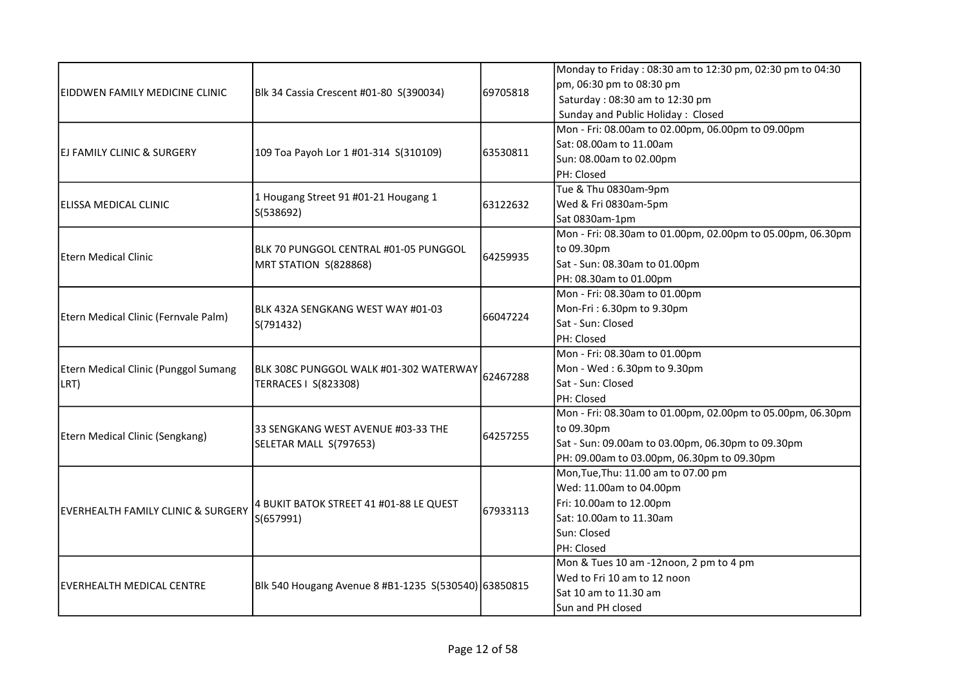|                                      |                                                                |          | Monday to Friday: 08:30 am to 12:30 pm, 02:30 pm to 04:30  |
|--------------------------------------|----------------------------------------------------------------|----------|------------------------------------------------------------|
| EIDDWEN FAMILY MEDICINE CLINIC       |                                                                |          | pm, 06:30 pm to 08:30 pm                                   |
|                                      | Blk 34 Cassia Crescent #01-80 S(390034)                        | 69705818 | Saturday: 08:30 am to 12:30 pm                             |
|                                      |                                                                |          | Sunday and Public Holiday: Closed                          |
|                                      |                                                                |          | Mon - Fri: 08.00am to 02.00pm, 06.00pm to 09.00pm          |
|                                      |                                                                |          | Sat: 08.00am to 11.00am                                    |
| IEJ FAMILY CLINIC & SURGERY          | 109 Toa Payoh Lor 1 #01-314 S(310109)                          | 63530811 | Sun: 08.00am to 02.00pm                                    |
|                                      |                                                                |          | PH: Closed                                                 |
|                                      |                                                                |          | Tue & Thu 0830am-9pm                                       |
| lELISSA MEDICAL CLINIC               | 1 Hougang Street 91 #01-21 Hougang 1                           | 63122632 | Wed & Fri 0830am-5pm                                       |
|                                      | S(538692)                                                      |          | Sat 0830am-1pm                                             |
|                                      |                                                                |          | Mon - Fri: 08.30am to 01.00pm, 02.00pm to 05.00pm, 06.30pm |
|                                      | BLK 70 PUNGGOL CENTRAL #01-05 PUNGGOL                          |          | to 09.30pm                                                 |
| <b>Etern Medical Clinic</b>          | MRT STATION S(828868)                                          | 64259935 | Sat - Sun: 08.30am to 01.00pm                              |
|                                      |                                                                |          | PH: 08.30am to 01.00pm                                     |
|                                      | BLK 432A SENGKANG WEST WAY #01-03<br>S(791432)                 |          | Mon - Fri: 08.30am to 01.00pm                              |
|                                      |                                                                |          | Mon-Fri: 6.30pm to 9.30pm                                  |
| Etern Medical Clinic (Fernvale Palm) |                                                                | 66047224 | Sat - Sun: Closed                                          |
|                                      |                                                                |          | PH: Closed                                                 |
|                                      | BLK 308C PUNGGOL WALK #01-302 WATERWAY<br>TERRACES   S(823308) | 62467288 | Mon - Fri: 08.30am to 01.00pm                              |
| Etern Medical Clinic (Punggol Sumang |                                                                |          | Mon - Wed: 6.30pm to 9.30pm                                |
| LRT)                                 |                                                                |          | Sat - Sun: Closed                                          |
|                                      |                                                                |          | PH: Closed                                                 |
|                                      |                                                                |          | Mon - Fri: 08.30am to 01.00pm, 02.00pm to 05.00pm, 06.30pm |
|                                      | 33 SENGKANG WEST AVENUE #03-33 THE<br>SELETAR MALL S(797653)   | 64257255 | to 09.30pm                                                 |
| Etern Medical Clinic (Sengkang)      |                                                                |          | Sat - Sun: 09.00am to 03.00pm, 06.30pm to 09.30pm          |
|                                      |                                                                |          | PH: 09.00am to 03.00pm, 06.30pm to 09.30pm                 |
|                                      |                                                                |          | Mon, Tue, Thu: 11.00 am to 07.00 pm                        |
|                                      |                                                                |          | Wed: 11.00am to 04.00pm                                    |
|                                      | 4 BUKIT BATOK STREET 41 #01-88 LE QUEST                        | 67933113 | Fri: 10.00am to 12.00pm                                    |
| EVERHEALTH FAMILY CLINIC & SURGERY   | S(657991)                                                      |          | Sat: 10.00am to 11.30am                                    |
|                                      |                                                                |          | Sun: Closed                                                |
|                                      |                                                                |          | PH: Closed                                                 |
|                                      |                                                                |          | Mon & Tues 10 am -12noon, 2 pm to 4 pm                     |
| IEVERHEALTH MEDICAL CENTRE           | Blk 540 Hougang Avenue 8 #B1-1235 S(530540) 63850815           |          | Wed to Fri 10 am to 12 noon                                |
|                                      |                                                                |          | Sat 10 am to 11.30 am                                      |
|                                      |                                                                |          | Sun and PH closed                                          |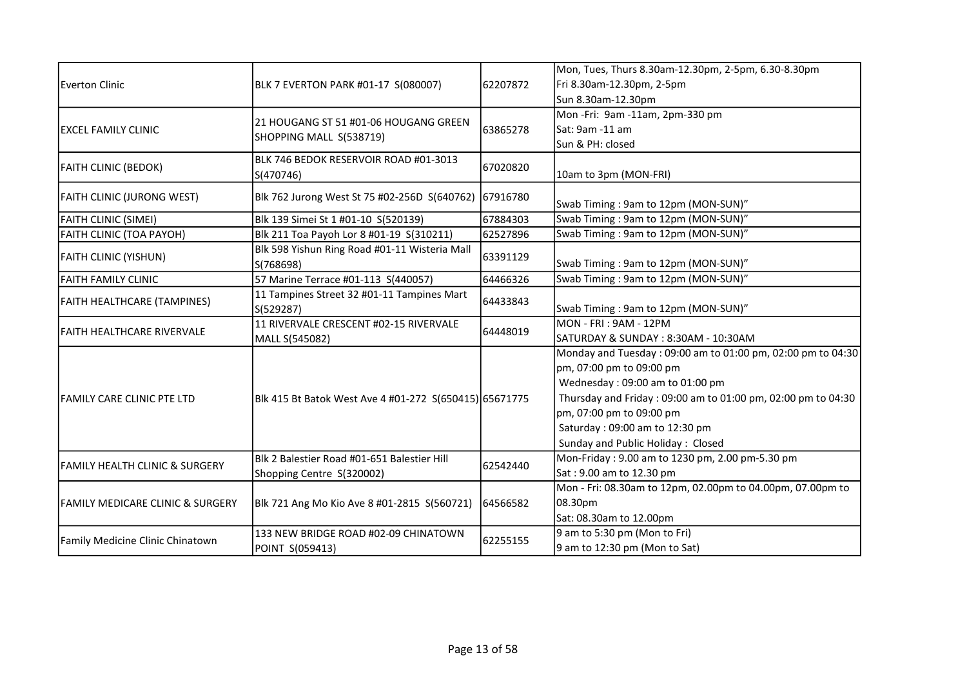| Everton Clinic                              | BLK 7 EVERTON PARK #01-17 S(080007)                     | 62207872 | Mon, Tues, Thurs 8.30am-12.30pm, 2-5pm, 6.30-8.30pm          |
|---------------------------------------------|---------------------------------------------------------|----------|--------------------------------------------------------------|
|                                             |                                                         |          | Fri 8.30am-12.30pm, 2-5pm                                    |
|                                             |                                                         |          | Sun 8.30am-12.30pm                                           |
|                                             |                                                         |          | Mon-Fri: 9am-11am, 2pm-330 pm                                |
| <b>IEXCEL FAMILY CLINIC</b>                 | 21 HOUGANG ST 51 #01-06 HOUGANG GREEN                   | 63865278 | Sat: 9am -11 am                                              |
|                                             | SHOPPING MALL S(538719)                                 |          | Sun & PH: closed                                             |
|                                             | BLK 746 BEDOK RESERVOIR ROAD #01-3013                   |          |                                                              |
| <b>FAITH CLINIC (BEDOK)</b>                 | S(470746)                                               | 67020820 | 10am to 3pm (MON-FRI)                                        |
| <b>FAITH CLINIC (JURONG WEST)</b>           | Blk 762 Jurong West St 75 #02-256D S(640762)            | 67916780 |                                                              |
|                                             |                                                         |          | Swab Timing: 9am to 12pm (MON-SUN)"                          |
| <b>FAITH CLINIC (SIMEI)</b>                 | Blk 139 Simei St 1 #01-10 S(520139)                     | 67884303 | Swab Timing: 9am to 12pm (MON-SUN)"                          |
| FAITH CLINIC (TOA PAYOH)                    | Blk 211 Toa Payoh Lor 8 #01-19 S(310211)                | 62527896 | Swab Timing: 9am to 12pm (MON-SUN)"                          |
| <b>FAITH CLINIC (YISHUN)</b>                | Blk 598 Yishun Ring Road #01-11 Wisteria Mall           | 63391129 |                                                              |
|                                             | S(768698)                                               |          | Swab Timing: 9am to 12pm (MON-SUN)"                          |
| <b>FAITH FAMILY CLINIC</b>                  | 57 Marine Terrace #01-113 S(440057)                     | 64466326 | Swab Timing: 9am to 12pm (MON-SUN)"                          |
| FAITH HEALTHCARE (TAMPINES)                 | 11 Tampines Street 32 #01-11 Tampines Mart<br>S(529287) | 64433843 | Swab Timing: 9am to 12pm (MON-SUN)"                          |
|                                             | 11 RIVERVALE CRESCENT #02-15 RIVERVALE                  |          | MON - FRI : 9AM - 12PM                                       |
| <b>FAITH HEALTHCARE RIVERVALE</b>           | MALL S(545082)                                          | 64448019 | SATURDAY & SUNDAY: 8:30AM - 10:30AM                          |
|                                             |                                                         |          | Monday and Tuesday: 09:00 am to 01:00 pm, 02:00 pm to 04:30  |
|                                             |                                                         |          | pm, 07:00 pm to 09:00 pm                                     |
|                                             |                                                         |          | Wednesday: 09:00 am to 01:00 pm                              |
| FAMILY CARE CLINIC PTE LTD                  | Blk 415 Bt Batok West Ave 4 #01-272 S(650415) 65671775  |          | Thursday and Friday: 09:00 am to 01:00 pm, 02:00 pm to 04:30 |
|                                             |                                                         |          | pm, 07:00 pm to 09:00 pm                                     |
|                                             |                                                         |          | Saturday: 09:00 am to 12:30 pm                               |
|                                             |                                                         |          | Sunday and Public Holiday: Closed                            |
|                                             | Blk 2 Balestier Road #01-651 Balestier Hill             |          | Mon-Friday: 9.00 am to 1230 pm, 2.00 pm-5.30 pm              |
| FAMILY HEALTH CLINIC & SURGERY              | Shopping Centre S(320002)                               | 62542440 | Sat: 9.00 am to 12.30 pm                                     |
| <b>FAMILY MEDICARE CLINIC &amp; SURGERY</b> |                                                         |          | Mon - Fri: 08.30am to 12pm, 02.00pm to 04.00pm, 07.00pm to   |
|                                             | Blk 721 Ang Mo Kio Ave 8 #01-2815 S(560721)             | 64566582 | 08.30pm                                                      |
|                                             |                                                         |          | Sat: 08.30am to 12.00pm                                      |
|                                             | 133 NEW BRIDGE ROAD #02-09 CHINATOWN                    |          | 9 am to 5:30 pm (Mon to Fri)                                 |
| Family Medicine Clinic Chinatown            | POINT S(059413)                                         | 62255155 | 9 am to 12:30 pm (Mon to Sat)                                |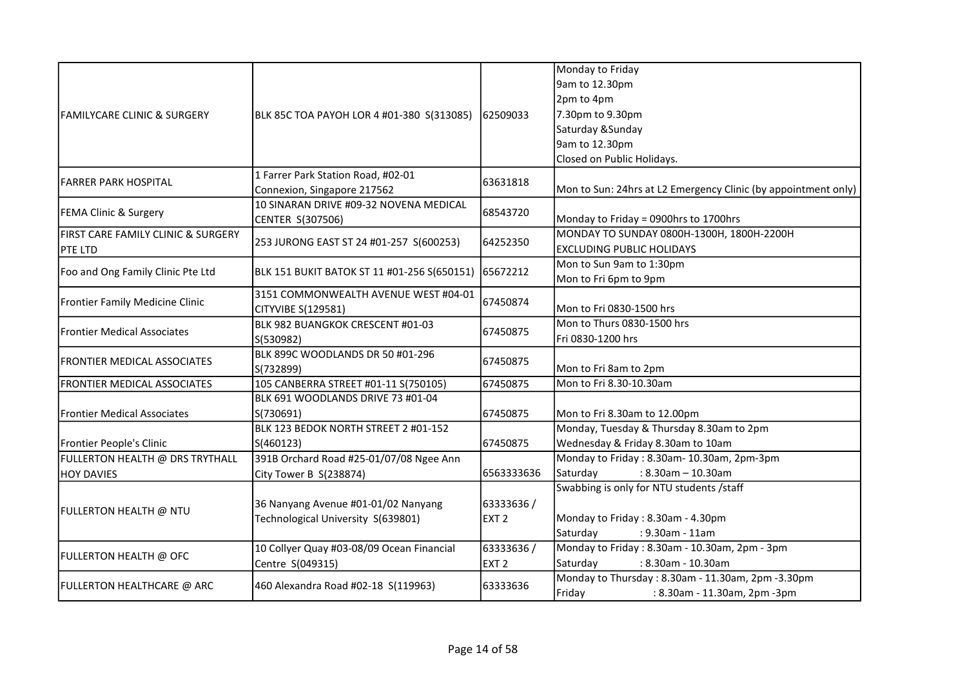|                                                      |                                             |                  | Monday to Friday                                               |
|------------------------------------------------------|---------------------------------------------|------------------|----------------------------------------------------------------|
|                                                      |                                             |                  | 9am to 12.30pm                                                 |
|                                                      |                                             |                  | 2pm to 4pm                                                     |
| lFAMILYCARE CLINIC & SURGERY                         | BLK 85C TOA PAYOH LOR 4 #01-380 S(313085)   | 62509033         | 7.30pm to 9.30pm                                               |
|                                                      |                                             |                  | Saturday & Sunday                                              |
|                                                      |                                             |                  | 9am to 12.30pm                                                 |
|                                                      |                                             |                  | Closed on Public Holidays.                                     |
|                                                      | 1 Farrer Park Station Road, #02-01          |                  |                                                                |
| <b>FARRER PARK HOSPITAL</b>                          | Connexion, Singapore 217562                 | 63631818         | Mon to Sun: 24hrs at L2 Emergency Clinic (by appointment only) |
|                                                      | 10 SINARAN DRIVE #09-32 NOVENA MEDICAL      |                  |                                                                |
| FEMA Clinic & Surgery                                | CENTER S(307506)                            | 68543720         | Monday to Friday = 0900hrs to 1700hrs                          |
| FIRST CARE FAMILY CLINIC & SURGERY                   |                                             |                  | MONDAY TO SUNDAY 0800H-1300H, 1800H-2200H                      |
| <b>PTE LTD</b>                                       | 253 JURONG EAST ST 24 #01-257 S(600253)     | 64252350         | <b>EXCLUDING PUBLIC HOLIDAYS</b>                               |
|                                                      |                                             |                  | Mon to Sun 9am to 1:30pm                                       |
| Foo and Ong Family Clinic Pte Ltd                    | BLK 151 BUKIT BATOK ST 11 #01-256 S(650151) | 65672212         | Mon to Fri 6pm to 9pm                                          |
|                                                      | 3151 COMMONWEALTH AVENUE WEST #04-01        |                  |                                                                |
| Frontier Family Medicine Clinic                      | CITYVIBE S(129581)                          | 67450874         | Mon to Fri 0830-1500 hrs                                       |
|                                                      | BLK 982 BUANGKOK CRESCENT #01-03            |                  | Mon to Thurs 0830-1500 hrs                                     |
| <b>Frontier Medical Associates</b>                   | S(530982)                                   | 67450875         | Fri 0830-1200 hrs                                              |
|                                                      | BLK 899C WOODLANDS DR 50 #01-296            |                  |                                                                |
| FRONTIER MEDICAL ASSOCIATES                          | S(732899)                                   | 67450875         | Mon to Fri 8am to 2pm                                          |
| FRONTIER MEDICAL ASSOCIATES                          | 105 CANBERRA STREET #01-11 S(750105)        | 67450875         | Mon to Fri 8.30-10.30am                                        |
|                                                      | BLK 691 WOODLANDS DRIVE 73 #01-04           |                  |                                                                |
| <b>Frontier Medical Associates</b>                   | S(730691)                                   | 67450875         | Mon to Fri 8.30am to 12.00pm                                   |
|                                                      | BLK 123 BEDOK NORTH STREET 2 #01-152        |                  | Monday, Tuesday & Thursday 8.30am to 2pm                       |
| Frontier People's Clinic                             | S(460123)                                   | 67450875         | Wednesday & Friday 8.30am to 10am                              |
|                                                      | 391B Orchard Road #25-01/07/08 Ngee Ann     |                  | Monday to Friday: 8.30am-10.30am, 2pm-3pm                      |
| FULLERTON HEALTH @ DRS TRYTHALL<br><b>HOY DAVIES</b> |                                             | 6563333636       | Saturday<br>$: 8.30$ am - 10.30am                              |
|                                                      | City Tower B S(238874)                      |                  | Swabbing is only for NTU students /staff                       |
|                                                      |                                             |                  |                                                                |
| FULLERTON HEALTH @ NTU                               | 36 Nanyang Avenue #01-01/02 Nanyang         | 63333636/        |                                                                |
|                                                      | Technological University S(639801)          | EXT <sub>2</sub> | Monday to Friday: 8.30am - 4.30pm                              |
|                                                      |                                             |                  | Saturday<br>: 9.30am - 11am                                    |
| FULLERTON HEALTH @ OFC                               | 10 Collyer Quay #03-08/09 Ocean Financial   | 63333636/        | Monday to Friday: 8.30am - 10.30am, 2pm - 3pm                  |
|                                                      | Centre S(049315)                            | EXT <sub>2</sub> | Saturday<br>: 8.30am - 10.30am                                 |
| FULLERTON HEALTHCARE @ ARC                           | 460 Alexandra Road #02-18 S(119963)         | 63333636         | Monday to Thursday: 8.30am - 11.30am, 2pm -3.30pm              |
|                                                      |                                             |                  | Friday<br>: 8.30am - 11.30am, 2pm -3pm                         |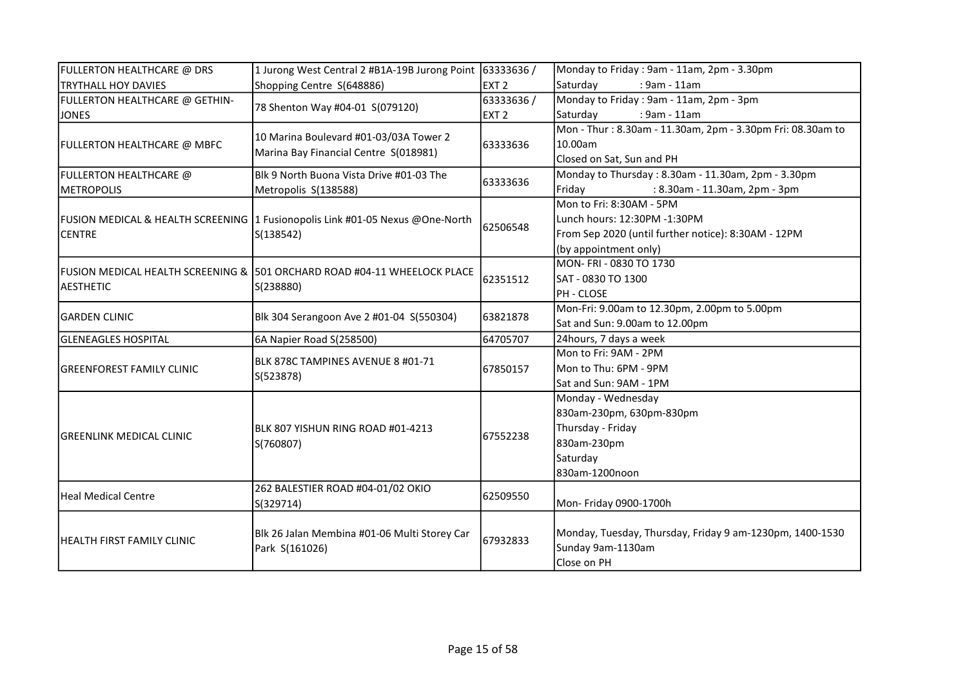| FULLERTON HEALTHCARE @ DRS       | 1 Jurong West Central 2 #B1A-19B Jurong Point                                 | 63333636 /       | Monday to Friday: 9am - 11am, 2pm - 3.30pm                 |
|----------------------------------|-------------------------------------------------------------------------------|------------------|------------------------------------------------------------|
| <b>TRYTHALL HOY DAVIES</b>       | Shopping Centre S(648886)                                                     | EXT <sub>2</sub> | Saturday<br>: 9am - 11am                                   |
| FULLERTON HEALTHCARE @ GETHIN-   |                                                                               | 63333636/        | Monday to Friday: 9am - 11am, 2pm - 3pm                    |
| <b>JONES</b>                     | 78 Shenton Way #04-01 S(079120)                                               | EXT <sub>2</sub> | Saturday<br>: 9am - 11am                                   |
|                                  |                                                                               |                  | Mon - Thur: 8.30am - 11.30am, 2pm - 3.30pm Fri: 08.30am to |
| FULLERTON HEALTHCARE @ MBFC      | 10 Marina Boulevard #01-03/03A Tower 2                                        | 63333636         | 10.00am                                                    |
|                                  | Marina Bay Financial Centre S(018981)                                         |                  | Closed on Sat, Sun and PH                                  |
| FULLERTON HEALTHCARE @           | Blk 9 North Buona Vista Drive #01-03 The                                      |                  | Monday to Thursday: 8.30am - 11.30am, 2pm - 3.30pm         |
| <b>IMETROPOLIS</b>               | Metropolis S(138588)                                                          | 63333636         | Friday<br>: 8.30am - 11.30am, 2pm - 3pm                    |
|                                  |                                                                               |                  | Mon to Fri: 8:30AM - 5PM                                   |
|                                  | FUSION MEDICAL & HEALTH SCREENING 1 Fusionopolis Link #01-05 Nexus @One-North |                  | Lunch hours: 12:30PM -1:30PM                               |
| <b>CENTRE</b>                    | S(138542)                                                                     | 62506548         | From Sep 2020 (until further notice): 8:30AM - 12PM        |
|                                  |                                                                               |                  | (by appointment only)                                      |
|                                  |                                                                               |                  | MON- FRI - 0830 TO 1730                                    |
|                                  | lFUSION MEDICAL HEALTH SCREENING & 1501 ORCHARD ROAD #04-11 WHEELOCK PLACE    | 62351512         | SAT - 0830 TO 1300                                         |
| <b>AESTHETIC</b>                 | S(238880)                                                                     |                  | PH - CLOSE                                                 |
|                                  | Blk 304 Serangoon Ave 2 #01-04 S(550304)                                      | 63821878         | Mon-Fri: 9.00am to 12.30pm, 2.00pm to 5.00pm               |
| <b>GARDEN CLINIC</b>             |                                                                               |                  | Sat and Sun: 9.00am to 12.00pm                             |
| <b>GLENEAGLES HOSPITAL</b>       | 6A Napier Road S(258500)                                                      | 64705707         | 24hours, 7 days a week                                     |
|                                  | IBLK 878C TAMPINES AVENUE 8 #01-71<br>S(523878)                               | 67850157         | Mon to Fri: 9AM - 2PM                                      |
| <b>GREENFOREST FAMILY CLINIC</b> |                                                                               |                  | Mon to Thu: 6PM - 9PM                                      |
|                                  |                                                                               |                  | Sat and Sun: 9AM - 1PM                                     |
|                                  |                                                                               |                  | Monday - Wednesday                                         |
|                                  | BLK 807 YISHUN RING ROAD #01-4213<br>S(760807)                                |                  | 830am-230pm, 630pm-830pm                                   |
|                                  |                                                                               | 67552238         | Thursday - Friday                                          |
| <b>GREENLINK MEDICAL CLINIC</b>  |                                                                               |                  | 830am-230pm                                                |
|                                  |                                                                               |                  | Saturday                                                   |
|                                  |                                                                               |                  | 830am-1200noon                                             |
| Heal Medical Centre              | 262 BALESTIER ROAD #04-01/02 OKIO                                             | 62509550         |                                                            |
|                                  | S(329714)                                                                     |                  | Mon- Friday 0900-1700h                                     |
|                                  |                                                                               |                  |                                                            |
| HEALTH FIRST FAMILY CLINIC       | Blk 26 Jalan Membina #01-06 Multi Storey Car<br>Park S(161026)                | 67932833         | Monday, Tuesday, Thursday, Friday 9 am-1230pm, 1400-1530   |
|                                  |                                                                               |                  | Sunday 9am-1130am                                          |
|                                  |                                                                               |                  | Close on PH                                                |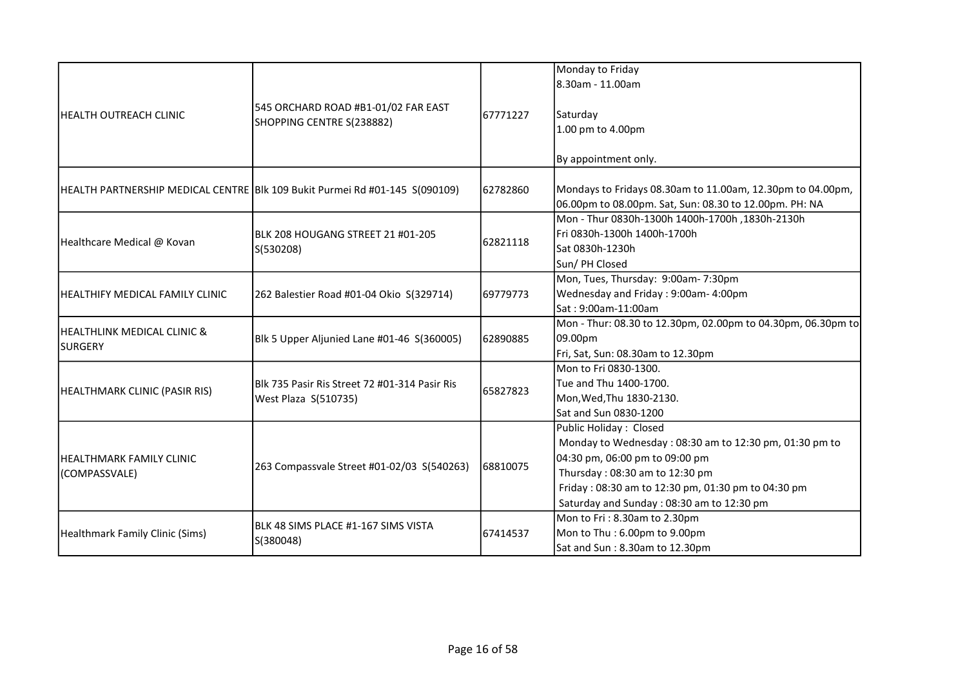|                                               | 545 ORCHARD ROAD #B1-01/02 FAR EAST<br>SHOPPING CENTRE S(238882)            |          | Monday to Friday                                                                                                                                                                                                                                        |
|-----------------------------------------------|-----------------------------------------------------------------------------|----------|---------------------------------------------------------------------------------------------------------------------------------------------------------------------------------------------------------------------------------------------------------|
| IHEALTH OUTREACH CLINIC                       |                                                                             |          | 8.30am - 11.00am                                                                                                                                                                                                                                        |
|                                               |                                                                             | 67771227 | Saturday<br>1.00 pm to 4.00pm                                                                                                                                                                                                                           |
|                                               |                                                                             |          | By appointment only.                                                                                                                                                                                                                                    |
|                                               | HEALTH PARTNERSHIP MEDICAL CENTRE BIk 109 Bukit Purmei Rd #01-145 S(090109) | 62782860 | Mondays to Fridays 08.30am to 11.00am, 12.30pm to 04.00pm,<br>06.00pm to 08.00pm. Sat, Sun: 08.30 to 12.00pm. PH: NA                                                                                                                                    |
| Healthcare Medical @ Kovan                    | BLK 208 HOUGANG STREET 21 #01-205<br>S(530208)                              | 62821118 | Mon - Thur 0830h-1300h 1400h-1700h, 1830h-2130h<br>Fri 0830h-1300h 1400h-1700h<br>Sat 0830h-1230h<br>Sun/ PH Closed                                                                                                                                     |
| HEALTHIFY MEDICAL FAMILY CLINIC               | 262 Balestier Road #01-04 Okio S(329714)                                    | 69779773 | Mon, Tues, Thursday: 9:00am-7:30pm<br>Wednesday and Friday: 9:00am- 4:00pm<br>Sat: 9:00am-11:00am                                                                                                                                                       |
| HEALTHLINK MEDICAL CLINIC &<br><b>SURGERY</b> | Blk 5 Upper Aljunied Lane #01-46 S(360005)                                  | 62890885 | Mon - Thur: 08.30 to 12.30pm, 02.00pm to 04.30pm, 06.30pm to<br>09.00pm<br>Fri, Sat, Sun: 08.30am to 12.30pm                                                                                                                                            |
| HEALTHMARK CLINIC (PASIR RIS)                 | Blk 735 Pasir Ris Street 72 #01-314 Pasir Ris<br>West Plaza S(510735)       | 65827823 | Mon to Fri 0830-1300.<br>Tue and Thu 1400-1700.<br>Mon, Wed, Thu 1830-2130.<br>Sat and Sun 0830-1200                                                                                                                                                    |
| HEALTHMARK FAMILY CLINIC<br>(COMPASSVALE)     | 263 Compassvale Street #01-02/03 S(540263)                                  | 68810075 | Public Holiday: Closed<br>Monday to Wednesday: 08:30 am to 12:30 pm, 01:30 pm to<br>04:30 pm, 06:00 pm to 09:00 pm<br>Thursday: 08:30 am to 12:30 pm<br>Friday: 08:30 am to 12:30 pm, 01:30 pm to 04:30 pm<br>Saturday and Sunday: 08:30 am to 12:30 pm |
| Healthmark Family Clinic (Sims)               | BLK 48 SIMS PLACE #1-167 SIMS VISTA<br>S(380048)                            | 67414537 | Mon to Fri: 8.30am to 2.30pm<br>Mon to Thu: 6.00pm to 9.00pm<br>Sat and Sun: 8.30am to 12.30pm                                                                                                                                                          |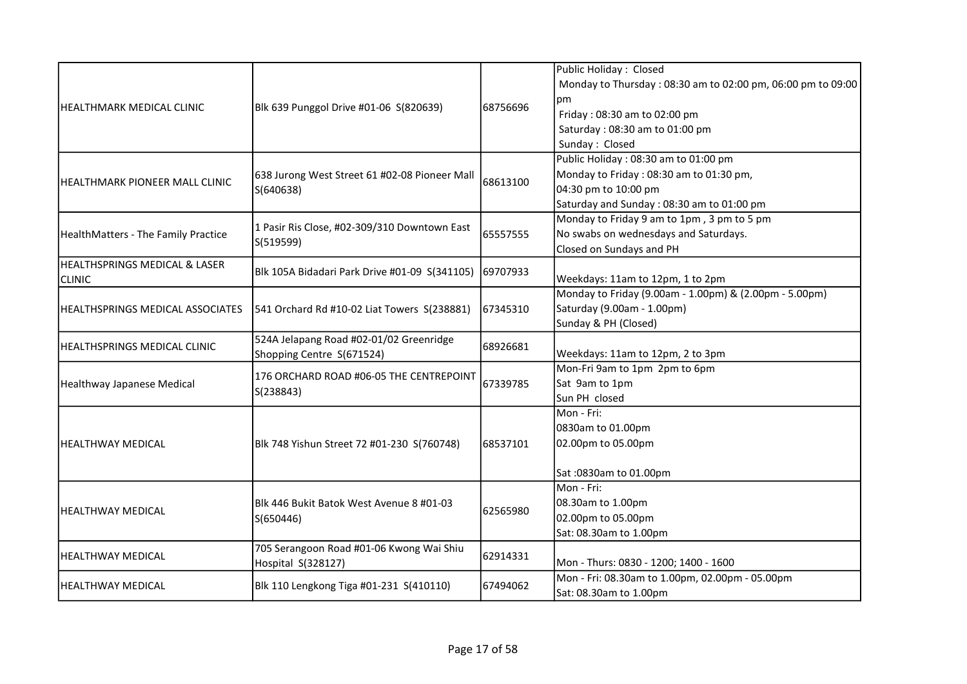|                                          |                                                                      |           | Public Holiday: Closed                                      |
|------------------------------------------|----------------------------------------------------------------------|-----------|-------------------------------------------------------------|
|                                          |                                                                      |           | Monday to Thursday: 08:30 am to 02:00 pm, 06:00 pm to 09:00 |
|                                          |                                                                      |           | рm                                                          |
| HEALTHMARK MEDICAL CLINIC                | Blk 639 Punggol Drive #01-06 S(820639)                               | 68756696  | Friday: 08:30 am to 02:00 pm                                |
|                                          |                                                                      |           | Saturday: 08:30 am to 01:00 pm                              |
|                                          |                                                                      |           | Sunday: Closed                                              |
|                                          |                                                                      |           | Public Holiday: 08:30 am to 01:00 pm                        |
|                                          | 638 Jurong West Street 61 #02-08 Pioneer Mall                        |           | Monday to Friday: 08:30 am to 01:30 pm,                     |
| <b>HEALTHMARK PIONEER MALL CLINIC</b>    | S(640638)                                                            | 68613100  | 04:30 pm to 10:00 pm                                        |
|                                          |                                                                      |           | Saturday and Sunday: 08:30 am to 01:00 pm                   |
|                                          |                                                                      |           | Monday to Friday 9 am to 1pm, 3 pm to 5 pm                  |
| HealthMatters - The Family Practice      | 1 Pasir Ris Close, #02-309/310 Downtown East                         | 65557555  | No swabs on wednesdays and Saturdays.                       |
|                                          | S(519599)                                                            |           | Closed on Sundays and PH                                    |
| <b>HEALTHSPRINGS MEDICAL &amp; LASER</b> |                                                                      |           |                                                             |
| <b>CLINIC</b>                            | Blk 105A Bidadari Park Drive #01-09 S(341105)                        | 69707933  | Weekdays: 11am to 12pm, 1 to 2pm                            |
|                                          |                                                                      |           | Monday to Friday (9.00am - 1.00pm) & (2.00pm - 5.00pm)      |
| <b>HEALTHSPRINGS MEDICAL ASSOCIATES</b>  | 541 Orchard Rd #10-02 Liat Towers S(238881)                          | 167345310 | Saturday (9.00am - 1.00pm)                                  |
|                                          |                                                                      |           | Sunday & PH (Closed)                                        |
|                                          | 524A Jelapang Road #02-01/02 Greenridge<br>Shopping Centre S(671524) |           |                                                             |
| <b>HEALTHSPRINGS MEDICAL CLINIC</b>      |                                                                      | 68926681  | Weekdays: 11am to 12pm, 2 to 3pm                            |
|                                          | 176 ORCHARD ROAD #06-05 THE CENTREPOINT<br>S(238843)                 | 67339785  | Mon-Fri 9am to 1pm 2pm to 6pm                               |
| <b>Healthway Japanese Medical</b>        |                                                                      |           | Sat 9am to 1pm                                              |
|                                          |                                                                      |           | Sun PH closed                                               |
|                                          |                                                                      |           | Mon - Fri:                                                  |
|                                          |                                                                      | 68537101  | 0830am to 01.00pm                                           |
| <b>HEALTHWAY MEDICAL</b>                 | Blk 748 Yishun Street 72 #01-230 S(760748)                           |           | 02.00pm to 05.00pm                                          |
|                                          |                                                                      |           |                                                             |
|                                          |                                                                      |           | Sat: 0830am to 01.00pm                                      |
|                                          |                                                                      |           | Mon - Fri:                                                  |
| <b>HEALTHWAY MEDICAL</b>                 | Blk 446 Bukit Batok West Avenue 8 #01-03                             |           | 08.30am to 1.00pm                                           |
|                                          | S(650446)                                                            | 62565980  | 02.00pm to 05.00pm                                          |
|                                          |                                                                      |           | Sat: 08.30am to 1.00pm                                      |
|                                          | 705 Serangoon Road #01-06 Kwong Wai Shiu                             |           |                                                             |
| <b>HEALTHWAY MEDICAL</b>                 | Hospital S(328127)                                                   | 62914331  | Mon - Thurs: 0830 - 1200; 1400 - 1600                       |
| <b>HEALTHWAY MEDICAL</b>                 | Blk 110 Lengkong Tiga #01-231 S(410110)                              | 67494062  | Mon - Fri: 08.30am to 1.00pm, 02.00pm - 05.00pm             |
|                                          |                                                                      |           | Sat: 08.30am to 1.00pm                                      |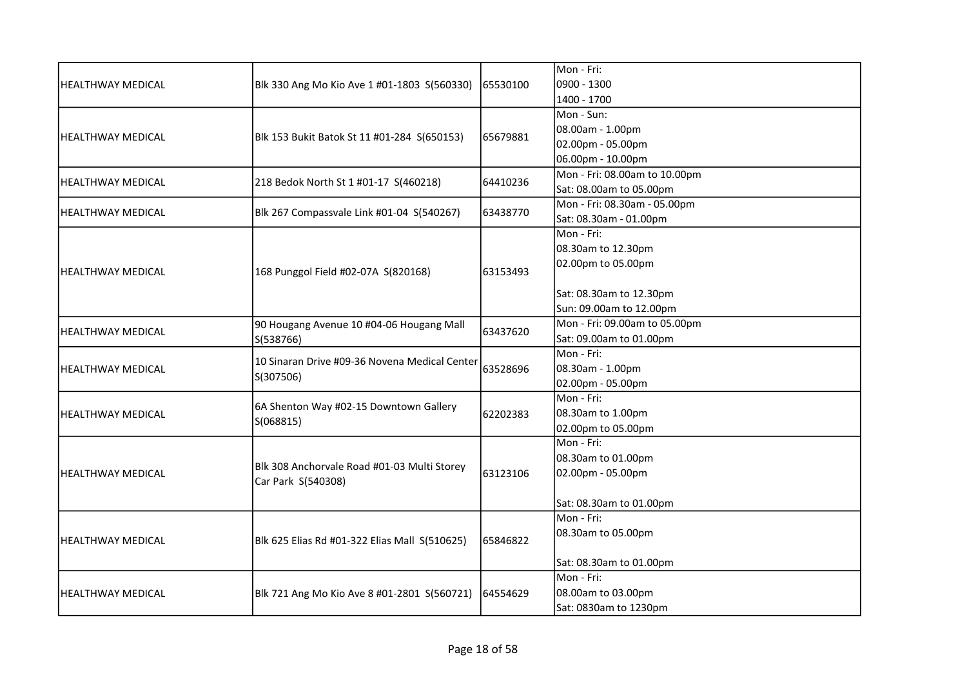|                          |                                                                   |          | Mon - Fri:                    |
|--------------------------|-------------------------------------------------------------------|----------|-------------------------------|
| <b>HEALTHWAY MEDICAL</b> | Blk 330 Ang Mo Kio Ave 1 #01-1803 S(560330)                       | 65530100 | 0900 - 1300                   |
|                          |                                                                   |          | 1400 - 1700                   |
|                          |                                                                   |          | Mon - Sun:                    |
|                          |                                                                   |          | 08.00am - 1.00pm              |
| <b>HEALTHWAY MEDICAL</b> | Blk 153 Bukit Batok St 11 #01-284 S(650153)                       | 65679881 | 02.00pm - 05.00pm             |
|                          |                                                                   |          | 06.00pm - 10.00pm             |
|                          |                                                                   | 64410236 | Mon - Fri: 08.00am to 10.00pm |
| <b>HEALTHWAY MEDICAL</b> | 218 Bedok North St 1 #01-17 S(460218)                             |          | Sat: 08.00am to 05.00pm       |
| <b>HEALTHWAY MEDICAL</b> |                                                                   | 63438770 | Mon - Fri: 08.30am - 05.00pm  |
|                          | Blk 267 Compassvale Link #01-04 S(540267)                         |          | Sat: 08.30am - 01.00pm        |
|                          |                                                                   |          | Mon - Fri:                    |
|                          |                                                                   |          | 08.30am to 12.30pm            |
| <b>HEALTHWAY MEDICAL</b> |                                                                   | 63153493 | 02.00pm to 05.00pm            |
|                          | 168 Punggol Field #02-07A S(820168)                               |          |                               |
|                          |                                                                   |          | Sat: 08.30am to 12.30pm       |
|                          |                                                                   |          | Sun: 09.00am to 12.00pm       |
| <b>HEALTHWAY MEDICAL</b> | 90 Hougang Avenue 10 #04-06 Hougang Mall                          | 63437620 | Mon - Fri: 09.00am to 05.00pm |
|                          | S(538766)                                                         |          | Sat: 09.00am to 01.00pm       |
|                          | 10 Sinaran Drive #09-36 Novena Medical Center<br>S(307506)        | 63528696 | Mon - Fri:                    |
| <b>HEALTHWAY MEDICAL</b> |                                                                   |          | 08.30am - 1.00pm              |
|                          |                                                                   |          | 02.00pm - 05.00pm             |
|                          | 6A Shenton Way #02-15 Downtown Gallery                            |          | Mon - Fri:                    |
| <b>HEALTHWAY MEDICAL</b> | S(068815)                                                         | 62202383 | 08.30am to 1.00pm             |
|                          |                                                                   |          | 02.00pm to 05.00pm            |
|                          |                                                                   |          | Mon - Fri:                    |
|                          | Blk 308 Anchorvale Road #01-03 Multi Storey<br>Car Park S(540308) |          | 08.30am to 01.00pm            |
| lHEALTHWAY MEDICAL       |                                                                   | 63123106 | 02.00pm - 05.00pm             |
|                          |                                                                   |          |                               |
|                          |                                                                   |          | Sat: 08.30am to 01.00pm       |
|                          |                                                                   |          | Mon - Fri:                    |
| <b>HEALTHWAY MEDICAL</b> | Blk 625 Elias Rd #01-322 Elias Mall S(510625)                     | 65846822 | 08.30am to 05.00pm            |
|                          |                                                                   |          |                               |
|                          |                                                                   |          | Sat: 08.30am to 01.00pm       |
|                          |                                                                   |          | Mon - Fri:                    |
| <b>HEALTHWAY MEDICAL</b> | Blk 721 Ang Mo Kio Ave 8 #01-2801 S(560721)                       | 64554629 | 08.00am to 03.00pm            |
|                          |                                                                   |          | Sat: 0830am to 1230pm         |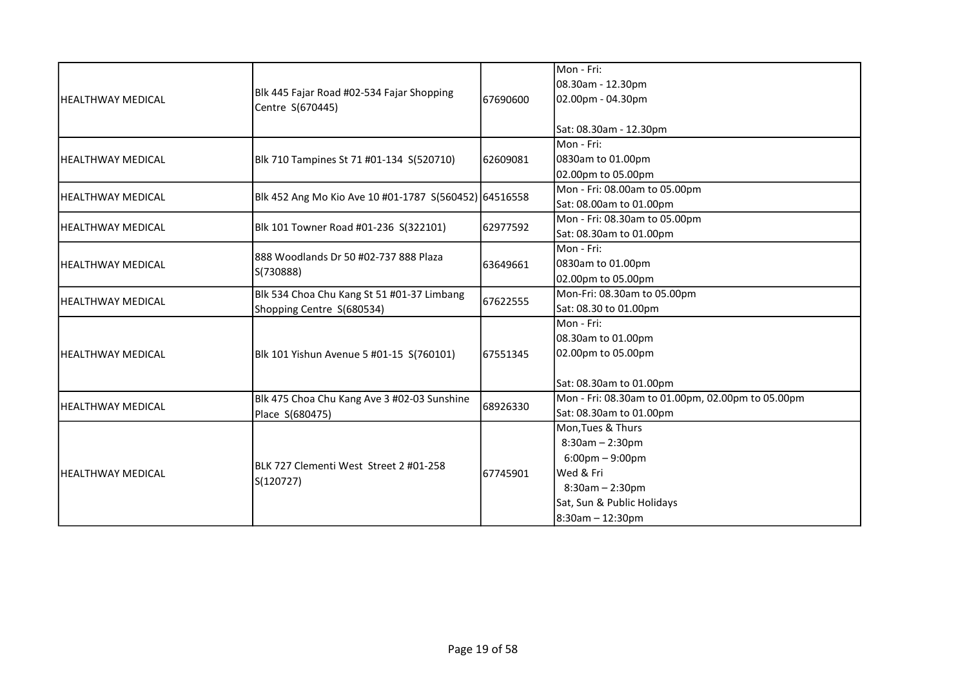|                          |                                                                         |          | Mon - Fri:                                        |
|--------------------------|-------------------------------------------------------------------------|----------|---------------------------------------------------|
| HEALTHWAY MEDICAL        |                                                                         |          | 08.30am - 12.30pm                                 |
|                          | Blk 445 Fajar Road #02-534 Fajar Shopping                               | 67690600 | 02.00pm - 04.30pm                                 |
|                          | Centre S(670445)                                                        |          |                                                   |
|                          |                                                                         |          | Sat: 08.30am - 12.30pm                            |
|                          |                                                                         |          | Mon - Fri:                                        |
| lHEALTHWAY MEDICAL       | Blk 710 Tampines St 71 #01-134 S(520710)                                | 62609081 | 0830am to 01.00pm                                 |
|                          |                                                                         |          | 02.00pm to 05.00pm                                |
|                          |                                                                         |          | Mon - Fri: 08.00am to 05.00pm                     |
| lHEALTHWAY MEDICAL       | Blk 452 Ang Mo Kio Ave 10 #01-1787 S(560452) 64516558                   |          | Sat: 08.00am to 01.00pm                           |
|                          |                                                                         |          | Mon - Fri: 08.30am to 05.00pm                     |
| HEALTHWAY MEDICAL        | Blk 101 Towner Road #01-236 S(322101)                                   | 62977592 | Sat: 08.30am to 01.00pm                           |
|                          | 888 Woodlands Dr 50 #02-737 888 Plaza<br>S(730888)                      |          | Mon - Fri:                                        |
| lHEALTHWAY MEDICAL       |                                                                         | 63649661 | 0830am to 01.00pm                                 |
|                          |                                                                         |          | 02.00pm to 05.00pm                                |
|                          | Blk 534 Choa Chu Kang St 51 #01-37 Limbang<br>Shopping Centre S(680534) | 67622555 | Mon-Fri: 08.30am to 05.00pm                       |
| HEALTHWAY MEDICAL        |                                                                         |          | Sat: 08.30 to 01.00pm                             |
|                          |                                                                         |          | Mon - Fri:                                        |
|                          | Blk 101 Yishun Avenue 5 #01-15 S(760101)                                | 67551345 | 08.30am to 01.00pm                                |
| <b>HEALTHWAY MEDICAL</b> |                                                                         |          | 02.00pm to 05.00pm                                |
|                          |                                                                         |          |                                                   |
|                          |                                                                         |          | Sat: 08.30am to 01.00pm                           |
|                          | Blk 475 Choa Chu Kang Ave 3 #02-03 Sunshine                             | 68926330 | Mon - Fri: 08.30am to 01.00pm, 02.00pm to 05.00pm |
| lHEALTHWAY MEDICAL       | Place S(680475)                                                         |          | Sat: 08.30am to 01.00pm                           |
|                          |                                                                         |          | Mon, Tues & Thurs                                 |
| <b>HEALTHWAY MEDICAL</b> |                                                                         |          | $8:30am - 2:30pm$                                 |
|                          |                                                                         | 67745901 | $6:00$ pm $-9:00$ pm                              |
|                          | BLK 727 Clementi West Street 2 #01-258<br>S(120727)                     |          | Wed & Fri                                         |
|                          |                                                                         |          | $8:30am - 2:30pm$                                 |
|                          |                                                                         |          | Sat, Sun & Public Holidays                        |
|                          |                                                                         |          | $8:30am - 12:30pm$                                |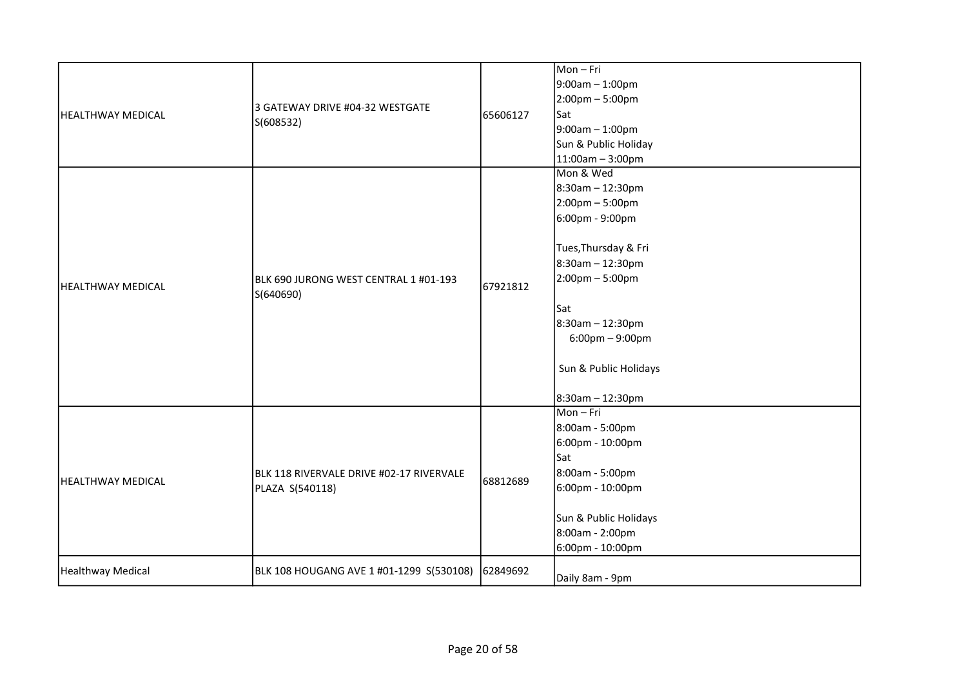| <b>HEALTHWAY MEDICAL</b> | 3 GATEWAY DRIVE #04-32 WESTGATE<br>S(608532)                | 65606127 | Mon-Fri<br>$9:00am - 1:00pm$<br>2:00pm - 5:00pm<br>Sat<br>9:00am - 1:00pm<br>Sun & Public Holiday<br>$11:00am - 3:00pm$                                                                                                                             |
|--------------------------|-------------------------------------------------------------|----------|-----------------------------------------------------------------------------------------------------------------------------------------------------------------------------------------------------------------------------------------------------|
| <b>HEALTHWAY MEDICAL</b> | BLK 690 JURONG WEST CENTRAL 1 #01-193<br>S(640690)          | 67921812 | Mon & Wed<br>8:30am - 12:30pm<br>2:00pm - 5:00pm<br>6:00pm - 9:00pm<br>Tues, Thursday & Fri<br>8:30am - 12:30pm<br>$2:00$ pm – 5:00pm<br>lSat<br>8:30am - 12:30pm<br>$6:00 \text{pm} - 9:00 \text{pm}$<br>Sun & Public Holidays<br>8:30am - 12:30pm |
| <b>HEALTHWAY MEDICAL</b> | BLK 118 RIVERVALE DRIVE #02-17 RIVERVALE<br>PLAZA S(540118) | 68812689 | Mon-Fri<br>8:00am - 5:00pm<br>6:00pm - 10:00pm<br><b>Sat</b><br>8:00am - 5:00pm<br>6:00pm - 10:00pm<br>Sun & Public Holidays<br>8:00am - 2:00pm<br>6:00pm - 10:00pm                                                                                 |
| Healthway Medical        | BLK 108 HOUGANG AVE 1 #01-1299 S(530108)                    | 62849692 | Daily 8am - 9pm                                                                                                                                                                                                                                     |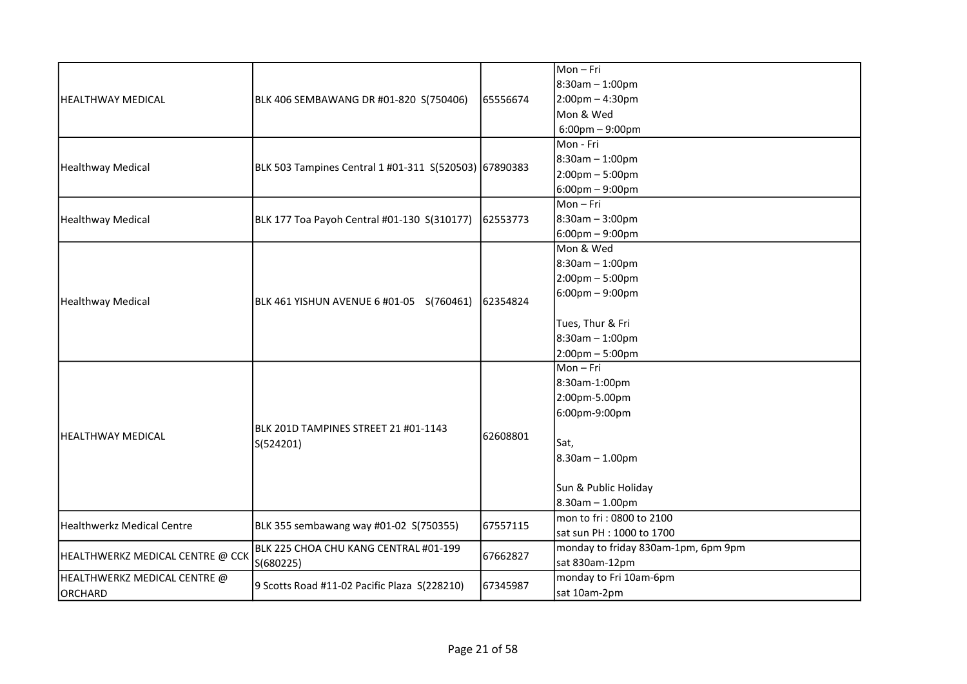|                                  |                                                       |          | Mon-Fri                             |
|----------------------------------|-------------------------------------------------------|----------|-------------------------------------|
| <b>HEALTHWAY MEDICAL</b>         |                                                       |          | 8:30am - 1:00pm                     |
|                                  | BLK 406 SEMBAWANG DR #01-820 S(750406)                | 65556674 | $2:00$ pm - 4:30pm                  |
|                                  |                                                       |          | Mon & Wed                           |
|                                  |                                                       |          | $6:00 \text{pm} - 9:00 \text{pm}$   |
|                                  |                                                       |          | Mon - Fri                           |
|                                  |                                                       |          | 8:30am - 1:00pm                     |
| Healthway Medical                | BLK 503 Tampines Central 1 #01-311 S(520503) 67890383 |          | $2:00 \text{pm} - 5:00 \text{pm}$   |
|                                  |                                                       |          | $6:00$ pm – 9:00pm                  |
|                                  |                                                       |          | $Mon-Fri$                           |
| Healthway Medical                | BLK 177 Toa Payoh Central #01-130 S(310177)           | 62553773 | 8:30am - 3:00pm                     |
|                                  |                                                       |          | $6:00$ pm – 9:00pm                  |
|                                  |                                                       |          | Mon & Wed                           |
|                                  |                                                       |          | 8:30am - 1:00pm                     |
|                                  |                                                       |          | $2:00$ pm – 5:00pm                  |
|                                  |                                                       |          | $6:00$ pm – 9:00pm                  |
| Healthway Medical                | BLK 461 YISHUN AVENUE 6 #01-05 S(760461)              | 62354824 |                                     |
|                                  |                                                       |          | Tues, Thur & Fri                    |
|                                  |                                                       |          | 8:30am - 1:00pm                     |
|                                  |                                                       |          | $2:00$ pm – 5:00pm                  |
|                                  |                                                       |          | $Mon-Fri$                           |
|                                  |                                                       |          | 8:30am-1:00pm                       |
|                                  |                                                       | 62608801 | 2:00pm-5.00pm                       |
|                                  |                                                       |          | 6:00pm-9:00pm                       |
|                                  | BLK 201D TAMPINES STREET 21 #01-1143                  |          |                                     |
| <b>HEALTHWAY MEDICAL</b>         | S(524201)                                             |          | Sat,                                |
|                                  |                                                       |          | $8.30$ am $- 1.00$ pm               |
|                                  |                                                       |          |                                     |
|                                  |                                                       |          | Sun & Public Holiday                |
|                                  |                                                       |          | $8.30$ am - 1.00pm                  |
|                                  |                                                       |          | mon to fri: 0800 to 2100            |
| Healthwerkz Medical Centre       | BLK 355 sembawang way #01-02 S(750355)                | 67557115 | sat sun PH : 1000 to 1700           |
| HEALTHWERKZ MEDICAL CENTRE @ CCK | BLK 225 CHOA CHU KANG CENTRAL #01-199<br>S(680225)    |          | monday to friday 830am-1pm, 6pm 9pm |
|                                  |                                                       | 67662827 | sat 830am-12pm                      |
| HEALTHWERKZ MEDICAL CENTRE @     |                                                       |          | monday to Fri 10am-6pm              |
| ORCHARD                          | 9 Scotts Road #11-02 Pacific Plaza S(228210)          | 67345987 | sat 10am-2pm                        |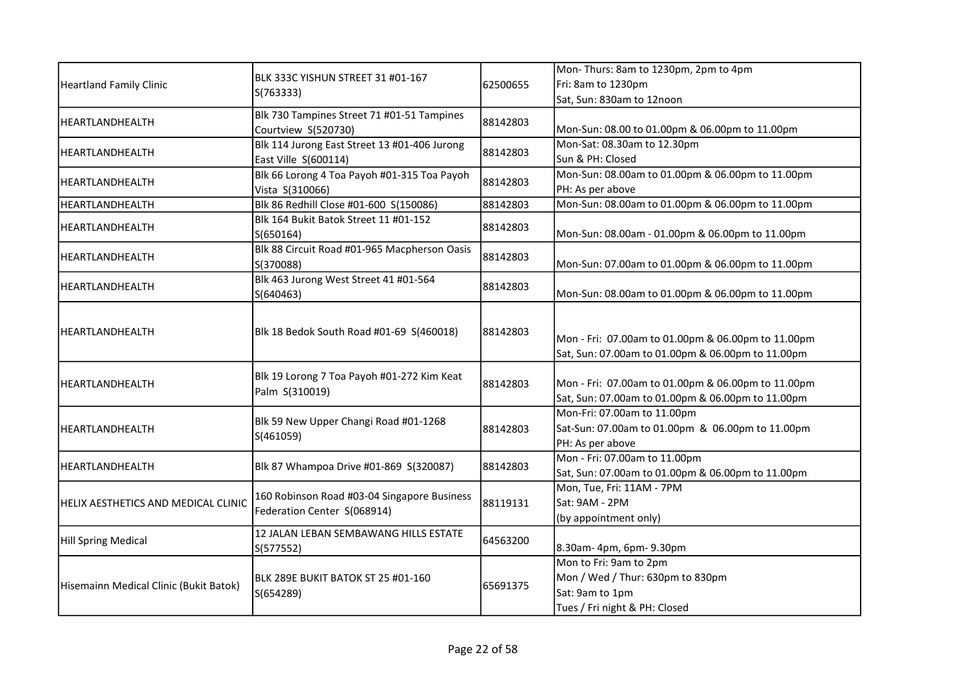| <b>Heartland Family Clinic</b>         | BLK 333C YISHUN STREET 31 #01-167<br>S(763333)               | 62500655 | Mon-Thurs: 8am to 1230pm, 2pm to 4pm               |
|----------------------------------------|--------------------------------------------------------------|----------|----------------------------------------------------|
|                                        |                                                              |          | Fri: 8am to 1230pm                                 |
|                                        |                                                              |          | Sat, Sun: 830am to 12noon                          |
| HEARTLANDHEALTH                        | Blk 730 Tampines Street 71 #01-51 Tampines                   | 88142803 |                                                    |
|                                        | Courtview S(520730)                                          |          | Mon-Sun: 08.00 to 01.00pm & 06.00pm to 11.00pm     |
| HEARTLANDHEALTH                        | Blk 114 Jurong East Street 13 #01-406 Jurong                 | 88142803 | Mon-Sat: 08.30am to 12.30pm                        |
|                                        | East Ville S(600114)                                         |          | Sun & PH: Closed                                   |
| HEARTLANDHEALTH                        | Blk 66 Lorong 4 Toa Payoh #01-315 Toa Payoh                  | 88142803 | Mon-Sun: 08.00am to 01.00pm & 06.00pm to 11.00pm   |
|                                        | Vista S(310066)                                              |          | PH: As per above                                   |
| HEARTLANDHEALTH                        | Blk 86 Redhill Close #01-600 S(150086)                       | 88142803 | Mon-Sun: 08.00am to 01.00pm & 06.00pm to 11.00pm   |
| HEARTLANDHEALTH                        | Blk 164 Bukit Batok Street 11 #01-152                        | 88142803 |                                                    |
|                                        | S(650164)                                                    |          | Mon-Sun: 08.00am - 01.00pm & 06.00pm to 11.00pm    |
| HEARTLANDHEALTH                        | Blk 88 Circuit Road #01-965 Macpherson Oasis                 | 88142803 |                                                    |
|                                        | S(370088)                                                    |          | Mon-Sun: 07.00am to 01.00pm & 06.00pm to 11.00pm   |
| HEARTLANDHEALTH                        | Blk 463 Jurong West Street 41 #01-564                        | 88142803 |                                                    |
|                                        | S(640463)                                                    |          | Mon-Sun: 08.00am to 01.00pm & 06.00pm to 11.00pm   |
|                                        |                                                              |          |                                                    |
| HEARTLANDHEALTH                        | Blk 18 Bedok South Road #01-69 S(460018)                     | 88142803 |                                                    |
|                                        |                                                              |          | Mon - Fri: 07.00am to 01.00pm & 06.00pm to 11.00pm |
|                                        |                                                              |          | Sat, Sun: 07.00am to 01.00pm & 06.00pm to 11.00pm  |
|                                        | Blk 19 Lorong 7 Toa Payoh #01-272 Kim Keat<br>Palm S(310019) | 88142803 | Mon - Fri: 07.00am to 01.00pm & 06.00pm to 11.00pm |
| HEARTLANDHEALTH                        |                                                              |          | Sat, Sun: 07.00am to 01.00pm & 06.00pm to 11.00pm  |
|                                        |                                                              |          | Mon-Fri: 07.00am to 11.00pm                        |
|                                        | Blk 59 New Upper Changi Road #01-1268<br>S(461059)           |          | Sat-Sun: 07.00am to 01.00pm & 06.00pm to 11.00pm   |
| HEARTLANDHEALTH                        |                                                              | 88142803 | PH: As per above                                   |
|                                        |                                                              |          | Mon - Fri: 07.00am to 11.00pm                      |
| HEARTLANDHEALTH                        | Blk 87 Whampoa Drive #01-869 S(320087)                       | 88142803 | Sat, Sun: 07.00am to 01.00pm & 06.00pm to 11.00pm  |
|                                        |                                                              |          | Mon, Tue, Fri: 11AM - 7PM                          |
| HELIX AESTHETICS AND MEDICAL CLINIC    | 160 Robinson Road #03-04 Singapore Business                  | 88119131 | Sat: 9AM - 2PM                                     |
|                                        | Federation Center S(068914)                                  |          | (by appointment only)                              |
|                                        | 12 JALAN LEBAN SEMBAWANG HILLS ESTATE                        |          |                                                    |
| <b>Hill Spring Medical</b>             | S(577552)                                                    | 64563200 | 8.30am-4pm, 6pm-9.30pm                             |
|                                        |                                                              |          | Mon to Fri: 9am to 2pm                             |
|                                        | BLK 289E BUKIT BATOK ST 25 #01-160                           | 65691375 | Mon / Wed / Thur: 630pm to 830pm                   |
| Hisemainn Medical Clinic (Bukit Batok) | S(654289)                                                    |          | Sat: 9am to 1pm                                    |
|                                        |                                                              |          | Tues / Fri night & PH: Closed                      |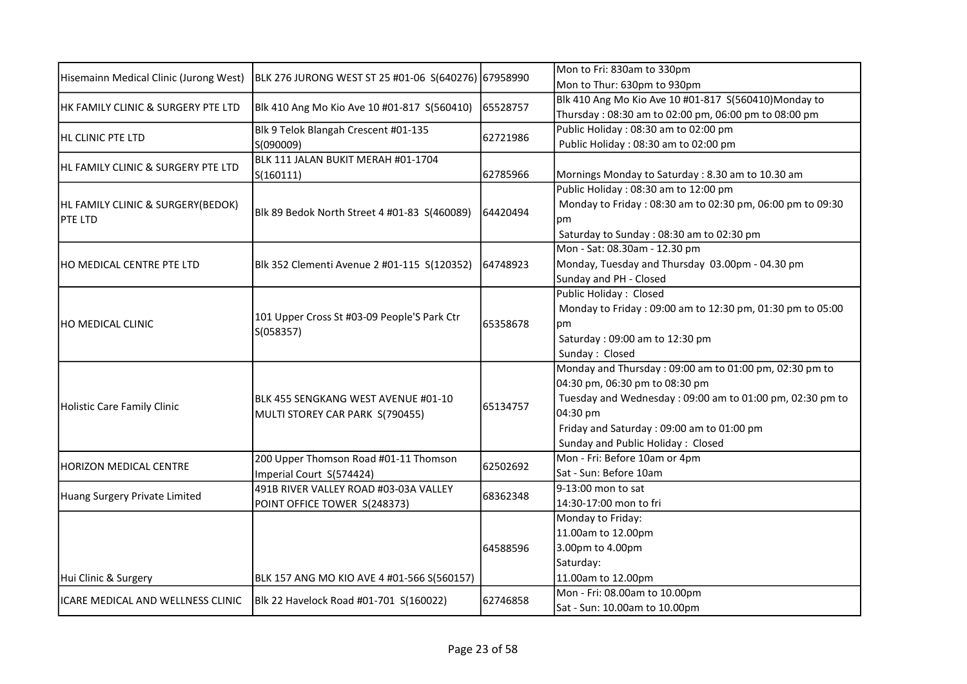|                                        | BLK 276 JURONG WEST ST 25 #01-06 S(640276) 67958990                    |          | Mon to Fri: 830am to 330pm                                |
|----------------------------------------|------------------------------------------------------------------------|----------|-----------------------------------------------------------|
| Hisemainn Medical Clinic (Jurong West) |                                                                        |          | Mon to Thur: 630pm to 930pm                               |
| HK FAMILY CLINIC & SURGERY PTE LTD     |                                                                        | 65528757 | Blk 410 Ang Mo Kio Ave 10 #01-817 S(560410)Monday to      |
|                                        | Blk 410 Ang Mo Kio Ave 10 #01-817 S(560410)                            |          | Thursday: 08:30 am to 02:00 pm, 06:00 pm to 08:00 pm      |
| <b>HL CLINIC PTE LTD</b>               | Blk 9 Telok Blangah Crescent #01-135                                   | 62721986 | Public Holiday: 08:30 am to 02:00 pm                      |
|                                        | S(090009)                                                              |          | Public Holiday: 08:30 am to 02:00 pm                      |
| HL FAMILY CLINIC & SURGERY PTE LTD     | BLK 111 JALAN BUKIT MERAH #01-1704                                     |          |                                                           |
|                                        | S(160111)                                                              | 62785966 | Mornings Monday to Saturday : 8.30 am to 10.30 am         |
|                                        |                                                                        |          | Public Holiday: 08:30 am to 12:00 pm                      |
| HL FAMILY CLINIC & SURGERY(BEDOK)      | Blk 89 Bedok North Street 4 #01-83 S(460089)                           | 64420494 | Monday to Friday: 08:30 am to 02:30 pm, 06:00 pm to 09:30 |
| <b>PTE LTD</b>                         |                                                                        |          | рm                                                        |
|                                        |                                                                        |          | Saturday to Sunday: 08:30 am to 02:30 pm                  |
|                                        |                                                                        |          | Mon - Sat: 08.30am - 12.30 pm                             |
| HO MEDICAL CENTRE PTE LTD              | Blk 352 Clementi Avenue 2 #01-115 S(120352)                            | 64748923 | Monday, Tuesday and Thursday 03.00pm - 04.30 pm           |
|                                        |                                                                        |          | Sunday and PH - Closed                                    |
|                                        |                                                                        |          | <b>Public Holiday: Closed</b>                             |
|                                        | 101 Upper Cross St #03-09 People'S Park Ctr<br>S(058357)               |          | Monday to Friday: 09:00 am to 12:30 pm, 01:30 pm to 05:00 |
| IHO MEDICAL CLINIC                     |                                                                        | 65358678 | рm                                                        |
|                                        |                                                                        |          | Saturday: 09:00 am to 12:30 pm                            |
|                                        |                                                                        |          | Sunday: Closed                                            |
|                                        |                                                                        |          | Monday and Thursday: 09:00 am to 01:00 pm, 02:30 pm to    |
|                                        | BLK 455 SENGKANG WEST AVENUE #01-10<br>MULTI STOREY CAR PARK S(790455) | 65134757 | 04:30 pm, 06:30 pm to 08:30 pm                            |
| Holistic Care Family Clinic            |                                                                        |          | Tuesday and Wednesday: 09:00 am to 01:00 pm, 02:30 pm to  |
|                                        |                                                                        |          | 04:30 pm                                                  |
|                                        |                                                                        |          | Friday and Saturday: 09:00 am to 01:00 pm                 |
|                                        |                                                                        |          | Sunday and Public Holiday: Closed                         |
| HORIZON MEDICAL CENTRE                 | 200 Upper Thomson Road #01-11 Thomson                                  | 62502692 | Mon - Fri: Before 10am or 4pm                             |
|                                        | Imperial Court S(574424)                                               |          | Sat - Sun: Before 10am                                    |
| Huang Surgery Private Limited          | 491B RIVER VALLEY ROAD #03-03A VALLEY                                  | 68362348 | 9-13:00 mon to sat                                        |
|                                        | POINT OFFICE TOWER S(248373)                                           |          | 14:30-17:00 mon to fri                                    |
|                                        |                                                                        |          | Monday to Friday:                                         |
|                                        |                                                                        |          | 11.00am to 12.00pm                                        |
|                                        |                                                                        | 64588596 | 3.00pm to 4.00pm                                          |
|                                        |                                                                        |          | Saturday:                                                 |
| Hui Clinic & Surgery                   | BLK 157 ANG MO KIO AVE 4 #01-566 S(560157)                             |          | 11.00am to 12.00pm                                        |
| ICARE MEDICAL AND WELLNESS CLINIC      | Blk 22 Havelock Road #01-701 S(160022)                                 | 62746858 | Mon - Fri: 08.00am to 10.00pm                             |
|                                        |                                                                        |          | Sat - Sun: 10.00am to 10.00pm                             |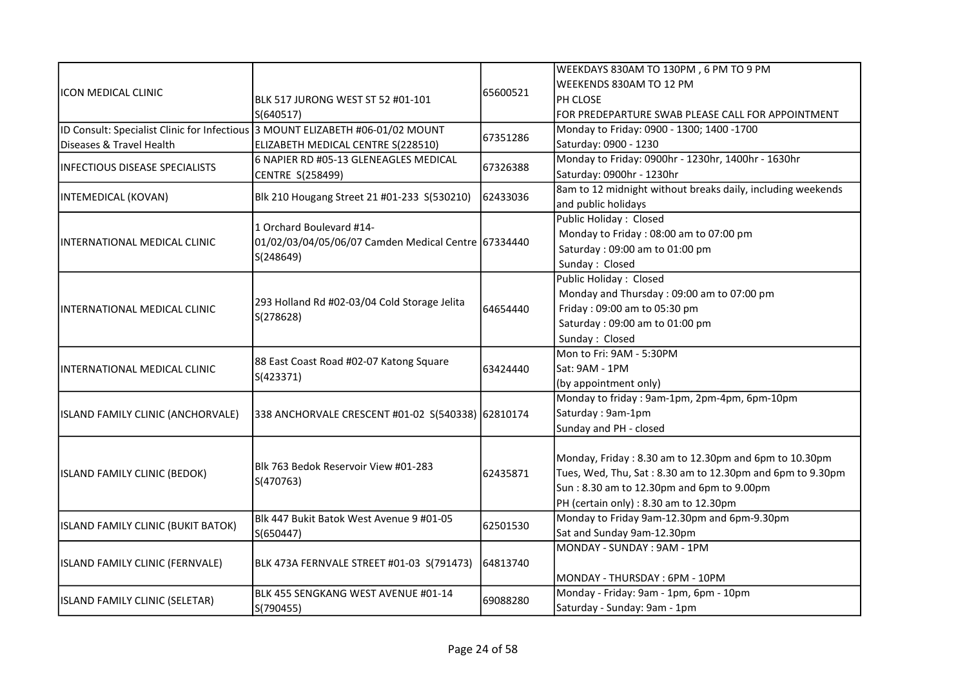|                                              |                                                           |          | WEEKDAYS 830AM TO 130PM, 6 PM TO 9 PM                       |
|----------------------------------------------|-----------------------------------------------------------|----------|-------------------------------------------------------------|
| <b>ICON MEDICAL CLINIC</b>                   |                                                           |          | WEEKENDS 830AM TO 12 PM                                     |
|                                              | BLK 517 JURONG WEST ST 52 #01-101                         | 65600521 | PH CLOSE                                                    |
|                                              | S(640517)                                                 |          | FOR PREDEPARTURE SWAB PLEASE CALL FOR APPOINTMENT           |
| ID Consult: Specialist Clinic for Infectious | 3 MOUNT ELIZABETH #06-01/02 MOUNT                         |          | Monday to Friday: 0900 - 1300; 1400 -1700                   |
| Diseases & Travel Health                     | ELIZABETH MEDICAL CENTRE S(228510)                        | 67351286 | Saturday: 0900 - 1230                                       |
|                                              | 6 NAPIER RD #05-13 GLENEAGLES MEDICAL                     |          | Monday to Friday: 0900hr - 1230hr, 1400hr - 1630hr          |
| <b>INFECTIOUS DISEASE SPECIALISTS</b>        | CENTRE S(258499)                                          | 67326388 | Saturday: 0900hr - 1230hr                                   |
|                                              |                                                           |          | 8am to 12 midnight without breaks daily, including weekends |
| INTEMEDICAL (KOVAN)                          | Blk 210 Hougang Street 21 #01-233 S(530210)               | 62433036 | and public holidays                                         |
|                                              | 1 Orchard Boulevard #14-                                  |          | Public Holiday: Closed                                      |
|                                              |                                                           |          | Monday to Friday: 08:00 am to 07:00 pm                      |
| INTERNATIONAL MEDICAL CLINIC                 | 01/02/03/04/05/06/07 Camden Medical Centre 67334440       |          | Saturday: 09:00 am to 01:00 pm                              |
|                                              | S(248649)                                                 |          | Sunday: Closed                                              |
|                                              |                                                           |          | Public Holiday: Closed                                      |
|                                              | 293 Holland Rd #02-03/04 Cold Storage Jelita<br>S(278628) |          | Monday and Thursday: 09:00 am to 07:00 pm                   |
| INTERNATIONAL MEDICAL CLINIC                 |                                                           | 64654440 | Friday: 09:00 am to 05:30 pm                                |
|                                              |                                                           |          | Saturday: 09:00 am to 01:00 pm                              |
|                                              |                                                           |          | Sunday: Closed                                              |
|                                              | 88 East Coast Road #02-07 Katong Square<br>S(423371)      |          | Mon to Fri: 9AM - 5:30PM                                    |
| INTERNATIONAL MEDICAL CLINIC                 |                                                           | 63424440 | Sat: 9AM - 1PM                                              |
|                                              |                                                           |          | (by appointment only)                                       |
|                                              | 338 ANCHORVALE CRESCENT #01-02 S(540338) 62810174         |          | Monday to friday: 9am-1pm, 2pm-4pm, 6pm-10pm                |
| ISLAND FAMILY CLINIC (ANCHORVALE)            |                                                           |          | Saturday: 9am-1pm                                           |
|                                              |                                                           |          | Sunday and PH - closed                                      |
|                                              |                                                           |          |                                                             |
|                                              | Blk 763 Bedok Reservoir View #01-283                      |          | Monday, Friday: 8.30 am to 12.30pm and 6pm to 10.30pm       |
| ISLAND FAMILY CLINIC (BEDOK)                 |                                                           | 62435871 | Tues, Wed, Thu, Sat: 8.30 am to 12.30pm and 6pm to 9.30pm   |
|                                              | S(470763)                                                 |          | Sun: 8.30 am to 12.30pm and 6pm to 9.00pm                   |
|                                              |                                                           |          | PH (certain only) : 8.30 am to 12.30pm                      |
| ISLAND FAMILY CLINIC (BUKIT BATOK)           | Blk 447 Bukit Batok West Avenue 9 #01-05                  | 62501530 | Monday to Friday 9am-12.30pm and 6pm-9.30pm                 |
|                                              | S(650447)                                                 |          | Sat and Sunday 9am-12.30pm                                  |
| ISLAND FAMILY CLINIC (FERNVALE)              |                                                           |          | MONDAY - SUNDAY : 9AM - 1PM                                 |
|                                              | BLK 473A FERNVALE STREET #01-03 S(791473)                 | 64813740 |                                                             |
|                                              |                                                           |          | MONDAY - THURSDAY: 6PM - 10PM                               |
|                                              | BLK 455 SENGKANG WEST AVENUE #01-14<br>S(790455)          | 69088280 | Monday - Friday: 9am - 1pm, 6pm - 10pm                      |
| ISLAND FAMILY CLINIC (SELETAR)               |                                                           |          | Saturday - Sunday: 9am - 1pm                                |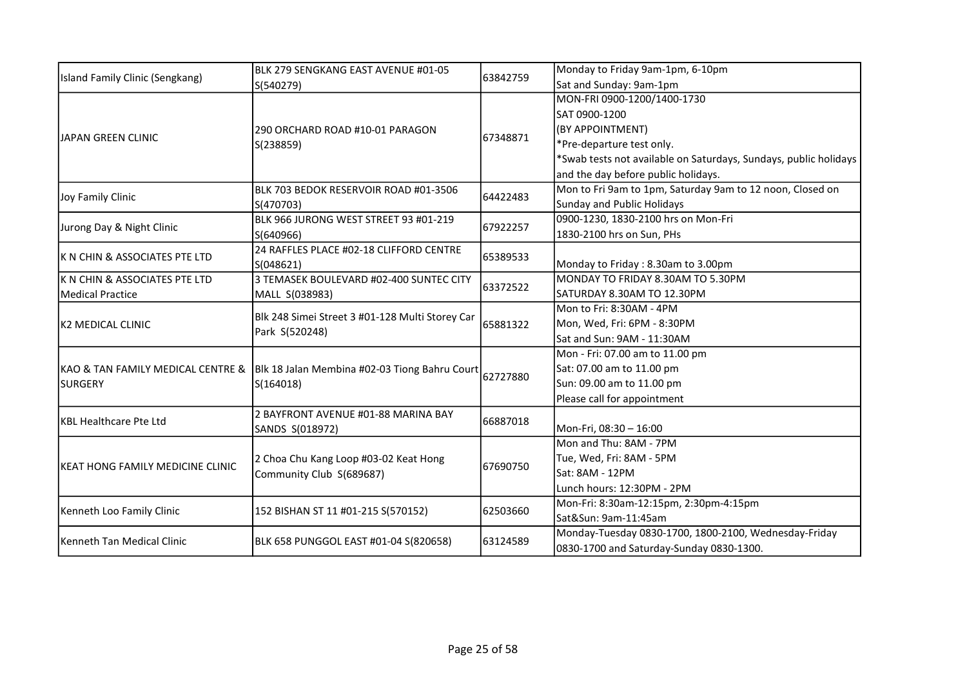| Island Family Clinic (Sengkang)   | BLK 279 SENGKANG EAST AVENUE #01-05<br>S(540279)                  | 63842759 | Monday to Friday 9am-1pm, 6-10pm                                 |
|-----------------------------------|-------------------------------------------------------------------|----------|------------------------------------------------------------------|
|                                   |                                                                   |          | Sat and Sunday: 9am-1pm                                          |
|                                   |                                                                   |          | MON-FRI 0900-1200/1400-1730                                      |
|                                   |                                                                   |          | SAT 0900-1200                                                    |
| IJAPAN GREEN CLINIC               | 290 ORCHARD ROAD #10-01 PARAGON                                   | 67348871 | (BY APPOINTMENT)                                                 |
|                                   | S(238859)                                                         |          | *Pre-departure test only.                                        |
|                                   |                                                                   |          | *Swab tests not available on Saturdays, Sundays, public holidays |
|                                   |                                                                   |          | and the day before public holidays.                              |
| Joy Family Clinic                 | BLK 703 BEDOK RESERVOIR ROAD #01-3506                             | 64422483 | Mon to Fri 9am to 1pm, Saturday 9am to 12 noon, Closed on        |
|                                   | S(470703)                                                         |          | Sunday and Public Holidays                                       |
| Jurong Day & Night Clinic         | BLK 966 JURONG WEST STREET 93 #01-219                             | 67922257 | 0900-1230, 1830-2100 hrs on Mon-Fri                              |
|                                   | S(640966)                                                         |          | 1830-2100 hrs on Sun, PHs                                        |
| IK N CHIN & ASSOCIATES PTE LTD    | 24 RAFFLES PLACE #02-18 CLIFFORD CENTRE                           | 65389533 |                                                                  |
|                                   | S(048621)                                                         |          | Monday to Friday: 8.30am to 3.00pm                               |
| K N CHIN & ASSOCIATES PTE LTD     | 3 TEMASEK BOULEVARD #02-400 SUNTEC CITY                           | 63372522 | MONDAY TO FRIDAY 8.30AM TO 5.30PM                                |
| Medical Practice                  | MALL S(038983)                                                    |          | SATURDAY 8.30AM TO 12.30PM                                       |
|                                   | Blk 248 Simei Street 3 #01-128 Multi Storey Car<br>Park S(520248) | 65881322 | Mon to Fri: 8:30AM - 4PM                                         |
| K2 MEDICAL CLINIC                 |                                                                   |          | Mon, Wed, Fri: 6PM - 8:30PM                                      |
|                                   |                                                                   |          | Sat and Sun: 9AM - 11:30AM                                       |
|                                   | Blk 18 Jalan Membina #02-03 Tiong Bahru Court<br>S(164018)        | 62727880 | Mon - Fri: 07.00 am to 11.00 pm                                  |
| KAO & TAN FAMILY MEDICAL CENTRE & |                                                                   |          | Sat: 07.00 am to 11.00 pm                                        |
| SURGERY                           |                                                                   |          | Sun: 09.00 am to 11.00 pm                                        |
|                                   |                                                                   |          | Please call for appointment                                      |
| KBL Healthcare Pte Ltd            | 2 BAYFRONT AVENUE #01-88 MARINA BAY                               | 66887018 |                                                                  |
|                                   | SANDS S(018972)                                                   |          | Mon-Fri, 08:30 - 16:00                                           |
|                                   |                                                                   |          | Mon and Thu: 8AM - 7PM                                           |
| İKEAT HONG FAMILY MEDICINE CLINIC | 2 Choa Chu Kang Loop #03-02 Keat Hong                             | 67690750 | Tue, Wed, Fri: 8AM - 5PM                                         |
|                                   | Community Club S(689687)                                          |          | Sat: 8AM - 12PM                                                  |
|                                   |                                                                   |          | Lunch hours: 12:30PM - 2PM                                       |
| Kenneth Loo Family Clinic         | 152 BISHAN ST 11 #01-215 S(570152)                                | 62503660 | Mon-Fri: 8:30am-12:15pm, 2:30pm-4:15pm                           |
|                                   |                                                                   |          | Sat&Sun: 9am-11:45am                                             |
| Kenneth Tan Medical Clinic        | BLK 658 PUNGGOL EAST #01-04 S(820658)                             | 63124589 | Monday-Tuesday 0830-1700, 1800-2100, Wednesday-Friday            |
|                                   |                                                                   |          | 0830-1700 and Saturday-Sunday 0830-1300.                         |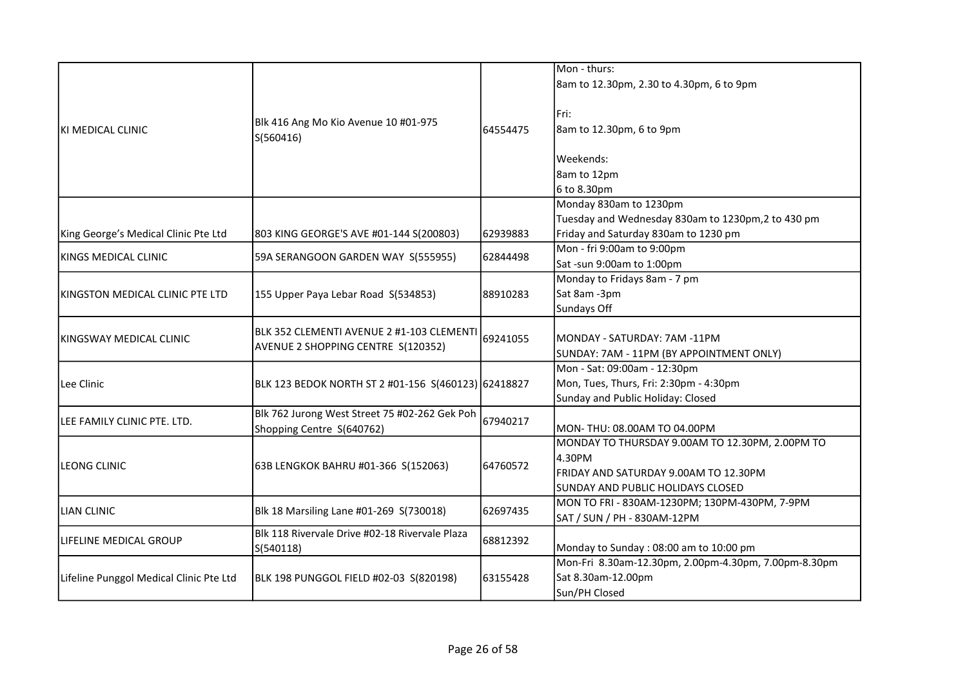|                                         |                                                                                 |          | Mon - thurs:                                         |
|-----------------------------------------|---------------------------------------------------------------------------------|----------|------------------------------------------------------|
|                                         |                                                                                 |          | 8am to 12.30pm, 2.30 to 4.30pm, 6 to 9pm             |
|                                         |                                                                                 |          |                                                      |
|                                         |                                                                                 |          | Fri:                                                 |
| İKI MEDICAL CLINIC                      | Blk 416 Ang Mo Kio Avenue 10 #01-975                                            | 64554475 | 8am to 12.30pm, 6 to 9pm                             |
|                                         | S(560416)                                                                       |          |                                                      |
|                                         |                                                                                 |          | Weekends:                                            |
|                                         |                                                                                 |          | 8am to 12pm                                          |
|                                         |                                                                                 |          | 6 to 8.30pm                                          |
|                                         |                                                                                 |          | Monday 830am to 1230pm                               |
|                                         |                                                                                 |          | Tuesday and Wednesday 830am to 1230pm,2 to 430 pm    |
| King George's Medical Clinic Pte Ltd    | 803 KING GEORGE'S AVE #01-144 S(200803)                                         | 62939883 | Friday and Saturday 830am to 1230 pm                 |
|                                         |                                                                                 |          | Mon - fri 9:00am to 9:00pm                           |
| KINGS MEDICAL CLINIC                    | 59A SERANGOON GARDEN WAY S(555955)                                              | 62844498 | Sat-sun 9:00am to 1:00pm                             |
|                                         |                                                                                 |          | Monday to Fridays 8am - 7 pm                         |
| KINGSTON MEDICAL CLINIC PTE LTD         | 155 Upper Paya Lebar Road S(534853)                                             | 88910283 | Sat 8am -3pm                                         |
|                                         |                                                                                 |          | Sundays Off                                          |
|                                         |                                                                                 |          |                                                      |
| KINGSWAY MEDICAL CLINIC                 | BLK 352 CLEMENTI AVENUE 2 #1-103 CLEMENTI<br>AVENUE 2 SHOPPING CENTRE S(120352) | 69241055 | MONDAY - SATURDAY: 7AM -11PM                         |
|                                         |                                                                                 |          | SUNDAY: 7AM - 11PM (BY APPOINTMENT ONLY)             |
|                                         |                                                                                 |          | Mon - Sat: 09:00am - 12:30pm                         |
| Lee Clinic                              | BLK 123 BEDOK NORTH ST 2 #01-156 S(460123) 62418827                             |          | Mon, Tues, Thurs, Fri: 2:30pm - 4:30pm               |
|                                         |                                                                                 |          | Sunday and Public Holiday: Closed                    |
|                                         | Blk 762 Jurong West Street 75 #02-262 Gek Poh                                   |          |                                                      |
| LEE FAMILY CLINIC PTE. LTD.             | Shopping Centre S(640762)                                                       | 67940217 | MON-THU: 08.00AM TO 04.00PM                          |
|                                         |                                                                                 |          | MONDAY TO THURSDAY 9.00AM TO 12.30PM, 2.00PM TO      |
|                                         |                                                                                 |          | 4.30PM                                               |
| <b>LEONG CLINIC</b>                     | 63B LENGKOK BAHRU #01-366 S(152063)                                             | 64760572 | FRIDAY AND SATURDAY 9.00AM TO 12.30PM                |
|                                         |                                                                                 |          | SUNDAY AND PUBLIC HOLIDAYS CLOSED                    |
|                                         |                                                                                 |          | MON TO FRI - 830AM-1230PM; 130PM-430PM, 7-9PM        |
| LIAN CLINIC                             | Blk 18 Marsiling Lane #01-269 S(730018)                                         | 62697435 | SAT / SUN / PH - 830AM-12PM                          |
|                                         | Blk 118 Rivervale Drive #02-18 Rivervale Plaza                                  |          |                                                      |
| LIFELINE MEDICAL GROUP                  | S(540118)                                                                       | 68812392 | Monday to Sunday : 08:00 am to 10:00 pm              |
|                                         |                                                                                 |          | Mon-Fri 8.30am-12.30pm, 2.00pm-4.30pm, 7.00pm-8.30pm |
| Lifeline Punggol Medical Clinic Pte Ltd | BLK 198 PUNGGOL FIELD #02-03 S(820198)                                          | 63155428 | Sat 8.30am-12.00pm                                   |
|                                         |                                                                                 |          | Sun/PH Closed                                        |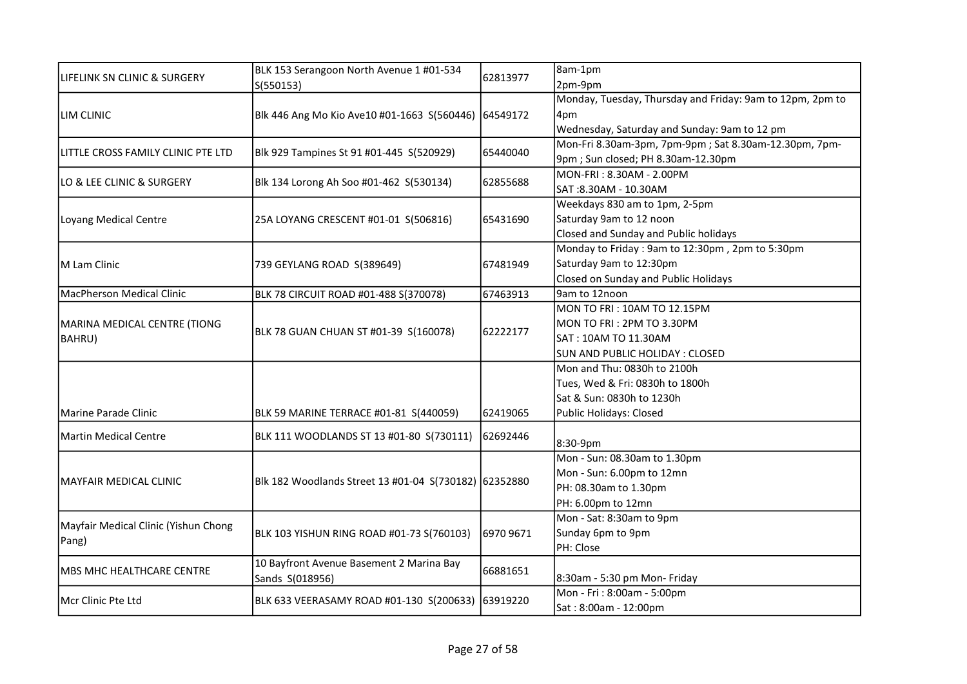| LIFELINK SN CLINIC & SURGERY                  | BLK 153 Serangoon North Avenue 1 #01-534<br>S(550153) | 62813977  | 8am-1pm                                                   |
|-----------------------------------------------|-------------------------------------------------------|-----------|-----------------------------------------------------------|
|                                               |                                                       |           | 2pm-9pm                                                   |
|                                               |                                                       |           | Monday, Tuesday, Thursday and Friday: 9am to 12pm, 2pm to |
| LIM CLINIC                                    | Blk 446 Ang Mo Kio Ave10 #01-1663 S(560446)           | 64549172  | 4pm                                                       |
|                                               |                                                       |           | Wednesday, Saturday and Sunday: 9am to 12 pm              |
| LITTLE CROSS FAMILY CLINIC PTE LTD            | Blk 929 Tampines St 91 #01-445 S(520929)              | 65440040  | Mon-Fri 8.30am-3pm, 7pm-9pm; Sat 8.30am-12.30pm, 7pm-     |
|                                               |                                                       |           | 9pm; Sun closed; PH 8.30am-12.30pm                        |
| LO & LEE CLINIC & SURGERY                     | Blk 134 Lorong Ah Soo #01-462 S(530134)               | 62855688  | MON-FRI: 8.30AM - 2.00PM                                  |
|                                               |                                                       |           | SAT:8.30AM - 10.30AM                                      |
|                                               |                                                       |           | Weekdays 830 am to 1pm, 2-5pm                             |
| Loyang Medical Centre                         | 25A LOYANG CRESCENT #01-01 S(506816)                  | 65431690  | Saturday 9am to 12 noon                                   |
|                                               |                                                       |           | Closed and Sunday and Public holidays                     |
|                                               |                                                       |           | Monday to Friday: 9am to 12:30pm, 2pm to 5:30pm           |
| M Lam Clinic                                  | 739 GEYLANG ROAD S(389649)                            | 67481949  | Saturday 9am to 12:30pm                                   |
|                                               |                                                       |           | Closed on Sunday and Public Holidays                      |
| MacPherson Medical Clinic                     | BLK 78 CIRCUIT ROAD #01-488 S(370078)                 | 67463913  | 9am to 12noon                                             |
|                                               |                                                       |           | MON TO FRI: 10AM TO 12.15PM                               |
| MARINA MEDICAL CENTRE (TIONG<br>BAHRU)        | BLK 78 GUAN CHUAN ST #01-39 S(160078)                 | 62222177  | MON TO FRI: 2PM TO 3.30PM                                 |
|                                               |                                                       |           | SAT: 10AM TO 11.30AM                                      |
|                                               |                                                       |           | SUN AND PUBLIC HOLIDAY : CLOSED                           |
|                                               |                                                       |           | Mon and Thu: 0830h to 2100h                               |
|                                               |                                                       |           | Tues, Wed & Fri: 0830h to 1800h                           |
|                                               |                                                       |           | Sat & Sun: 0830h to 1230h                                 |
| lMarine Parade Clinic                         | BLK 59 MARINE TERRACE #01-81 S(440059)                | 62419065  | Public Holidays: Closed                                   |
| Martin Medical Centre                         | BLK 111 WOODLANDS ST 13 #01-80 S(730111)              | 62692446  | 8:30-9pm                                                  |
|                                               |                                                       |           | Mon - Sun: 08.30am to 1.30pm                              |
|                                               | Blk 182 Woodlands Street 13 #01-04 S(730182) 62352880 |           | Mon - Sun: 6.00pm to 12mn                                 |
| MAYFAIR MEDICAL CLINIC                        |                                                       |           | PH: 08.30am to 1.30pm                                     |
|                                               |                                                       |           | PH: 6.00pm to 12mn                                        |
|                                               |                                                       |           | Mon - Sat: 8:30am to 9pm                                  |
| Mayfair Medical Clinic (Yishun Chong<br>Pang) | BLK 103 YISHUN RING ROAD #01-73 S(760103)             | 6970 9671 | Sunday 6pm to 9pm                                         |
|                                               |                                                       |           | PH: Close                                                 |
|                                               | 10 Bayfront Avenue Basement 2 Marina Bay              |           |                                                           |
| MBS MHC HEALTHCARE CENTRE                     | Sands S(018956)                                       | 66881651  | 8:30am - 5:30 pm Mon- Friday                              |
|                                               |                                                       |           | Mon - Fri : 8:00am - 5:00pm                               |
| Mcr Clinic Pte Ltd                            | BLK 633 VEERASAMY ROAD #01-130 S(200633) 63919220     |           | Sat: 8:00am - 12:00pm                                     |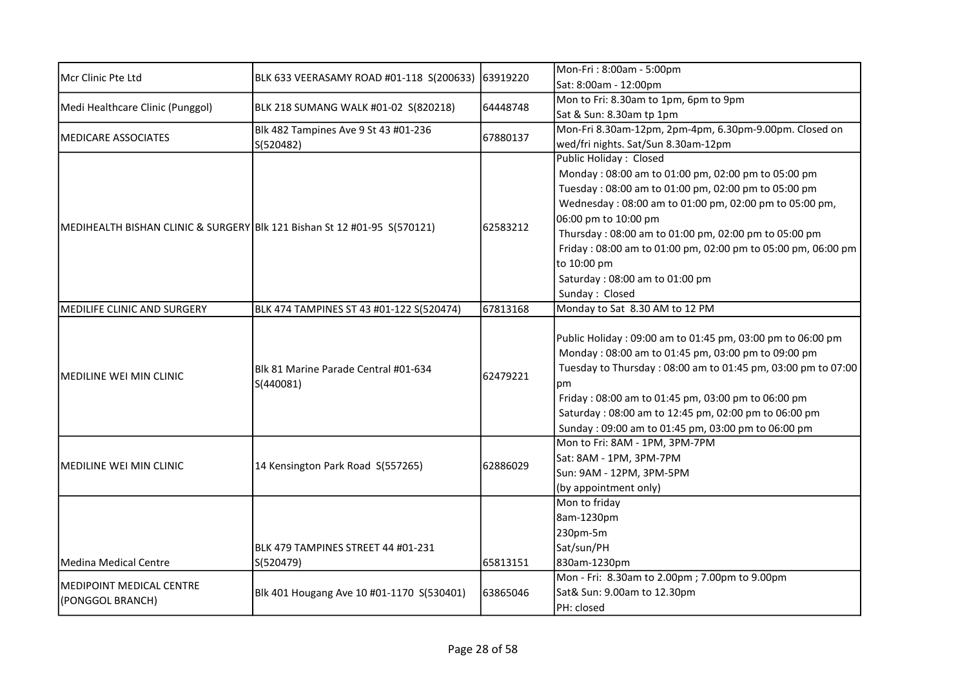| Mcr Clinic Pte Ltd                                                       | BLK 633 VEERASAMY ROAD #01-118 S(200633)          | 63919220 | Mon-Fri: 8:00am - 5:00pm                                     |
|--------------------------------------------------------------------------|---------------------------------------------------|----------|--------------------------------------------------------------|
|                                                                          |                                                   |          | Sat: 8:00am - 12:00pm                                        |
| Medi Healthcare Clinic (Punggol)                                         | BLK 218 SUMANG WALK #01-02 S(820218)              | 64448748 | Mon to Fri: 8.30am to 1pm, 6pm to 9pm                        |
|                                                                          |                                                   |          | Sat & Sun: 8.30am tp 1pm                                     |
| <b>MEDICARE ASSOCIATES</b>                                               | Blk 482 Tampines Ave 9 St 43 #01-236              | 67880137 | Mon-Fri 8.30am-12pm, 2pm-4pm, 6.30pm-9.00pm. Closed on       |
|                                                                          | S(520482)                                         |          | wed/fri nights. Sat/Sun 8.30am-12pm                          |
|                                                                          |                                                   |          | <b>Public Holiday: Closed</b>                                |
|                                                                          |                                                   |          | Monday: 08:00 am to 01:00 pm, 02:00 pm to 05:00 pm           |
|                                                                          |                                                   |          | Tuesday: 08:00 am to 01:00 pm, 02:00 pm to 05:00 pm          |
|                                                                          |                                                   |          | Wednesday: 08:00 am to 01:00 pm, 02:00 pm to 05:00 pm,       |
| MEDIHEALTH BISHAN CLINIC & SURGERY Blk 121 Bishan St 12 #01-95 S(570121) |                                                   | 62583212 | 06:00 pm to 10:00 pm                                         |
|                                                                          |                                                   |          | Thursday: 08:00 am to 01:00 pm, 02:00 pm to 05:00 pm         |
|                                                                          |                                                   |          | Friday: 08:00 am to 01:00 pm, 02:00 pm to 05:00 pm, 06:00 pm |
|                                                                          |                                                   |          | to 10:00 pm                                                  |
|                                                                          |                                                   |          | Saturday: 08:00 am to 01:00 pm                               |
|                                                                          |                                                   |          | Sunday: Closed                                               |
| MEDILIFE CLINIC AND SURGERY                                              | BLK 474 TAMPINES ST 43 #01-122 S(520474)          | 67813168 | Monday to Sat 8.30 AM to 12 PM                               |
|                                                                          |                                                   |          |                                                              |
|                                                                          | Blk 81 Marine Parade Central #01-634<br>S(440081) | 62479221 | Public Holiday: 09:00 am to 01:45 pm, 03:00 pm to 06:00 pm   |
|                                                                          |                                                   |          | Monday: 08:00 am to 01:45 pm, 03:00 pm to 09:00 pm           |
| IMEDILINE WEI MIN CLINIC                                                 |                                                   |          | Tuesday to Thursday: 08:00 am to 01:45 pm, 03:00 pm to 07:00 |
|                                                                          |                                                   |          | рm                                                           |
|                                                                          |                                                   |          | Friday: 08:00 am to 01:45 pm, 03:00 pm to 06:00 pm           |
|                                                                          |                                                   |          | Saturday: 08:00 am to 12:45 pm, 02:00 pm to 06:00 pm         |
|                                                                          |                                                   |          | Sunday: 09:00 am to 01:45 pm, 03:00 pm to 06:00 pm           |
|                                                                          |                                                   |          | Mon to Fri: 8AM - 1PM, 3PM-7PM                               |
| MEDILINE WEI MIN CLINIC                                                  | 14 Kensington Park Road S(557265)                 | 62886029 | Sat: 8AM - 1PM, 3PM-7PM                                      |
|                                                                          |                                                   |          | Sun: 9AM - 12PM, 3PM-5PM                                     |
|                                                                          |                                                   |          | (by appointment only)                                        |
|                                                                          |                                                   |          | Mon to friday                                                |
|                                                                          |                                                   |          | 8am-1230pm                                                   |
|                                                                          |                                                   |          | 230pm-5m                                                     |
|                                                                          | BLK 479 TAMPINES STREET 44 #01-231                |          | Sat/sun/PH                                                   |
| Medina Medical Centre                                                    | S(520479)                                         | 65813151 | 830am-1230pm                                                 |
| IMEDIPOINT MEDICAL CENTRE                                                |                                                   |          | Mon - Fri: 8.30am to 2.00pm; 7.00pm to 9.00pm                |
| (PONGGOL BRANCH)                                                         | Blk 401 Hougang Ave 10 #01-1170 S(530401)         | 63865046 | Sat& Sun: 9.00am to 12.30pm                                  |
|                                                                          |                                                   |          | PH: closed                                                   |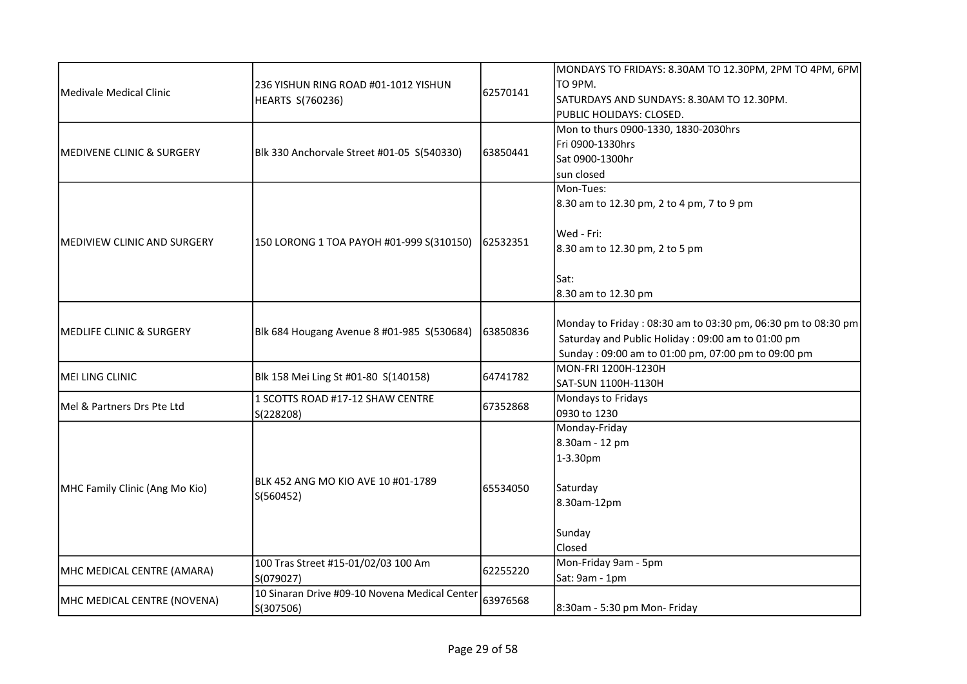|                                      |                                               |          | MONDAYS TO FRIDAYS: 8.30AM TO 12.30PM, 2PM TO 4PM, 6PM       |
|--------------------------------------|-----------------------------------------------|----------|--------------------------------------------------------------|
| Medivale Medical Clinic              | 236 YISHUN RING ROAD #01-1012 YISHUN          |          | TO 9PM.                                                      |
|                                      | HEARTS S(760236)                              | 62570141 | SATURDAYS AND SUNDAYS: 8.30AM TO 12.30PM.                    |
|                                      |                                               |          | PUBLIC HOLIDAYS: CLOSED.                                     |
|                                      |                                               |          | Mon to thurs 0900-1330, 1830-2030hrs                         |
|                                      |                                               |          | Fri 0900-1330hrs                                             |
| <b>MEDIVENE CLINIC &amp; SURGERY</b> | Blk 330 Anchorvale Street #01-05 S(540330)    | 63850441 | Sat 0900-1300hr                                              |
|                                      |                                               |          | sun closed                                                   |
|                                      |                                               |          | Mon-Tues:                                                    |
|                                      |                                               |          | 8.30 am to 12.30 pm, 2 to 4 pm, 7 to 9 pm                    |
|                                      |                                               |          |                                                              |
|                                      |                                               |          | Wed - Fri:                                                   |
| MEDIVIEW CLINIC AND SURGERY          | 150 LORONG 1 TOA PAYOH #01-999 S(310150)      | 62532351 | 8.30 am to 12.30 pm, 2 to 5 pm                               |
|                                      |                                               |          |                                                              |
|                                      |                                               |          | Sat:                                                         |
|                                      |                                               |          | 8.30 am to 12.30 pm                                          |
|                                      |                                               |          |                                                              |
|                                      | Blk 684 Hougang Avenue 8 #01-985 S(530684)    | 63850836 | Monday to Friday: 08:30 am to 03:30 pm, 06:30 pm to 08:30 pm |
| MEDLIFE CLINIC & SURGERY             |                                               |          | Saturday and Public Holiday: 09:00 am to 01:00 pm            |
|                                      |                                               |          | Sunday: 09:00 am to 01:00 pm, 07:00 pm to 09:00 pm           |
|                                      |                                               |          | MON-FRI 1200H-1230H                                          |
| MEI LING CLINIC                      | Blk 158 Mei Ling St #01-80 S(140158)          | 64741782 | SAT-SUN 1100H-1130H                                          |
|                                      | 1 SCOTTS ROAD #17-12 SHAW CENTRE              |          | Mondays to Fridays                                           |
| Mel & Partners Drs Pte Ltd           | S(228208)                                     | 67352868 | 0930 to 1230                                                 |
|                                      |                                               |          | Monday-Friday                                                |
|                                      |                                               |          | 8.30am - 12 pm                                               |
|                                      |                                               |          | 1-3.30pm                                                     |
|                                      |                                               |          |                                                              |
| MHC Family Clinic (Ang Mo Kio)       | BLK 452 ANG MO KIO AVE 10 #01-1789            | 65534050 | Saturday                                                     |
|                                      | S(560452)                                     |          | 8.30am-12pm                                                  |
|                                      |                                               |          |                                                              |
|                                      |                                               |          | Sunday                                                       |
|                                      |                                               |          | Closed                                                       |
|                                      | 100 Tras Street #15-01/02/03 100 Am           |          | Mon-Friday 9am - 5pm                                         |
| MHC MEDICAL CENTRE (AMARA)           | S(079027)                                     | 62255220 | Sat: 9am - 1pm                                               |
|                                      | 10 Sinaran Drive #09-10 Novena Medical Center | 63976568 |                                                              |
| MHC MEDICAL CENTRE (NOVENA)          | S(307506)                                     |          | 8:30am - 5:30 pm Mon- Friday                                 |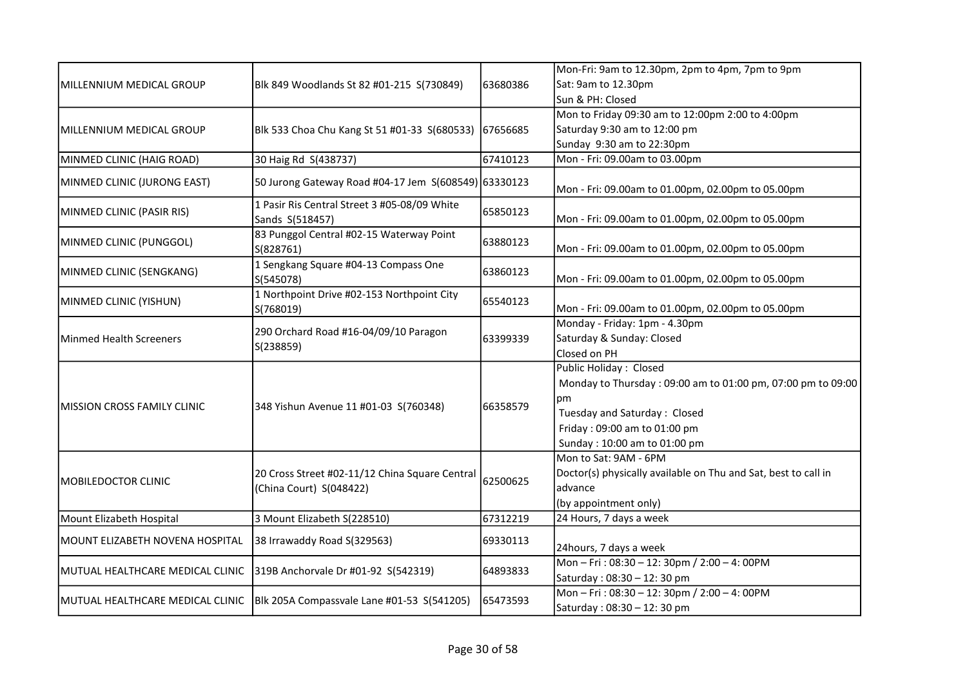|                                    |                                                                 |          | Mon-Fri: 9am to 12.30pm, 2pm to 4pm, 7pm to 9pm                |
|------------------------------------|-----------------------------------------------------------------|----------|----------------------------------------------------------------|
| MILLENNIUM MEDICAL GROUP           | Blk 849 Woodlands St 82 #01-215 S(730849)                       | 63680386 | Sat: 9am to 12.30pm                                            |
|                                    |                                                                 |          | Sun & PH: Closed                                               |
|                                    |                                                                 |          | Mon to Friday 09:30 am to 12:00pm 2:00 to 4:00pm               |
| MILLENNIUM MEDICAL GROUP           | Blk 533 Choa Chu Kang St 51 #01-33 S(680533)                    | 67656685 | Saturday 9:30 am to 12:00 pm                                   |
|                                    |                                                                 |          | Sunday 9:30 am to 22:30pm                                      |
| MINMED CLINIC (HAIG ROAD)          | 30 Haig Rd S(438737)                                            | 67410123 | Mon - Fri: 09.00am to 03.00pm                                  |
| MINMED CLINIC (JURONG EAST)        | 50 Jurong Gateway Road #04-17 Jem S(608549) 63330123            |          | Mon - Fri: 09.00am to 01.00pm, 02.00pm to 05.00pm              |
| MINMED CLINIC (PASIR RIS)          | 1 Pasir Ris Central Street 3 #05-08/09 White<br>Sands S(518457) | 65850123 | Mon - Fri: 09.00am to 01.00pm, 02.00pm to 05.00pm              |
| MINMED CLINIC (PUNGGOL)            | 83 Punggol Central #02-15 Waterway Point<br>S(828761)           | 63880123 | Mon - Fri: 09.00am to 01.00pm, 02.00pm to 05.00pm              |
| MINMED CLINIC (SENGKANG)           | 1 Sengkang Square #04-13 Compass One<br>S(545078)               | 63860123 | Mon - Fri: 09.00am to 01.00pm, 02.00pm to 05.00pm              |
| MINMED CLINIC (YISHUN)             | 1 Northpoint Drive #02-153 Northpoint City<br>S(768019)         | 65540123 | Mon - Fri: 09.00am to 01.00pm, 02.00pm to 05.00pm              |
|                                    | 290 Orchard Road #16-04/09/10 Paragon<br>S(238859)              | 63399339 | Monday - Friday: 1pm - 4.30pm                                  |
| <b>Minmed Health Screeners</b>     |                                                                 |          | Saturday & Sunday: Closed                                      |
|                                    |                                                                 |          | Closed on PH                                                   |
|                                    | 348 Yishun Avenue 11 #01-03 S(760348)                           |          | Public Holiday: Closed                                         |
|                                    |                                                                 | 66358579 | Monday to Thursday: 09:00 am to 01:00 pm, 07:00 pm to 09:00    |
| <b>MISSION CROSS FAMILY CLINIC</b> |                                                                 |          | рm                                                             |
|                                    |                                                                 |          | Tuesday and Saturday: Closed                                   |
|                                    |                                                                 |          | Friday: 09:00 am to 01:00 pm                                   |
|                                    |                                                                 |          | Sunday: 10:00 am to 01:00 pm                                   |
|                                    | 20 Cross Street #02-11/12 China Square Central                  |          | Mon to Sat: 9AM - 6PM                                          |
| MOBILEDOCTOR CLINIC                |                                                                 | 62500625 | Doctor(s) physically available on Thu and Sat, best to call in |
|                                    | (China Court) S(048422)                                         |          | advance                                                        |
|                                    |                                                                 |          | (by appointment only)                                          |
| Mount Elizabeth Hospital           | 3 Mount Elizabeth S(228510)                                     | 67312219 | 24 Hours, 7 days a week                                        |
| MOUNT ELIZABETH NOVENA HOSPITAL    | 38 Irrawaddy Road S(329563)                                     | 69330113 | 24hours, 7 days a week                                         |
| MUTUAL HEALTHCARE MEDICAL CLINIC   | 319B Anchorvale Dr #01-92 S(542319)                             | 64893833 | Mon - Fri: 08:30 - 12: 30pm / 2:00 - 4: 00PM                   |
|                                    |                                                                 |          | Saturday: 08:30 - 12: 30 pm                                    |
| MUTUAL HEALTHCARE MEDICAL CLINIC   | Blk 205A Compassvale Lane #01-53 S(541205)                      | 65473593 | Mon-Fri: 08:30-12: 30pm / 2:00-4: 00PM                         |
|                                    |                                                                 |          | Saturday: 08:30 - 12: 30 pm                                    |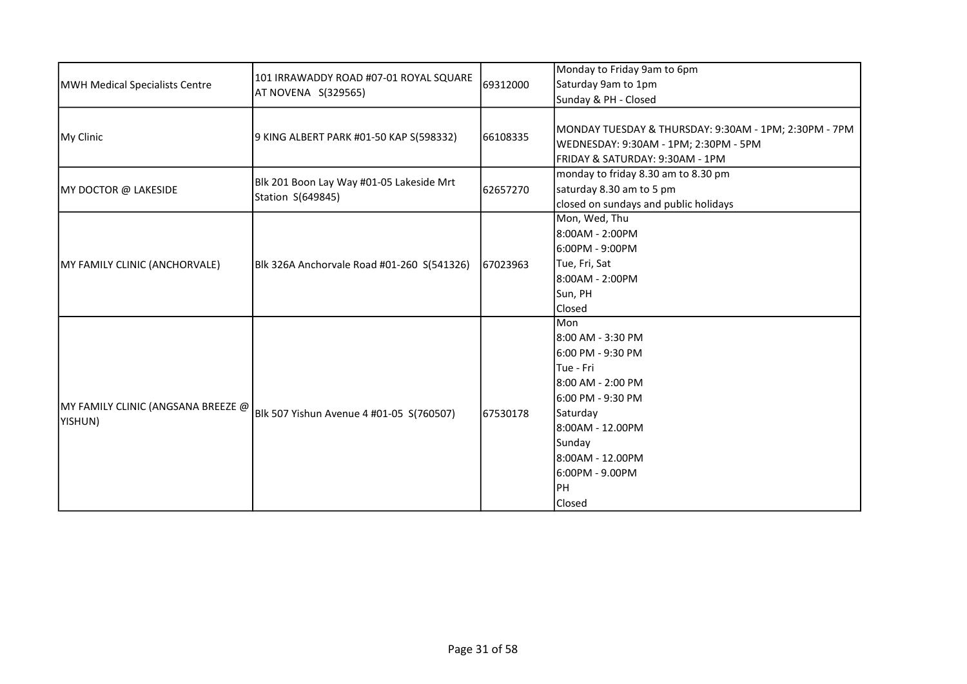| MWH Medical Specialists Centre                | 101 IRRAWADDY ROAD #07-01 ROYAL SQUARE                        | 69312000 | Monday to Friday 9am to 6pm                                                                                                                                                                             |
|-----------------------------------------------|---------------------------------------------------------------|----------|---------------------------------------------------------------------------------------------------------------------------------------------------------------------------------------------------------|
|                                               |                                                               |          | Saturday 9am to 1pm                                                                                                                                                                                     |
|                                               | AT NOVENA S(329565)                                           |          | Sunday & PH - Closed                                                                                                                                                                                    |
| My Clinic                                     | 9 KING ALBERT PARK #01-50 KAP S(598332)                       | 66108335 | MONDAY TUESDAY & THURSDAY: 9:30AM - 1PM; 2:30PM - 7PM<br>WEDNESDAY: 9:30AM - 1PM; 2:30PM - 5PM<br>FRIDAY & SATURDAY: 9:30AM - 1PM                                                                       |
| MY DOCTOR @ LAKESIDE                          | Blk 201 Boon Lay Way #01-05 Lakeside Mrt<br>Station S(649845) | 62657270 | monday to friday 8.30 am to 8.30 pm<br>saturday 8.30 am to 5 pm<br>closed on sundays and public holidays                                                                                                |
| MY FAMILY CLINIC (ANCHORVALE)                 | Blk 326A Anchorvale Road #01-260 S(541326)                    | 67023963 | Mon, Wed, Thu<br>8:00AM - 2:00PM<br>6:00PM - 9:00PM<br>Tue, Fri, Sat<br>8:00AM - 2:00PM<br>Sun, PH<br>Closed                                                                                            |
| MY FAMILY CLINIC (ANGSANA BREEZE @<br>YISHUN) | Blk 507 Yishun Avenue 4 #01-05 S(760507)                      | 67530178 | Mon<br>8:00 AM - 3:30 PM<br>6:00 PM - 9:30 PM<br>lTue - Fri<br>8:00 AM - 2:00 PM<br>6:00 PM - 9:30 PM<br>Saturday<br>l8:00AM - 12.00PM<br>Sunday<br>8:00AM - 12.00PM<br>6:00PM - 9.00PM<br>PH<br>Closed |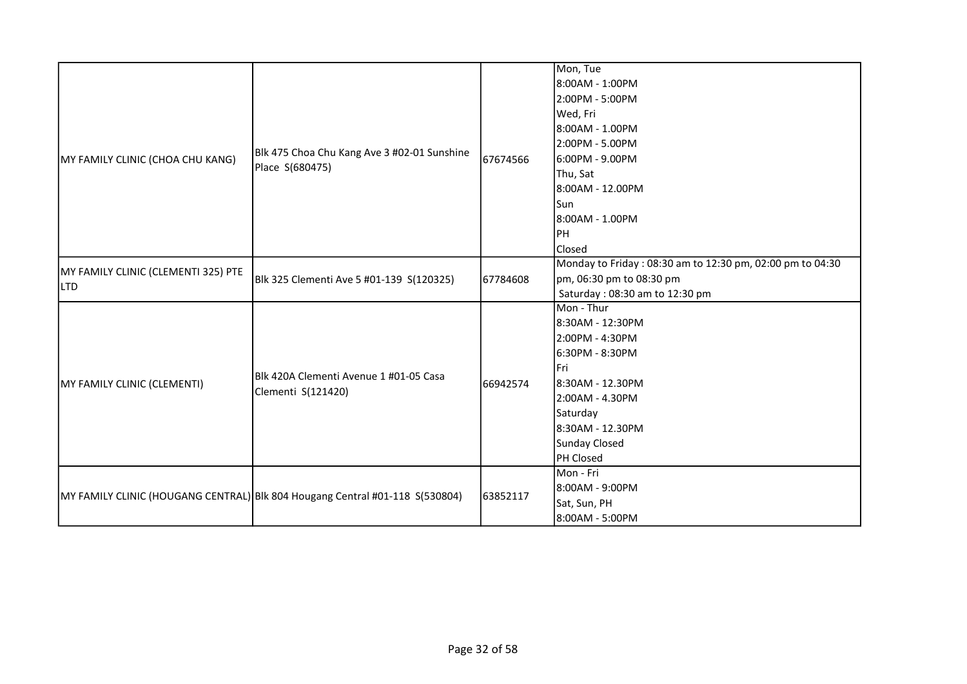|                                     |                                                                              |          | Mon, Tue                                                  |
|-------------------------------------|------------------------------------------------------------------------------|----------|-----------------------------------------------------------|
|                                     |                                                                              |          | 8:00AM - 1:00PM                                           |
|                                     |                                                                              |          | 2:00PM - 5:00PM                                           |
|                                     |                                                                              |          | Wed, Fri                                                  |
|                                     |                                                                              |          | 8:00AM - 1.00PM                                           |
|                                     |                                                                              |          | 2:00PM - 5.00PM                                           |
| MY FAMILY CLINIC (CHOA CHU KANG)    | Blk 475 Choa Chu Kang Ave 3 #02-01 Sunshine                                  | 67674566 | 6:00PM - 9.00PM                                           |
|                                     | Place S(680475)                                                              |          | Thu, Sat                                                  |
|                                     |                                                                              |          | 8:00AM - 12.00PM                                          |
|                                     |                                                                              |          | <b>Sun</b>                                                |
|                                     |                                                                              |          | 8:00AM - 1.00PM                                           |
|                                     |                                                                              |          | PH                                                        |
|                                     |                                                                              |          | Closed                                                    |
|                                     |                                                                              |          | Monday to Friday: 08:30 am to 12:30 pm, 02:00 pm to 04:30 |
| MY FAMILY CLINIC (CLEMENTI 325) PTE | Blk 325 Clementi Ave 5 #01-139 S(120325)                                     | 67784608 | pm, 06:30 pm to 08:30 pm                                  |
| <b>LTD</b>                          |                                                                              |          | Saturday: 08:30 am to 12:30 pm                            |
|                                     | Blk 420A Clementi Avenue 1 #01-05 Casa                                       | 66942574 | Mon - Thur                                                |
|                                     |                                                                              |          | 8:30AM - 12:30PM                                          |
|                                     |                                                                              |          | 2:00PM - 4:30PM                                           |
|                                     |                                                                              |          | 6:30PM - 8:30PM                                           |
|                                     |                                                                              |          | l Fri                                                     |
| MY FAMILY CLINIC (CLEMENTI)         |                                                                              |          | 8:30AM - 12.30PM                                          |
|                                     | Clementi S(121420)                                                           |          | 2:00AM - 4.30PM                                           |
|                                     |                                                                              |          | Saturday                                                  |
|                                     |                                                                              |          | 8:30AM - 12.30PM                                          |
|                                     |                                                                              |          | Sunday Closed                                             |
|                                     |                                                                              |          | PH Closed                                                 |
|                                     |                                                                              |          | Mon - Fri                                                 |
|                                     |                                                                              | 63852117 | 8:00AM - 9:00PM                                           |
|                                     | MY FAMILY CLINIC (HOUGANG CENTRAL) Blk 804 Hougang Central #01-118 S(530804) |          | Sat, Sun, PH                                              |
|                                     |                                                                              |          | 8:00AM - 5:00PM                                           |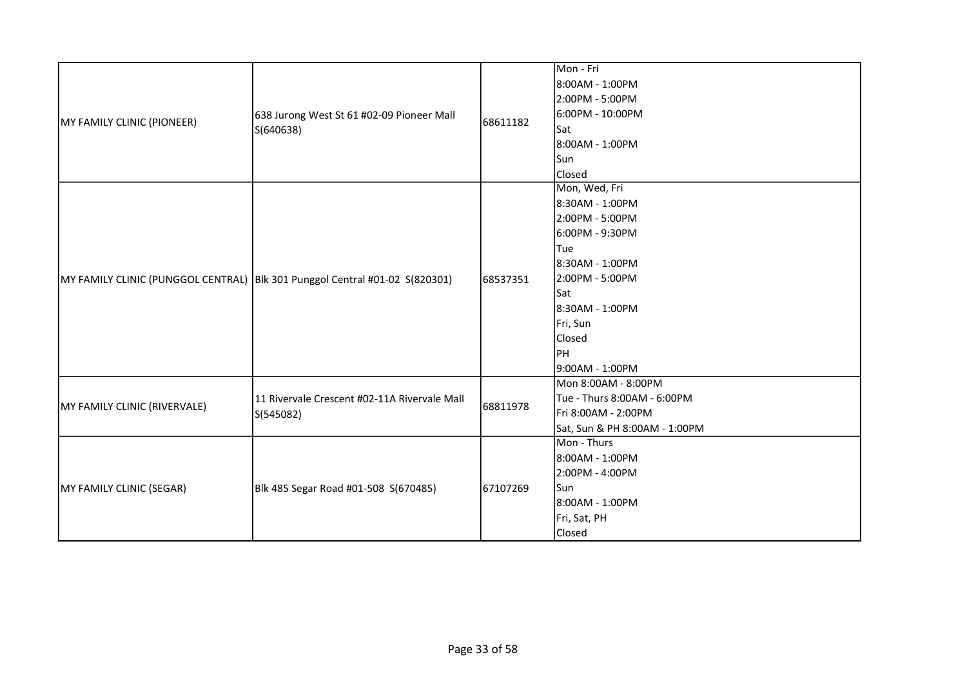| MY FAMILY CLINIC (PIONEER)   | 638 Jurong West St 61 #02-09 Pioneer Mall<br>S(640638)                        | 68611182 | Mon - Fri<br>8:00AM - 1:00PM<br>2:00PM - 5:00PM<br>6:00PM - 10:00PM<br>Sat<br>8:00AM - 1:00PM                                                                                                 |
|------------------------------|-------------------------------------------------------------------------------|----------|-----------------------------------------------------------------------------------------------------------------------------------------------------------------------------------------------|
|                              |                                                                               |          | Sun<br>Closed                                                                                                                                                                                 |
|                              | MY FAMILY CLINIC (PUNGGOL CENTRAL)   Blk 301 Punggol Central #01-02 S(820301) | 68537351 | Mon, Wed, Fri<br>8:30AM - 1:00PM<br>2:00PM - 5:00PM<br>6:00PM - 9:30PM<br>Tue<br>8:30AM - 1:00PM<br>2:00PM - 5:00PM<br>Sat<br>8:30AM - 1:00PM<br>Fri, Sun<br>Closed<br> PH<br>9:00AM - 1:00PM |
| MY FAMILY CLINIC (RIVERVALE) | 11 Rivervale Crescent #02-11A Rivervale Mall<br>S(545082)                     | 68811978 | Mon 8:00AM - 8:00PM<br>Tue - Thurs 8:00AM - 6:00PM<br>Fri 8:00AM - 2:00PM<br>Sat, Sun & PH 8:00AM - 1:00PM                                                                                    |
| MY FAMILY CLINIC (SEGAR)     | Blk 485 Segar Road #01-508 S(670485)                                          | 67107269 | Mon - Thurs<br>8:00AM - 1:00PM<br>2:00PM - 4:00PM<br><b>Sun</b><br>8:00AM - 1:00PM<br>Fri, Sat, PH<br>Closed                                                                                  |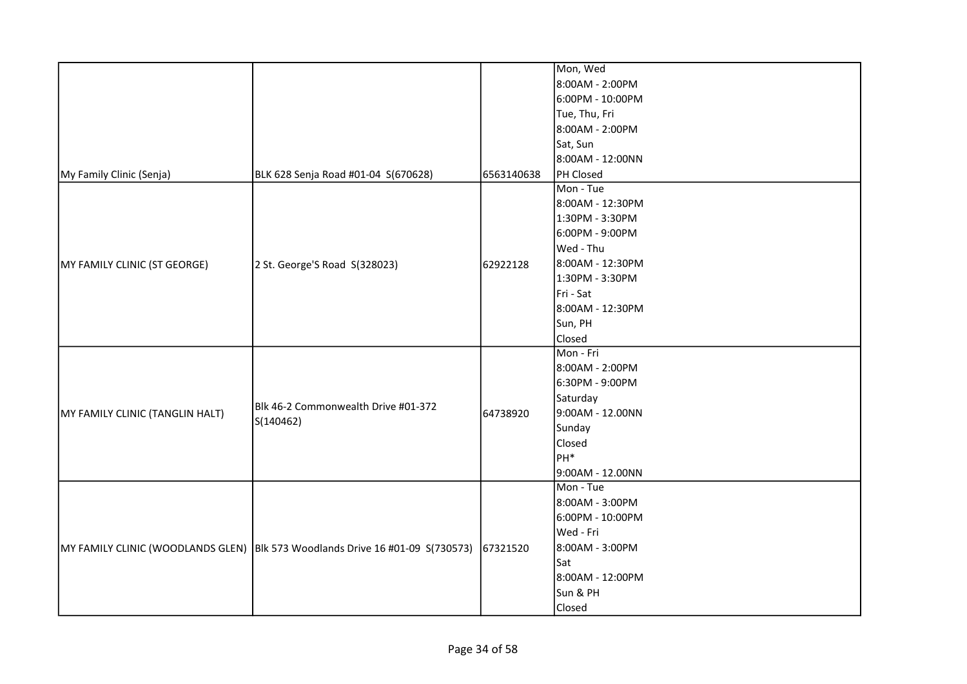|                                 |                                                                                |            | Mon, Wed         |
|---------------------------------|--------------------------------------------------------------------------------|------------|------------------|
|                                 |                                                                                |            | 8:00AM - 2:00PM  |
|                                 |                                                                                |            | 6:00PM - 10:00PM |
|                                 |                                                                                |            | Tue, Thu, Fri    |
|                                 |                                                                                |            | 8:00AM - 2:00PM  |
|                                 |                                                                                |            | Sat, Sun         |
|                                 |                                                                                |            | 8:00AM - 12:00NN |
| My Family Clinic (Senja)        | BLK 628 Senja Road #01-04 S(670628)                                            | 6563140638 | PH Closed        |
|                                 |                                                                                |            | Mon - Tue        |
|                                 |                                                                                |            | 8:00AM - 12:30PM |
|                                 |                                                                                |            | 1:30PM - 3:30PM  |
|                                 |                                                                                |            | 6:00PM - 9:00PM  |
|                                 |                                                                                |            | Wed - Thu        |
| MY FAMILY CLINIC (ST GEORGE)    | 2 St. George'S Road S(328023)                                                  | 62922128   | 8:00AM - 12:30PM |
|                                 |                                                                                |            | 1:30PM - 3:30PM  |
|                                 |                                                                                |            | Fri - Sat        |
|                                 |                                                                                |            | 8:00AM - 12:30PM |
|                                 |                                                                                |            | Sun, PH          |
|                                 |                                                                                |            | Closed           |
|                                 |                                                                                |            | Mon - Fri        |
|                                 | Blk 46-2 Commonwealth Drive #01-372<br>S(140462)                               |            | 8:00AM - 2:00PM  |
|                                 |                                                                                | 64738920   | 6:30PM - 9:00PM  |
|                                 |                                                                                |            | Saturday         |
| MY FAMILY CLINIC (TANGLIN HALT) |                                                                                |            | 9:00AM - 12.00NN |
|                                 |                                                                                |            | Sunday           |
|                                 |                                                                                |            | Closed           |
|                                 |                                                                                |            | PH <sup>*</sup>  |
|                                 |                                                                                |            | 9:00AM - 12.00NN |
|                                 |                                                                                |            | Mon - Tue        |
|                                 |                                                                                |            | 8:00AM - 3:00PM  |
|                                 |                                                                                |            | 6:00PM - 10:00PM |
|                                 |                                                                                |            | Wed - Fri        |
|                                 | MY FAMILY CLINIC (WOODLANDS GLEN)  Blk 573 Woodlands Drive 16 #01-09 S(730573) | 67321520   | 8:00AM - 3:00PM  |
|                                 |                                                                                |            | Sat              |
|                                 |                                                                                |            | 8:00AM - 12:00PM |
|                                 |                                                                                |            | Sun & PH         |
|                                 |                                                                                |            | Closed           |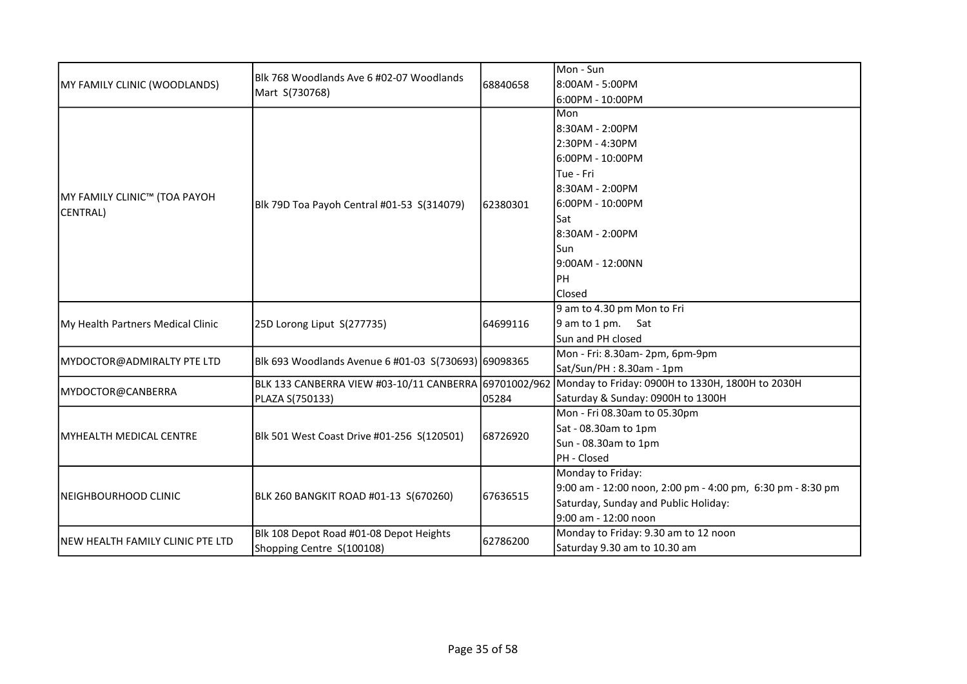|                                         |                                                            |          | Mon - Sun                                                                                              |
|-----------------------------------------|------------------------------------------------------------|----------|--------------------------------------------------------------------------------------------------------|
| MY FAMILY CLINIC (WOODLANDS)            | Blk 768 Woodlands Ave 6 #02-07 Woodlands<br>Mart S(730768) | 68840658 | 8:00AM - 5:00PM                                                                                        |
|                                         |                                                            |          | 6:00PM - 10:00PM                                                                                       |
|                                         |                                                            |          | <b>I</b> Mon                                                                                           |
|                                         |                                                            |          | l8:30AM - 2:00PM                                                                                       |
|                                         |                                                            |          | 2:30PM - 4:30PM                                                                                        |
|                                         |                                                            |          | l6:00PM - 10:00PM                                                                                      |
|                                         |                                                            |          | lTue - Fri                                                                                             |
|                                         |                                                            |          | l8:30AM - 2:00PM                                                                                       |
| <b>MY FAMILY CLINIC™ (TOA PAYOH</b>     | Blk 79D Toa Payoh Central #01-53 S(314079)                 | 62380301 | 16:00PM - 10:00PM                                                                                      |
| CENTRAL)                                |                                                            |          | lSat                                                                                                   |
|                                         |                                                            |          | 8:30AM - 2:00PM                                                                                        |
|                                         |                                                            |          | lSun                                                                                                   |
|                                         |                                                            |          | 9:00AM - 12:00NN                                                                                       |
|                                         |                                                            |          | Ірн                                                                                                    |
|                                         |                                                            |          | Closed                                                                                                 |
|                                         | 25D Lorong Liput S(277735)                                 | 64699116 | 9 am to 4.30 pm Mon to Fri                                                                             |
| My Health Partners Medical Clinic       |                                                            |          | $9$ am to 1 pm. Sat                                                                                    |
|                                         |                                                            |          | Sun and PH closed                                                                                      |
|                                         | Blk 693 Woodlands Avenue 6 #01-03 S(730693) 69098365       |          | Mon - Fri: 8.30am- 2pm, 6pm-9pm                                                                        |
| MYDOCTOR@ADMIRALTY PTE LTD              |                                                            |          | Sat/Sun/PH: 8.30am - 1pm                                                                               |
|                                         |                                                            |          | BLK 133 CANBERRA VIEW #03-10/11 CANBERRA 69701002/962 Monday to Friday: 0900H to 1330H, 1800H to 2030H |
| MYDOCTOR@CANBERRA                       | PLAZA S(750133)                                            | 05284    | Saturday & Sunday: 0900H to 1300H                                                                      |
|                                         | Blk 501 West Coast Drive #01-256 S(120501)                 |          | Mon - Fri 08.30am to 05.30pm                                                                           |
|                                         |                                                            |          | Sat - 08.30am to 1pm                                                                                   |
| MYHEALTH MEDICAL CENTRE                 |                                                            | 68726920 | Sun - 08.30am to 1pm                                                                                   |
|                                         |                                                            |          | PH - Closed                                                                                            |
|                                         |                                                            |          | Monday to Friday:                                                                                      |
| NEIGHBOURHOOD CLINIC                    |                                                            | 67636515 | 9:00 am - 12:00 noon, 2:00 pm - 4:00 pm, 6:30 pm - 8:30 pm                                             |
|                                         | BLK 260 BANGKIT ROAD #01-13 S(670260)                      |          | Saturday, Sunday and Public Holiday:                                                                   |
|                                         |                                                            |          | 9:00 am - 12:00 noon                                                                                   |
|                                         | Blk 108 Depot Road #01-08 Depot Heights                    |          | Monday to Friday: 9.30 am to 12 noon                                                                   |
| <b>NEW HEALTH FAMILY CLINIC PTE LTD</b> | Shopping Centre S(100108)                                  | 62786200 | Saturday 9.30 am to 10.30 am                                                                           |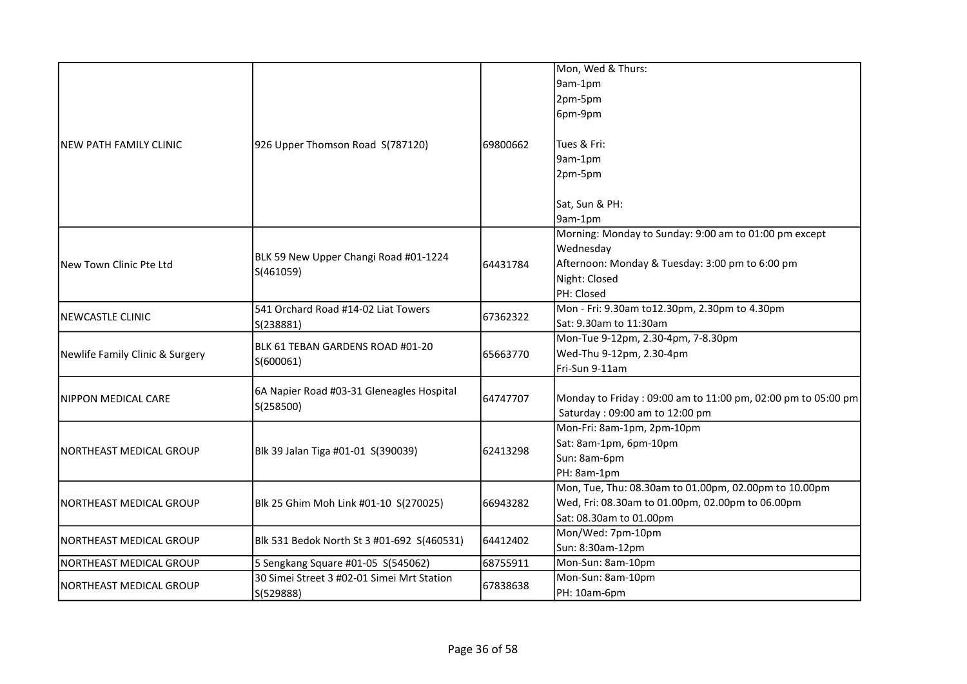|                                 |                                            |          | Mon, Wed & Thurs:                                            |
|---------------------------------|--------------------------------------------|----------|--------------------------------------------------------------|
|                                 |                                            |          |                                                              |
|                                 |                                            |          | 9am-1pm                                                      |
|                                 |                                            |          | 2pm-5pm                                                      |
|                                 |                                            |          | 6pm-9pm                                                      |
| NEW PATH FAMILY CLINIC          | 926 Upper Thomson Road S(787120)           | 69800662 | Tues & Fri:                                                  |
|                                 |                                            |          | 9am-1pm                                                      |
|                                 |                                            |          | 2pm-5pm                                                      |
|                                 |                                            |          |                                                              |
|                                 |                                            |          | Sat, Sun & PH:                                               |
|                                 |                                            |          | 9am-1pm                                                      |
|                                 |                                            |          | Morning: Monday to Sunday: 9:00 am to 01:00 pm except        |
|                                 |                                            |          | Wednesday                                                    |
| New Town Clinic Pte Ltd         | BLK 59 New Upper Changi Road #01-1224      | 64431784 | Afternoon: Monday & Tuesday: 3:00 pm to 6:00 pm              |
|                                 | S(461059)                                  |          | Night: Closed                                                |
|                                 |                                            |          | PH: Closed                                                   |
|                                 | 541 Orchard Road #14-02 Liat Towers        |          | Mon - Fri: 9.30am to12.30pm, 2.30pm to 4.30pm                |
| NEWCASTLE CLINIC                | S(238881)                                  | 67362322 | Sat: 9.30am to 11:30am                                       |
|                                 |                                            |          | Mon-Tue 9-12pm, 2.30-4pm, 7-8.30pm                           |
| Newlife Family Clinic & Surgery | BLK 61 TEBAN GARDENS ROAD #01-20           | 65663770 | Wed-Thu 9-12pm, 2.30-4pm                                     |
|                                 | S(600061)                                  |          | Fri-Sun 9-11am                                               |
|                                 | 6A Napier Road #03-31 Gleneagles Hospital  | 64747707 |                                                              |
| NIPPON MEDICAL CARE             | S(258500)                                  |          | Monday to Friday: 09:00 am to 11:00 pm, 02:00 pm to 05:00 pm |
|                                 |                                            |          | Saturday: 09:00 am to 12:00 pm                               |
|                                 |                                            | 62413298 | Mon-Fri: 8am-1pm, 2pm-10pm                                   |
| NORTHEAST MEDICAL GROUP         | Blk 39 Jalan Tiga #01-01 S(390039)         |          | Sat: 8am-1pm, 6pm-10pm                                       |
|                                 |                                            |          | Sun: 8am-6pm                                                 |
|                                 |                                            |          | PH: 8am-1pm                                                  |
|                                 |                                            |          | Mon, Tue, Thu: 08.30am to 01.00pm, 02.00pm to 10.00pm        |
| NORTHEAST MEDICAL GROUP         | Blk 25 Ghim Moh Link #01-10 S(270025)      | 66943282 | Wed, Fri: 08.30am to 01.00pm, 02.00pm to 06.00pm             |
|                                 |                                            |          | Sat: 08.30am to 01.00pm                                      |
| NORTHEAST MEDICAL GROUP         | Blk 531 Bedok North St 3 #01-692 S(460531) | 64412402 | Mon/Wed: 7pm-10pm                                            |
|                                 |                                            |          | Sun: 8:30am-12pm                                             |
| NORTHEAST MEDICAL GROUP         | 5 Sengkang Square #01-05 S(545062)         | 68755911 | Mon-Sun: 8am-10pm                                            |
| NORTHEAST MEDICAL GROUP         | 30 Simei Street 3 #02-01 Simei Mrt Station | 67838638 | Mon-Sun: 8am-10pm                                            |
|                                 | S(529888)                                  |          | PH: 10am-6pm                                                 |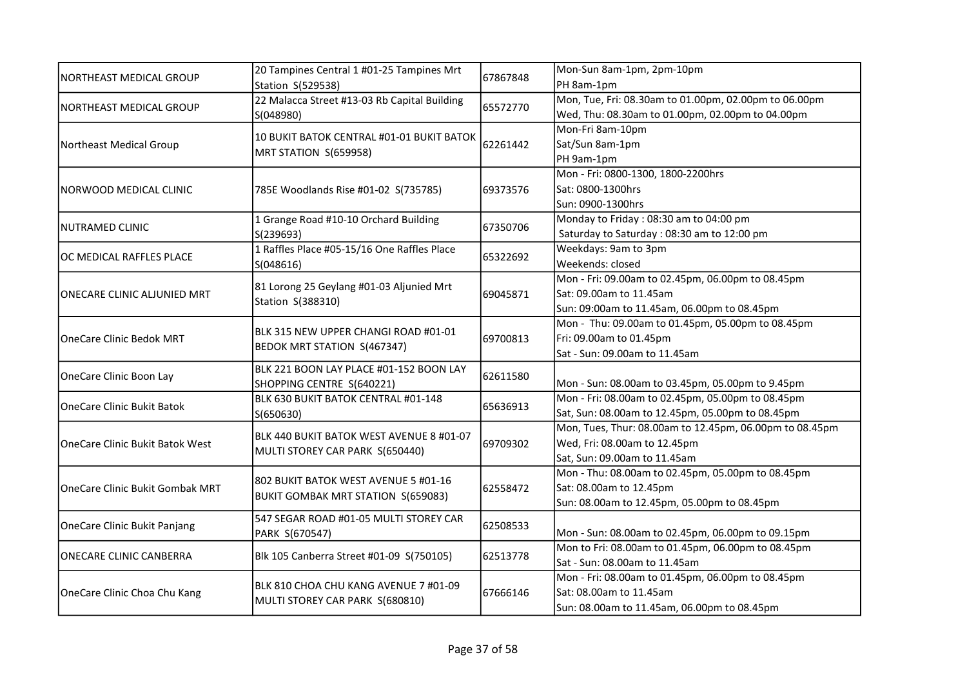|                                   | 20 Tampines Central 1 #01-25 Tampines Mrt<br>Station S(529538)              | 67867848 | Mon-Sun 8am-1pm, 2pm-10pm                               |
|-----------------------------------|-----------------------------------------------------------------------------|----------|---------------------------------------------------------|
| <b>NORTHEAST MEDICAL GROUP</b>    |                                                                             |          | PH 8am-1pm                                              |
| NORTHEAST MEDICAL GROUP           | 22 Malacca Street #13-03 Rb Capital Building                                | 65572770 | Mon, Tue, Fri: 08.30am to 01.00pm, 02.00pm to 06.00pm   |
|                                   | S(048980)                                                                   |          | Wed, Thu: 08.30am to 01.00pm, 02.00pm to 04.00pm        |
|                                   | 10 BUKIT BATOK CENTRAL #01-01 BUKIT BATOK                                   |          | Mon-Fri 8am-10pm                                        |
| <b>Northeast Medical Group</b>    |                                                                             | 62261442 | Sat/Sun 8am-1pm                                         |
|                                   | MRT STATION S(659958)                                                       |          | PH 9am-1pm                                              |
|                                   |                                                                             |          | Mon - Fri: 0800-1300, 1800-2200hrs                      |
| NORWOOD MEDICAL CLINIC            | 785E Woodlands Rise #01-02 S(735785)                                        | 69373576 | Sat: 0800-1300hrs                                       |
|                                   |                                                                             |          | Sun: 0900-1300hrs                                       |
| <b>NUTRAMED CLINIC</b>            | 1 Grange Road #10-10 Orchard Building                                       |          | Monday to Friday: 08:30 am to 04:00 pm                  |
|                                   | S(239693)                                                                   | 67350706 | Saturday to Saturday: 08:30 am to 12:00 pm              |
|                                   | 1 Raffles Place #05-15/16 One Raffles Place                                 |          | Weekdays: 9am to 3pm                                    |
| OC MEDICAL RAFFLES PLACE          | S(048616)                                                                   | 65322692 | Weekends: closed                                        |
|                                   |                                                                             |          | Mon - Fri: 09.00am to 02.45pm, 06.00pm to 08.45pm       |
| ONECARE CLINIC ALJUNIED MRT       | 81 Lorong 25 Geylang #01-03 Aljunied Mrt<br>Station S(388310)               | 69045871 | Sat: 09.00am to 11.45am                                 |
|                                   |                                                                             |          | Sun: 09:00am to 11.45am, 06.00pm to 08.45pm             |
|                                   | BLK 315 NEW UPPER CHANGI ROAD #01-01<br><b>BEDOK MRT STATION S(467347)</b>  | 69700813 | Mon - Thu: 09.00am to 01.45pm, 05.00pm to 08.45pm       |
| <b>OneCare Clinic Bedok MRT</b>   |                                                                             |          | Fri: 09.00am to 01.45pm                                 |
|                                   |                                                                             |          | Sat - Sun: 09.00am to 11.45am                           |
|                                   | BLK 221 BOON LAY PLACE #01-152 BOON LAY<br>SHOPPING CENTRE S(640221)        | 62611580 |                                                         |
| OneCare Clinic Boon Lay           |                                                                             |          | Mon - Sun: 08.00am to 03.45pm, 05.00pm to 9.45pm        |
| <b>OneCare Clinic Bukit Batok</b> | BLK 630 BUKIT BATOK CENTRAL #01-148                                         | 65636913 | Mon - Fri: 08.00am to 02.45pm, 05.00pm to 08.45pm       |
|                                   | S(650630)                                                                   |          | Sat, Sun: 08.00am to 12.45pm, 05.00pm to 08.45pm        |
|                                   | BLK 440 BUKIT BATOK WEST AVENUE 8 #01-07<br>MULTI STOREY CAR PARK S(650440) | 69709302 | Mon, Tues, Thur: 08.00am to 12.45pm, 06.00pm to 08.45pm |
| OneCare Clinic Bukit Batok West   |                                                                             |          | Wed, Fri: 08.00am to 12.45pm                            |
|                                   |                                                                             |          | Sat, Sun: 09.00am to 11.45am                            |
|                                   | 802 BUKIT BATOK WEST AVENUE 5 #01-16                                        |          | Mon - Thu: 08.00am to 02.45pm, 05.00pm to 08.45pm       |
| OneCare Clinic Bukit Gombak MRT   | BUKIT GOMBAK MRT STATION S(659083)                                          | 62558472 | Sat: 08.00am to 12.45pm                                 |
|                                   |                                                                             |          | Sun: 08.00am to 12.45pm, 05.00pm to 08.45pm             |
|                                   | 547 SEGAR ROAD #01-05 MULTI STOREY CAR                                      | 62508533 |                                                         |
| OneCare Clinic Bukit Panjang      | PARK S(670547)                                                              |          | Mon - Sun: 08.00am to 02.45pm, 06.00pm to 09.15pm       |
| ONECARE CLINIC CANBERRA           | Blk 105 Canberra Street #01-09 S(750105)                                    |          | Mon to Fri: 08.00am to 01.45pm, 06.00pm to 08.45pm      |
|                                   |                                                                             | 62513778 | Sat - Sun: 08.00am to 11.45am                           |
|                                   | BLK 810 CHOA CHU KANG AVENUE 7 #01-09                                       | 67666146 | Mon - Fri: 08.00am to 01.45pm, 06.00pm to 08.45pm       |
| OneCare Clinic Choa Chu Kang      | MULTI STOREY CAR PARK S(680810)                                             |          | Sat: 08.00am to 11.45am                                 |
|                                   |                                                                             |          | Sun: 08.00am to 11.45am, 06.00pm to 08.45pm             |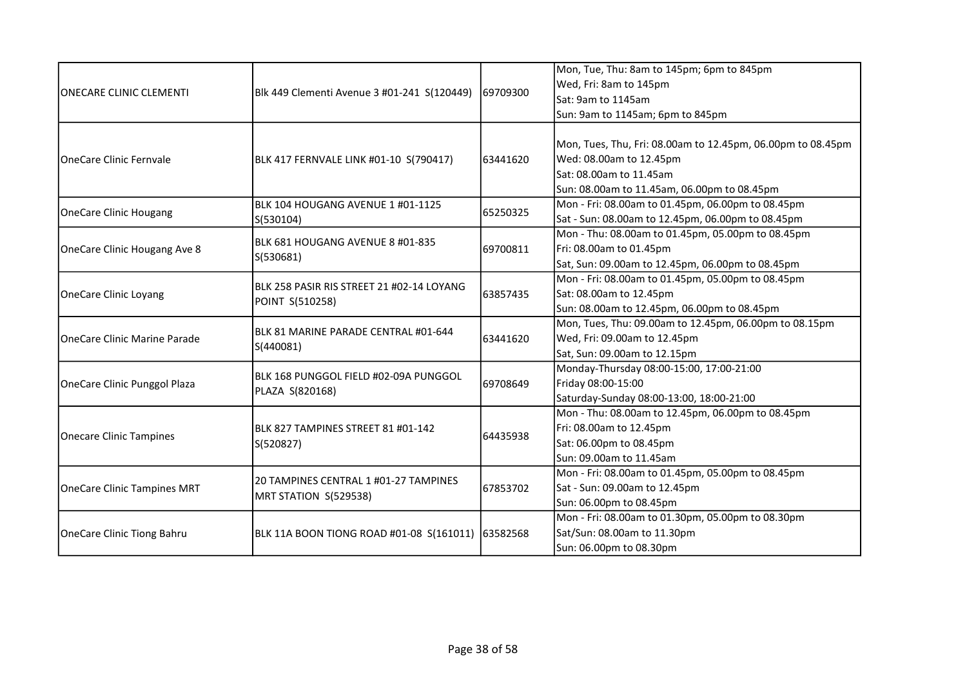|                                     |                                                              |           | Mon, Tue, Thu: 8am to 145pm; 6pm to 845pm                   |
|-------------------------------------|--------------------------------------------------------------|-----------|-------------------------------------------------------------|
| <b>ONECARE CLINIC CLEMENTI</b>      |                                                              |           | Wed, Fri: 8am to 145pm                                      |
|                                     | Blk 449 Clementi Avenue 3 #01-241 S(120449)                  | 169709300 | Sat: 9am to 1145am                                          |
|                                     |                                                              |           | Sun: 9am to 1145am; 6pm to 845pm                            |
|                                     |                                                              |           |                                                             |
|                                     |                                                              |           | Mon, Tues, Thu, Fri: 08.00am to 12.45pm, 06.00pm to 08.45pm |
| <b>IOneCare Clinic Fernvale</b>     | BLK 417 FERNVALE LINK #01-10 S(790417)                       | 63441620  | Wed: 08.00am to 12.45pm                                     |
|                                     |                                                              |           | Sat: 08.00am to 11.45am                                     |
|                                     |                                                              |           | Sun: 08.00am to 11.45am, 06.00pm to 08.45pm                 |
| OneCare Clinic Hougang              | BLK 104 HOUGANG AVENUE 1 #01-1125                            | 65250325  | Mon - Fri: 08.00am to 01.45pm, 06.00pm to 08.45pm           |
|                                     | S(530104)                                                    |           | Sat - Sun: 08.00am to 12.45pm, 06.00pm to 08.45pm           |
|                                     | BLK 681 HOUGANG AVENUE 8 #01-835                             |           | Mon - Thu: 08.00am to 01.45pm, 05.00pm to 08.45pm           |
| OneCare Clinic Hougang Ave 8        | S(530681)                                                    | 69700811  | Fri: 08.00am to 01.45pm                                     |
|                                     |                                                              |           | Sat, Sun: 09.00am to 12.45pm, 06.00pm to 08.45pm            |
|                                     | BLK 258 PASIR RIS STREET 21 #02-14 LOYANG<br>POINT S(510258) | 63857435  | Mon - Fri: 08.00am to 01.45pm, 05.00pm to 08.45pm           |
| OneCare Clinic Loyang               |                                                              |           | Sat: 08.00am to 12.45pm                                     |
|                                     |                                                              |           | Sun: 08.00am to 12.45pm, 06.00pm to 08.45pm                 |
|                                     | IBLK 81 MARINE PARADE CENTRAL #01-644<br>S(440081)           | 63441620  | Mon, Tues, Thu: 09.00am to 12.45pm, 06.00pm to 08.15pm      |
| <b>OneCare Clinic Marine Parade</b> |                                                              |           | Wed, Fri: 09.00am to 12.45pm                                |
|                                     |                                                              |           | Sat, Sun: 09.00am to 12.15pm                                |
|                                     | IBLK 168 PUNGGOL FIELD #02-09A PUNGGOL<br>PLAZA S(820168)    | 69708649  | Monday-Thursday 08:00-15:00, 17:00-21:00                    |
| OneCare Clinic Punggol Plaza        |                                                              |           | Friday 08:00-15:00                                          |
|                                     |                                                              |           | Saturday-Sunday 08:00-13:00, 18:00-21:00                    |
|                                     |                                                              | 64435938  | Mon - Thu: 08.00am to 12.45pm, 06.00pm to 08.45pm           |
| Onecare Clinic Tampines             | BLK 827 TAMPINES STREET 81 #01-142                           |           | Fri: 08.00am to 12.45pm                                     |
|                                     | S(520827)                                                    |           | Sat: 06.00pm to 08.45pm                                     |
|                                     |                                                              |           | Sun: 09.00am to 11.45am                                     |
|                                     | 20 TAMPINES CENTRAL 1 #01-27 TAMPINES                        |           | Mon - Fri: 08.00am to 01.45pm, 05.00pm to 08.45pm           |
| <b>OneCare Clinic Tampines MRT</b>  | MRT STATION S(529538)                                        | 67853702  | Sat - Sun: 09.00am to 12.45pm                               |
|                                     |                                                              |           | Sun: 06.00pm to 08.45pm                                     |
|                                     |                                                              | 63582568  | Mon - Fri: 08.00am to 01.30pm, 05.00pm to 08.30pm           |
| <b>OneCare Clinic Tiong Bahru</b>   | BLK 11A BOON TIONG ROAD #01-08 S(161011)                     |           | Sat/Sun: 08.00am to 11.30pm                                 |
|                                     |                                                              |           | Sun: 06.00pm to 08.30pm                                     |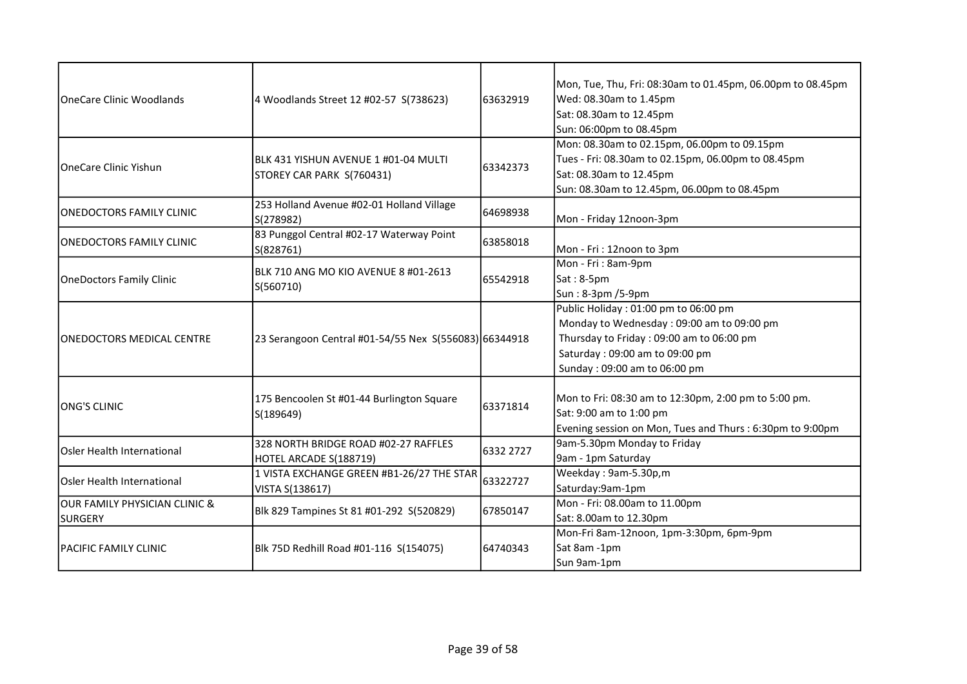| <b>IOneCare Clinic Woodlands</b>                | 4 Woodlands Street 12 #02-57 S(738623)                             | 63632919  | Mon, Tue, Thu, Fri: 08:30am to 01.45pm, 06.00pm to 08.45pm<br>Wed: 08.30am to 1.45pm<br>Sat: 08.30am to 12.45pm<br>Sun: 06:00pm to 08.45pm                                                      |
|-------------------------------------------------|--------------------------------------------------------------------|-----------|-------------------------------------------------------------------------------------------------------------------------------------------------------------------------------------------------|
| OneCare Clinic Yishun                           | IBLK 431 YISHUN AVENUE 1 #01-04 MULTI<br>STOREY CAR PARK S(760431) | 63342373  | Mon: 08.30am to 02.15pm, 06.00pm to 09.15pm<br>Tues - Fri: 08.30am to 02.15pm, 06.00pm to 08.45pm<br>Sat: 08.30am to 12.45pm<br>Sun: 08.30am to 12.45pm, 06.00pm to 08.45pm                     |
| <b>ONEDOCTORS FAMILY CLINIC</b>                 | 253 Holland Avenue #02-01 Holland Village<br>S(278982)             | 64698938  | Mon - Friday 12noon-3pm                                                                                                                                                                         |
| <b>ONEDOCTORS FAMILY CLINIC</b>                 | 83 Punggol Central #02-17 Waterway Point<br>S(828761)              | 63858018  | Mon - Fri: 12noon to 3pm                                                                                                                                                                        |
| <b>OneDoctors Family Clinic</b>                 | BLK 710 ANG MO KIO AVENUE 8 #01-2613<br>S(560710)                  | 65542918  | Mon - Fri: 8am-9pm<br>Sat: 8-5pm<br>Sun: 8-3pm /5-9pm                                                                                                                                           |
| <b>ONEDOCTORS MEDICAL CENTRE</b>                | 23 Serangoon Central #01-54/55 Nex S(556083) 66344918              |           | Public Holiday: 01:00 pm to 06:00 pm<br>Monday to Wednesday: 09:00 am to 09:00 pm<br>Thursday to Friday: 09:00 am to 06:00 pm<br>Saturday: 09:00 am to 09:00 pm<br>Sunday: 09:00 am to 06:00 pm |
| <b>ONG'S CLINIC</b>                             | 175 Bencoolen St #01-44 Burlington Square<br>S(189649)             | 63371814  | Mon to Fri: 08:30 am to 12:30pm, 2:00 pm to 5:00 pm.<br>Sat: 9:00 am to 1:00 pm<br>Evening session on Mon, Tues and Thurs: 6:30pm to 9:00pm                                                     |
| <b>Osler Health International</b>               | 328 NORTH BRIDGE ROAD #02-27 RAFFLES<br>HOTEL ARCADE S(188719)     | 6332 2727 | 9am-5.30pm Monday to Friday<br>9am - 1pm Saturday                                                                                                                                               |
| <b>Osler Health International</b>               | 1 VISTA EXCHANGE GREEN #B1-26/27 THE STAR<br>VISTA S(138617)       | 63322727  | Weekday: 9am-5.30p,m<br>Saturday:9am-1pm                                                                                                                                                        |
| OUR FAMILY PHYSICIAN CLINIC &<br><b>SURGERY</b> | Blk 829 Tampines St 81 #01-292 S(520829)                           | 67850147  | Mon - Fri: 08.00am to 11.00pm<br>Sat: 8.00am to 12.30pm                                                                                                                                         |
| IPACIFIC FAMILY CLINIC                          | Blk 75D Redhill Road #01-116 S(154075)                             | 64740343  | Mon-Fri 8am-12noon, 1pm-3:30pm, 6pm-9pm<br>Sat 8am -1pm<br>Sun 9am-1pm                                                                                                                          |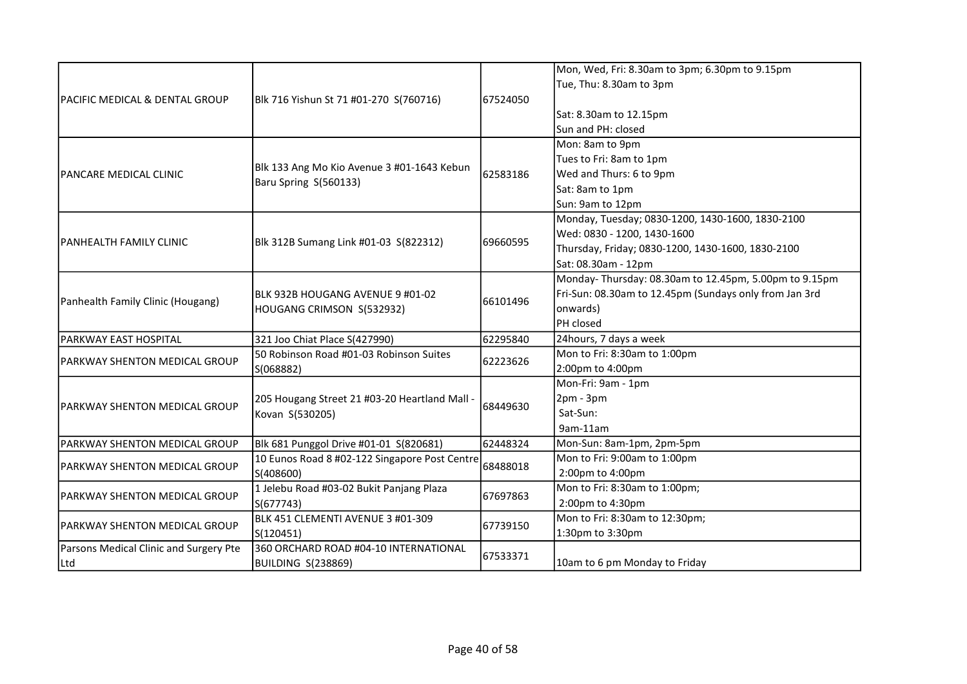|                                        |                                                                                                                          |          | Mon, Wed, Fri: 8.30am to 3pm; 6.30pm to 9.15pm         |
|----------------------------------------|--------------------------------------------------------------------------------------------------------------------------|----------|--------------------------------------------------------|
|                                        |                                                                                                                          |          | Tue, Thu: 8.30am to 3pm                                |
| PACIFIC MEDICAL & DENTAL GROUP         | Blk 716 Yishun St 71 #01-270 S(760716)                                                                                   | 67524050 |                                                        |
|                                        |                                                                                                                          |          | Sat: 8.30am to 12.15pm                                 |
|                                        |                                                                                                                          |          | Sun and PH: closed                                     |
|                                        |                                                                                                                          |          | Mon: 8am to 9pm                                        |
|                                        |                                                                                                                          |          | Tues to Fri: 8am to 1pm                                |
| <b>PANCARE MEDICAL CLINIC</b>          | Blk 133 Ang Mo Kio Avenue 3 #01-1643 Kebun                                                                               | 62583186 | Wed and Thurs: 6 to 9pm                                |
|                                        | Baru Spring S(560133)                                                                                                    |          | Sat: 8am to 1pm                                        |
|                                        |                                                                                                                          |          | Sun: 9am to 12pm                                       |
|                                        |                                                                                                                          |          | Monday, Tuesday; 0830-1200, 1430-1600, 1830-2100       |
|                                        |                                                                                                                          |          | Wed: 0830 - 1200, 1430-1600                            |
| PANHEALTH FAMILY CLINIC                | Blk 312B Sumang Link #01-03 S(822312)                                                                                    | 69660595 | Thursday, Friday; 0830-1200, 1430-1600, 1830-2100      |
|                                        |                                                                                                                          |          | Sat: 08.30am - 12pm                                    |
|                                        | BLK 932B HOUGANG AVENUE 9 #01-02<br>HOUGANG CRIMSON S(532932)                                                            |          | Monday-Thursday: 08.30am to 12.45pm, 5.00pm to 9.15pm  |
|                                        |                                                                                                                          | 66101496 | Fri-Sun: 08.30am to 12.45pm (Sundays only from Jan 3rd |
| Panhealth Family Clinic (Hougang)      |                                                                                                                          |          | onwards)                                               |
|                                        |                                                                                                                          |          | PH closed                                              |
| PARKWAY EAST HOSPITAL                  | 321 Joo Chiat Place S(427990)                                                                                            | 62295840 | 24hours, 7 days a week                                 |
| PARKWAY SHENTON MEDICAL GROUP          | 50 Robinson Road #01-03 Robinson Suites<br>S(068882)<br>205 Hougang Street 21 #03-20 Heartland Mall -<br>Kovan S(530205) | 62223626 | Mon to Fri: 8:30am to 1:00pm                           |
|                                        |                                                                                                                          |          | 2:00pm to 4:00pm                                       |
|                                        |                                                                                                                          |          | Mon-Fri: 9am - 1pm                                     |
| <b>PARKWAY SHENTON MEDICAL GROUP</b>   |                                                                                                                          | 68449630 | $2pm - 3pm$                                            |
|                                        |                                                                                                                          |          | Sat-Sun:                                               |
|                                        |                                                                                                                          |          | 9am-11am                                               |
| PARKWAY SHENTON MEDICAL GROUP          | Blk 681 Punggol Drive #01-01 S(820681)                                                                                   | 62448324 | Mon-Sun: 8am-1pm, 2pm-5pm                              |
| PARKWAY SHENTON MEDICAL GROUP          | 10 Eunos Road 8 #02-122 Singapore Post Centre                                                                            | 68488018 | Mon to Fri: 9:00am to 1:00pm                           |
|                                        | S(408600)                                                                                                                |          | 2:00pm to 4:00pm                                       |
| PARKWAY SHENTON MEDICAL GROUP          | 1 Jelebu Road #03-02 Bukit Panjang Plaza                                                                                 | 67697863 | Mon to Fri: 8:30am to 1:00pm;                          |
|                                        | S(677743)                                                                                                                |          | 2:00pm to 4:30pm                                       |
| IPARKWAY SHENTON MEDICAL GROUP         | BLK 451 CLEMENTI AVENUE 3 #01-309                                                                                        | 67739150 | Mon to Fri: 8:30am to 12:30pm;                         |
|                                        | S(120451)                                                                                                                |          | 1:30pm to 3:30pm                                       |
| Parsons Medical Clinic and Surgery Pte | 360 ORCHARD ROAD #04-10 INTERNATIONAL                                                                                    | 67533371 |                                                        |
| Ltd                                    | BUILDING S(238869)                                                                                                       |          | 10am to 6 pm Monday to Friday                          |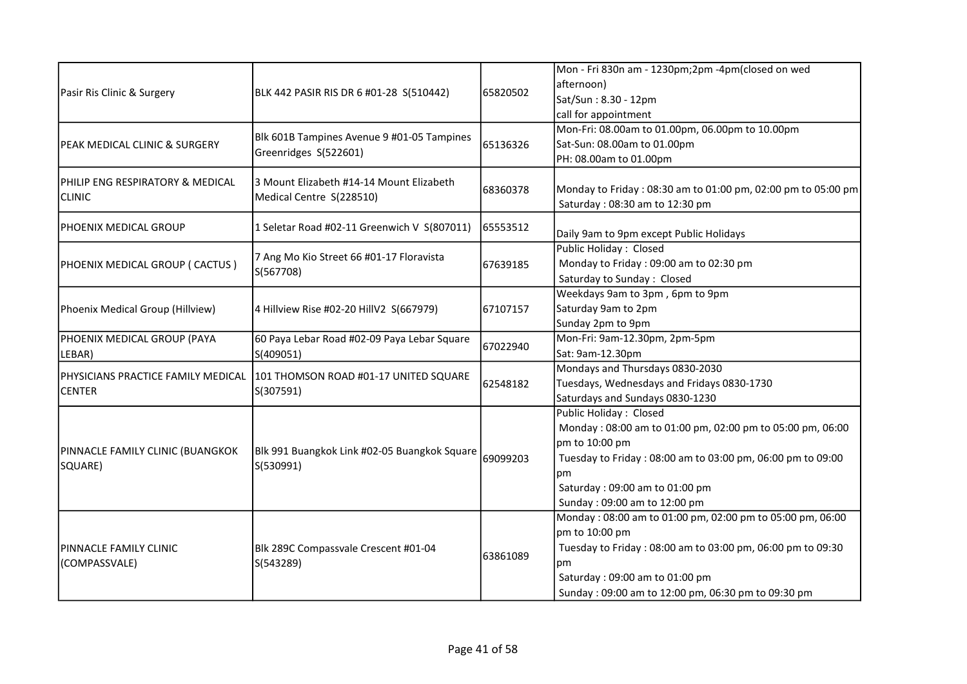| Pasir Ris Clinic & Surgery                          | BLK 442 PASIR RIS DR 6 #01-28 S(510442)                              | 65820502 | Mon - Fri 830n am - 1230pm;2pm -4pm(closed on wed<br>afternoon)<br>Sat/Sun: 8.30 - 12pm<br>call for appointment                                                                                                                             |
|-----------------------------------------------------|----------------------------------------------------------------------|----------|---------------------------------------------------------------------------------------------------------------------------------------------------------------------------------------------------------------------------------------------|
| PEAK MEDICAL CLINIC & SURGERY                       | Blk 601B Tampines Avenue 9 #01-05 Tampines<br>Greenridges S(522601)  | 65136326 | Mon-Fri: 08.00am to 01.00pm, 06.00pm to 10.00pm<br>Sat-Sun: 08.00am to 01.00pm<br>PH: 08.00am to 01.00pm                                                                                                                                    |
| PHILIP ENG RESPIRATORY & MEDICAL<br><b>CLINIC</b>   | 3 Mount Elizabeth #14-14 Mount Elizabeth<br>Medical Centre S(228510) | 68360378 | Monday to Friday: 08:30 am to 01:00 pm, 02:00 pm to 05:00 pm<br>Saturday: 08:30 am to 12:30 pm                                                                                                                                              |
| PHOENIX MEDICAL GROUP                               | 1 Seletar Road #02-11 Greenwich V S(807011)                          | 65553512 | Daily 9am to 9pm except Public Holidays                                                                                                                                                                                                     |
| PHOENIX MEDICAL GROUP ( CACTUS )                    | 7 Ang Mo Kio Street 66 #01-17 Floravista<br>S(567708)                | 67639185 | Public Holiday: Closed<br>Monday to Friday: 09:00 am to 02:30 pm<br>Saturday to Sunday: Closed                                                                                                                                              |
| Phoenix Medical Group (Hillview)                    | 4 Hillview Rise #02-20 HillV2 S(667979)                              | 67107157 | Weekdays 9am to 3pm, 6pm to 9pm<br>Saturday 9am to 2pm<br>Sunday 2pm to 9pm                                                                                                                                                                 |
| PHOENIX MEDICAL GROUP (PAYA<br>LEBAR)               | 60 Paya Lebar Road #02-09 Paya Lebar Square<br>S(409051)             | 67022940 | Mon-Fri: 9am-12.30pm, 2pm-5pm<br>Sat: 9am-12.30pm                                                                                                                                                                                           |
| PHYSICIANS PRACTICE FAMILY MEDICAL<br><b>CENTER</b> | 101 THOMSON ROAD #01-17 UNITED SQUARE<br>S(307591)                   | 62548182 | Mondays and Thursdays 0830-2030<br>Tuesdays, Wednesdays and Fridays 0830-1730<br>Saturdays and Sundays 0830-1230                                                                                                                            |
| PINNACLE FAMILY CLINIC (BUANGKOK<br>SQUARE)         | Blk 991 Buangkok Link #02-05 Buangkok Square<br>S(530991)            | 69099203 | Public Holiday: Closed<br>Monday: 08:00 am to 01:00 pm, 02:00 pm to 05:00 pm, 06:00<br>pm to 10:00 pm<br>Tuesday to Friday: 08:00 am to 03:00 pm, 06:00 pm to 09:00<br>рm<br>Saturday: 09:00 am to 01:00 pm<br>Sunday: 09:00 am to 12:00 pm |
| PINNACLE FAMILY CLINIC<br>(COMPASSVALE)             | Blk 289C Compassvale Crescent #01-04<br>S(543289)                    | 63861089 | Monday: 08:00 am to 01:00 pm, 02:00 pm to 05:00 pm, 06:00<br>pm to 10:00 pm<br>Tuesday to Friday: 08:00 am to 03:00 pm, 06:00 pm to 09:30<br>pm<br>Saturday: 09:00 am to 01:00 pm<br>Sunday: 09:00 am to 12:00 pm, 06:30 pm to 09:30 pm     |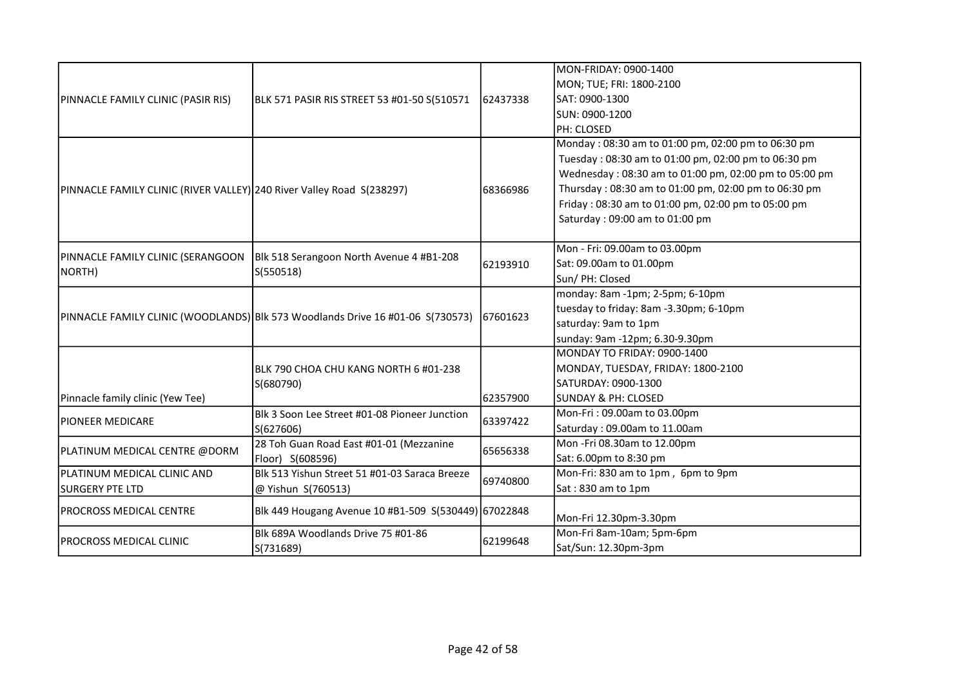|                                                                       |                                                                                           |          | MON-FRIDAY: 0900-1400                                 |
|-----------------------------------------------------------------------|-------------------------------------------------------------------------------------------|----------|-------------------------------------------------------|
| PINNACLE FAMILY CLINIC (PASIR RIS)                                    |                                                                                           |          | MON; TUE; FRI: 1800-2100                              |
|                                                                       | BLK 571 PASIR RIS STREET 53 #01-50 S(510571                                               | 62437338 | SAT: 0900-1300                                        |
|                                                                       |                                                                                           |          | SUN: 0900-1200                                        |
|                                                                       |                                                                                           |          | PH: CLOSED                                            |
|                                                                       |                                                                                           |          | Monday: 08:30 am to 01:00 pm, 02:00 pm to 06:30 pm    |
|                                                                       |                                                                                           |          | Tuesday: 08:30 am to 01:00 pm, 02:00 pm to 06:30 pm   |
|                                                                       |                                                                                           |          | Wednesday: 08:30 am to 01:00 pm, 02:00 pm to 05:00 pm |
| PINNACLE FAMILY CLINIC (RIVER VALLEY) 240 River Valley Road S(238297) |                                                                                           | 68366986 | Thursday: 08:30 am to 01:00 pm, 02:00 pm to 06:30 pm  |
|                                                                       |                                                                                           |          | Friday: 08:30 am to 01:00 pm, 02:00 pm to 05:00 pm    |
|                                                                       |                                                                                           |          | Saturday: 09:00 am to 01:00 pm                        |
|                                                                       |                                                                                           |          | Mon - Fri: 09.00am to 03.00pm                         |
|                                                                       | PINNACLE FAMILY CLINIC (SERANGOON   Blk 518 Serangoon North Avenue 4 #B1-208<br>S(550518) |          | Sat: 09.00am to 01.00pm                               |
| NORTH)                                                                |                                                                                           | 62193910 | Sun/ PH: Closed                                       |
|                                                                       |                                                                                           |          | monday: 8am -1pm; 2-5pm; 6-10pm                       |
|                                                                       | PINNACLE FAMILY CLINIC (WOODLANDS) Blk 573 Woodlands Drive 16 #01-06 S(730573)            |          | tuesday to friday: 8am -3.30pm; 6-10pm                |
|                                                                       |                                                                                           | 67601623 | saturday: 9am to 1pm                                  |
|                                                                       |                                                                                           |          | sunday: 9am -12pm; 6.30-9.30pm                        |
|                                                                       |                                                                                           |          | MONDAY TO FRIDAY: 0900-1400                           |
|                                                                       | BLK 790 CHOA CHU KANG NORTH 6 #01-238                                                     |          | MONDAY, TUESDAY, FRIDAY: 1800-2100                    |
|                                                                       | S(680790)                                                                                 |          | SATURDAY: 0900-1300                                   |
| Pinnacle family clinic (Yew Tee)                                      |                                                                                           | 62357900 | <b>SUNDAY &amp; PH: CLOSED</b>                        |
|                                                                       | Blk 3 Soon Lee Street #01-08 Pioneer Junction<br>S(627606)                                |          | Mon-Fri: 09.00am to 03.00pm                           |
| <b>IPIONEER MEDICARE</b>                                              |                                                                                           | 63397422 | Saturday: 09.00am to 11.00am                          |
|                                                                       | 28 Toh Guan Road East #01-01 (Mezzanine                                                   |          | Mon -Fri 08.30am to 12.00pm                           |
| PLATINUM MEDICAL CENTRE @DORM                                         | Floor) S(608596)                                                                          | 65656338 | Sat: 6.00pm to 8:30 pm                                |
| PLATINUM MEDICAL CLINIC AND                                           | Blk 513 Yishun Street 51 #01-03 Saraca Breeze                                             | 69740800 | Mon-Fri: 830 am to 1pm, 6pm to 9pm                    |
| <b>SURGERY PTE LTD</b>                                                | @ Yishun S(760513)                                                                        |          | Sat: 830 am to 1pm                                    |
| PROCROSS MEDICAL CENTRE                                               | Blk 449 Hougang Avenue 10 #B1-509 S(530449) 67022848                                      |          | Mon-Fri 12.30pm-3.30pm                                |
|                                                                       | Blk 689A Woodlands Drive 75 #01-86                                                        |          | Mon-Fri 8am-10am; 5pm-6pm                             |
| <b>PROCROSS MEDICAL CLINIC</b>                                        | S(731689)                                                                                 | 62199648 | Sat/Sun: 12.30pm-3pm                                  |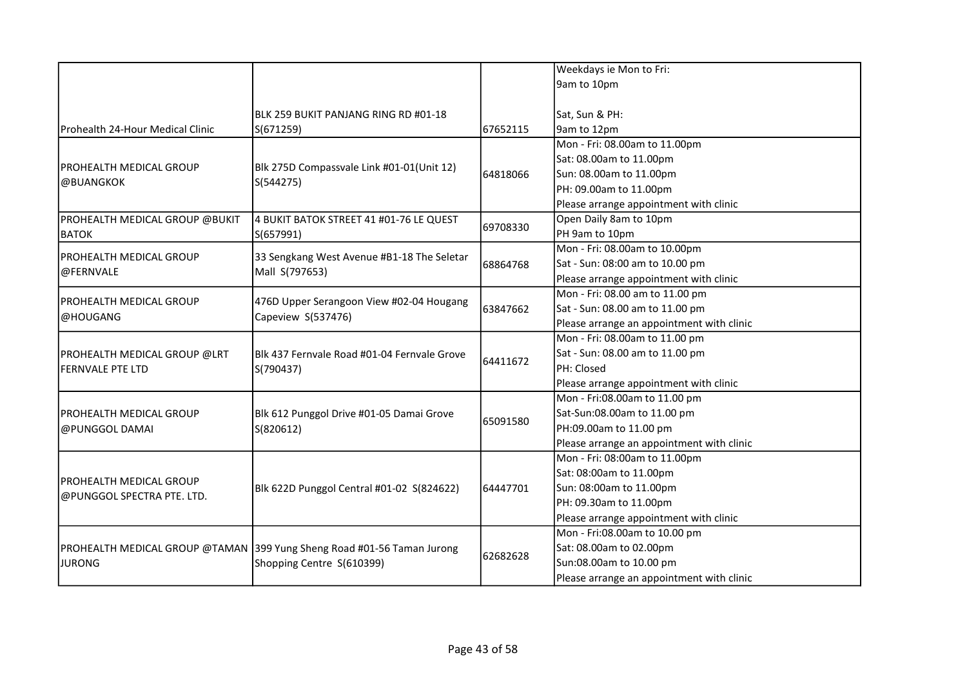|                                  |                                                                        |          | Weekdays ie Mon to Fri:                   |
|----------------------------------|------------------------------------------------------------------------|----------|-------------------------------------------|
|                                  |                                                                        |          | 9am to 10pm                               |
|                                  |                                                                        |          |                                           |
|                                  | BLK 259 BUKIT PANJANG RING RD #01-18                                   |          | Sat, Sun & PH:                            |
| Prohealth 24-Hour Medical Clinic | S(671259)                                                              | 67652115 | 9am to 12pm                               |
|                                  |                                                                        |          | Mon - Fri: 08.00am to 11.00pm             |
|                                  |                                                                        |          | Sat: 08.00am to 11.00pm                   |
| <b>PROHEALTH MEDICAL GROUP</b>   | Blk 275D Compassvale Link #01-01(Unit 12)                              | 64818066 | Sun: 08.00am to 11.00pm                   |
| @BUANGKOK                        | S(544275)                                                              |          | PH: 09.00am to 11.00pm                    |
|                                  |                                                                        |          | Please arrange appointment with clinic    |
| PROHEALTH MEDICAL GROUP @BUKIT   | 4 BUKIT BATOK STREET 41 #01-76 LE QUEST                                |          | Open Daily 8am to 10pm                    |
| <b>BATOK</b>                     | S(657991)                                                              | 69708330 | PH 9am to 10pm                            |
|                                  |                                                                        |          | Mon - Fri: 08.00am to 10.00pm             |
| PROHEALTH MEDICAL GROUP          | 33 Sengkang West Avenue #B1-18 The Seletar<br>Mall S(797653)           | 68864768 | Sat - Sun: 08:00 am to 10.00 pm           |
| @FERNVALE                        |                                                                        |          | Please arrange appointment with clinic    |
| <b>PROHEALTH MEDICAL GROUP</b>   | 476D Upper Serangoon View #02-04 Hougang<br>Capeview S(537476)         |          | Mon - Fri: 08.00 am to 11.00 pm           |
| @HOUGANG                         |                                                                        | 63847662 | Sat - Sun: 08.00 am to 11.00 pm           |
|                                  |                                                                        |          | Please arrange an appointment with clinic |
|                                  | Blk 437 Fernvale Road #01-04 Fernvale Grove<br>S(790437)               | 64411672 | Mon - Fri: 08.00am to 11.00 pm            |
| PROHEALTH MEDICAL GROUP @LRT     |                                                                        |          | Sat - Sun: 08.00 am to 11.00 pm           |
| <b>FERNVALE PTE LTD</b>          |                                                                        |          | PH: Closed                                |
|                                  |                                                                        |          | Please arrange appointment with clinic    |
|                                  |                                                                        |          | Mon - Fri:08.00am to 11.00 pm             |
| PROHEALTH MEDICAL GROUP          | Blk 612 Punggol Drive #01-05 Damai Grove<br>S(820612)                  | 65091580 | Sat-Sun:08.00am to 11.00 pm               |
| @PUNGGOL DAMAI                   |                                                                        |          | PH:09.00am to 11.00 pm                    |
|                                  |                                                                        |          | Please arrange an appointment with clinic |
|                                  |                                                                        |          | Mon - Fri: 08:00am to 11.00pm             |
| PROHEALTH MEDICAL GROUP          |                                                                        |          | Sat: 08:00am to 11.00pm                   |
| @PUNGGOL SPECTRA PTE. LTD.       | Blk 622D Punggol Central #01-02 S(824622)                              | 64447701 | Sun: 08:00am to 11.00pm                   |
|                                  |                                                                        |          | PH: 09.30am to 11.00pm                    |
|                                  |                                                                        |          | Please arrange appointment with clinic    |
|                                  |                                                                        | 62682628 | Mon - Fri:08.00am to 10.00 pm             |
|                                  | PROHEALTH MEDICAL GROUP @TAMAN 399 Yung Sheng Road #01-56 Taman Jurong |          | Sat: 08.00am to 02.00pm                   |
| <b>JURONG</b>                    | Shopping Centre S(610399)                                              |          | Sun:08.00am to 10.00 pm                   |
|                                  |                                                                        |          | Please arrange an appointment with clinic |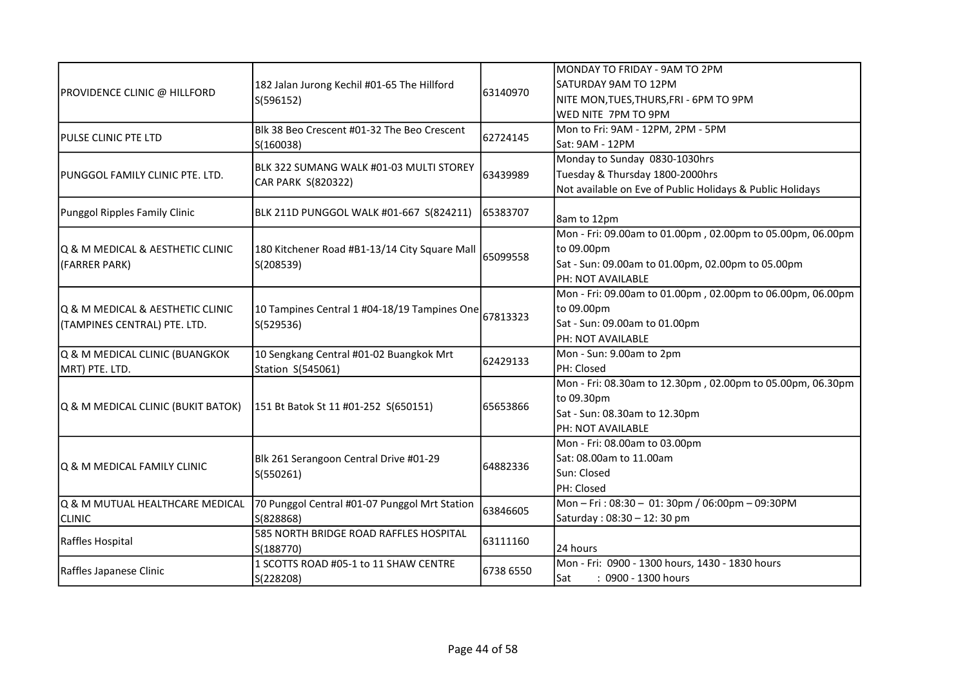|                                     |                                                           |           | MONDAY TO FRIDAY - 9AM TO 2PM                              |
|-------------------------------------|-----------------------------------------------------------|-----------|------------------------------------------------------------|
| <b>PROVIDENCE CLINIC @ HILLFORD</b> | 182 Jalan Jurong Kechil #01-65 The Hillford<br>S(596152)  |           | SATURDAY 9AM TO 12PM                                       |
|                                     |                                                           | 63140970  | NITE MON, TUES, THURS, FRI - 6PM TO 9PM                    |
|                                     |                                                           |           | WED NITE 7PM TO 9PM                                        |
|                                     | Blk 38 Beo Crescent #01-32 The Beo Crescent               |           | Mon to Fri: 9AM - 12PM, 2PM - 5PM                          |
| <b>PULSE CLINIC PTE LTD</b>         | S(160038)                                                 | 62724145  | Sat: 9AM - 12PM                                            |
|                                     |                                                           |           | Monday to Sunday 0830-1030hrs                              |
| PUNGGOL FAMILY CLINIC PTE. LTD.     | BLK 322 SUMANG WALK #01-03 MULTI STOREY                   | 63439989  | Tuesday & Thursday 1800-2000hrs                            |
|                                     | CAR PARK S(820322)                                        |           | Not available on Eve of Public Holidays & Public Holidays  |
| Punggol Ripples Family Clinic       | BLK 211D PUNGGOL WALK #01-667 S(824211)                   | 65383707  |                                                            |
|                                     |                                                           |           | 8am to 12pm                                                |
|                                     |                                                           |           | Mon - Fri: 09.00am to 01.00pm, 02.00pm to 05.00pm, 06.00pm |
| Q & M MEDICAL & AESTHETIC CLINIC    | 180 Kitchener Road #B1-13/14 City Square Mall             | 65099558  | to 09.00pm                                                 |
| (FARRER PARK)                       | S(208539)                                                 |           | Sat - Sun: 09.00am to 01.00pm, 02.00pm to 05.00pm          |
|                                     |                                                           |           | <b>PH: NOT AVAILABLE</b>                                   |
|                                     |                                                           |           | Mon - Fri: 09.00am to 01.00pm, 02.00pm to 06.00pm, 06.00pm |
| Q & M MEDICAL & AESTHETIC CLINIC    | 10 Tampines Central 1 #04-18/19 Tampines One<br>S(529536) | 67813323  | to 09.00pm                                                 |
| (TAMPINES CENTRAL) PTE. LTD.        |                                                           |           | Sat - Sun: 09.00am to 01.00pm                              |
|                                     |                                                           |           | <b>PH: NOT AVAILABLE</b>                                   |
| Q & M MEDICAL CLINIC (BUANGKOK      | 10 Sengkang Central #01-02 Buangkok Mrt                   | 62429133  | Mon - Sun: 9.00am to 2pm                                   |
| MRT) PTE. LTD.                      | Station S(545061)                                         |           | PH: Closed                                                 |
|                                     |                                                           |           | Mon - Fri: 08.30am to 12.30pm, 02.00pm to 05.00pm, 06.30pm |
|                                     | 151 Bt Batok St 11 #01-252 S(650151)                      |           | to 09.30pm                                                 |
| Q & M MEDICAL CLINIC (BUKIT BATOK)  |                                                           | 65653866  | Sat - Sun: 08.30am to 12.30pm                              |
|                                     |                                                           |           | PH: NOT AVAILABLE                                          |
|                                     |                                                           |           | Mon - Fri: 08.00am to 03.00pm                              |
|                                     | Blk 261 Serangoon Central Drive #01-29<br>S(550261)       |           | Sat: 08.00am to 11.00am                                    |
| Q & M MEDICAL FAMILY CLINIC         |                                                           | 64882336  | Sun: Closed                                                |
|                                     |                                                           |           | PH: Closed                                                 |
| Q & M MUTUAL HEALTHCARE MEDICAL     | 70 Punggol Central #01-07 Punggol Mrt Station             | 63846605  | Mon-Fri: 08:30 - 01: 30pm / 06:00pm - 09:30PM              |
| <b>CLINIC</b>                       | S(828868)                                                 |           | Saturday: 08:30 - 12:30 pm                                 |
|                                     | 585 NORTH BRIDGE ROAD RAFFLES HOSPITAL                    | 63111160  |                                                            |
| Raffles Hospital                    | S(188770)                                                 |           | 24 hours                                                   |
|                                     | 1 SCOTTS ROAD #05-1 to 11 SHAW CENTRE                     |           | Mon - Fri: 0900 - 1300 hours, 1430 - 1830 hours            |
| Raffles Japanese Clinic             | S(228208)                                                 | 6738 6550 | : 0900 - 1300 hours<br>Sat                                 |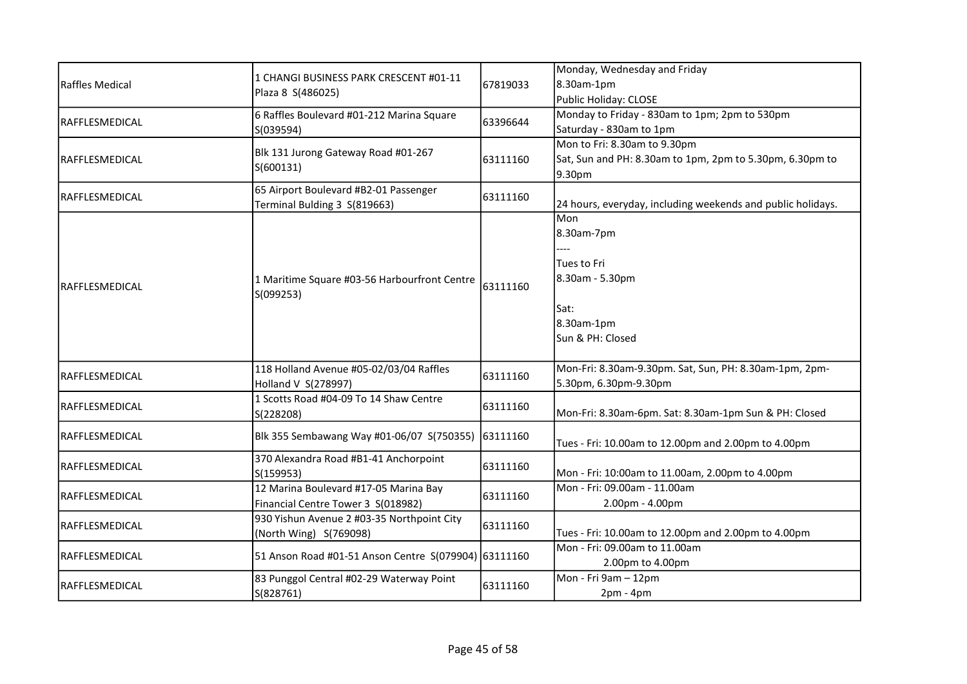| <b>Raffles Medical</b> |                                                      |          | Monday, Wednesday and Friday                                |
|------------------------|------------------------------------------------------|----------|-------------------------------------------------------------|
|                        | 1 CHANGI BUSINESS PARK CRESCENT #01-11               | 67819033 | 8.30am-1pm                                                  |
|                        | Plaza 8 S(486025)                                    |          | Public Holiday: CLOSE                                       |
|                        | 6 Raffles Boulevard #01-212 Marina Square            |          | Monday to Friday - 830am to 1pm; 2pm to 530pm               |
| RAFFLESMEDICAL         | S(039594)                                            | 63396644 | Saturday - 830am to 1pm                                     |
|                        |                                                      |          | Mon to Fri: 8.30am to 9.30pm                                |
| RAFFLESMEDICAL         | Blk 131 Jurong Gateway Road #01-267                  | 63111160 | Sat, Sun and PH: 8.30am to 1pm, 2pm to 5.30pm, 6.30pm to    |
|                        | S(600131)                                            |          | 9.30pm                                                      |
|                        | 65 Airport Boulevard #B2-01 Passenger                |          |                                                             |
| RAFFLESMEDICAL         | Terminal Bulding 3 S(819663)                         | 63111160 | 24 hours, everyday, including weekends and public holidays. |
|                        |                                                      |          | Mon                                                         |
|                        |                                                      |          | 8.30am-7pm                                                  |
|                        |                                                      |          |                                                             |
|                        |                                                      |          | Tues to Fri                                                 |
|                        | 1 Maritime Square #03-56 Harbourfront Centre         | 63111160 | 8.30am - 5.30pm                                             |
| RAFFLESMEDICAL         | S(099253)                                            |          |                                                             |
|                        |                                                      |          | Sat:                                                        |
|                        |                                                      |          | 8.30am-1pm                                                  |
|                        |                                                      |          | Sun & PH: Closed                                            |
|                        |                                                      |          |                                                             |
|                        | 118 Holland Avenue #05-02/03/04 Raffles              |          | Mon-Fri: 8.30am-9.30pm. Sat, Sun, PH: 8.30am-1pm, 2pm-      |
| <b>RAFFLESMEDICAL</b>  | Holland V S(278997)                                  | 63111160 | 5.30pm, 6.30pm-9.30pm                                       |
| RAFFLESMEDICAL         | 1 Scotts Road #04-09 To 14 Shaw Centre               | 63111160 |                                                             |
|                        | S(228208)                                            |          | Mon-Fri: 8.30am-6pm. Sat: 8.30am-1pm Sun & PH: Closed       |
| <b>RAFFLESMEDICAL</b>  | Blk 355 Sembawang Way #01-06/07 S(750355) 63111160   |          |                                                             |
|                        |                                                      |          | Tues - Fri: 10.00am to 12.00pm and 2.00pm to 4.00pm         |
| RAFFLESMEDICAL         | 370 Alexandra Road #B1-41 Anchorpoint                | 63111160 |                                                             |
|                        | S(159953)                                            |          | Mon - Fri: 10:00am to 11.00am, 2.00pm to 4.00pm             |
| <b>RAFFLESMEDICAL</b>  | 12 Marina Boulevard #17-05 Marina Bay                | 63111160 | Mon - Fri: 09.00am - 11.00am                                |
|                        | Financial Centre Tower 3 S(018982)                   |          | 2.00pm - 4.00pm                                             |
| RAFFLESMEDICAL         | 930 Yishun Avenue 2 #03-35 Northpoint City           | 63111160 |                                                             |
|                        | (North Wing) S(769098)                               |          | Tues - Fri: 10.00am to 12.00pm and 2.00pm to 4.00pm         |
| RAFFLESMEDICAL         | 51 Anson Road #01-51 Anson Centre S(079904) 63111160 |          | Mon - Fri: 09.00am to 11.00am                               |
|                        |                                                      |          | 2.00pm to 4.00pm                                            |
| <b>RAFFLESMEDICAL</b>  | 83 Punggol Central #02-29 Waterway Point             | 63111160 | Mon - Fri 9am - 12pm                                        |
|                        | S(828761)                                            |          | $2pm - 4pm$                                                 |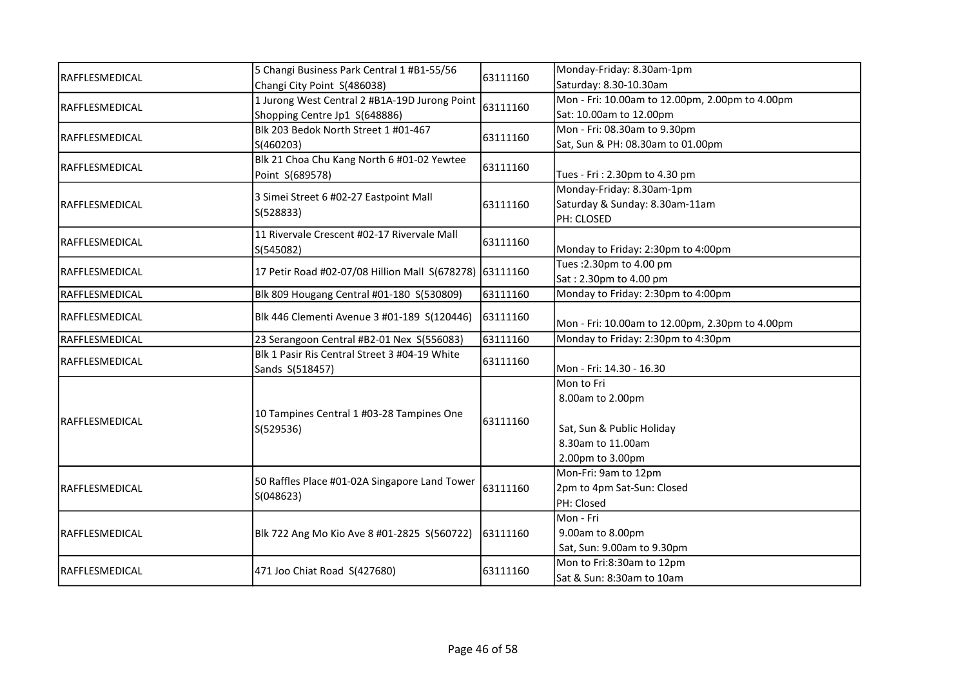|                 | 5 Changi Business Park Central 1 #B1-55/56              | 63111160 | Monday-Friday: 8.30am-1pm                       |
|-----------------|---------------------------------------------------------|----------|-------------------------------------------------|
| RAFFLESMEDICAL  | Changi City Point S(486038)                             |          | Saturday: 8.30-10.30am                          |
| RAFFLESMEDICAL  | 1 Jurong West Central 2 #B1A-19D Jurong Point           |          | Mon - Fri: 10.00am to 12.00pm, 2.00pm to 4.00pm |
|                 | Shopping Centre Jp1 S(648886)                           | 63111160 | Sat: 10.00am to 12.00pm                         |
|                 | Blk 203 Bedok North Street 1 #01-467                    |          | Mon - Fri: 08.30am to 9.30pm                    |
| RAFFLESMEDICAL  | S(460203)                                               | 63111160 | Sat, Sun & PH: 08.30am to 01.00pm               |
|                 | Blk 21 Choa Chu Kang North 6 #01-02 Yewtee              |          |                                                 |
| RAFFLESMEDICAL  | Point S(689578)                                         | 63111160 | Tues - Fri: 2.30pm to 4.30 pm                   |
|                 |                                                         |          | Monday-Friday: 8.30am-1pm                       |
| RAFFLESMEDICAL  | 3 Simei Street 6 #02-27 Eastpoint Mall                  | 63111160 | Saturday & Sunday: 8.30am-11am                  |
|                 | S(528833)                                               |          | PH: CLOSED                                      |
|                 | 11 Rivervale Crescent #02-17 Rivervale Mall             |          |                                                 |
| RAFFLESMEDICAL  | S(545082)                                               | 63111160 | Monday to Friday: 2:30pm to 4:00pm              |
|                 |                                                         |          | Tues: 2.30pm to 4.00 pm                         |
| RAFFLESMEDICAL  | 17 Petir Road #02-07/08 Hillion Mall S(678278) 63111160 |          | Sat: 2.30pm to 4.00 pm                          |
| RAFFLESMEDICAL  | Blk 809 Hougang Central #01-180 S(530809)               | 63111160 | Monday to Friday: 2:30pm to 4:00pm              |
| RAFFLESMEDICAL  | Blk 446 Clementi Avenue 3 #01-189 S(120446)             | 63111160 |                                                 |
|                 |                                                         |          | Mon - Fri: 10.00am to 12.00pm, 2.30pm to 4.00pm |
| RAFFLESMEDICAL  | 23 Serangoon Central #B2-01 Nex S(556083)               | 63111160 | Monday to Friday: 2:30pm to 4:30pm              |
| RAFFLESMEDICAL  | Blk 1 Pasir Ris Central Street 3 #04-19 White           | 63111160 |                                                 |
|                 | Sands S(518457)                                         |          | Mon - Fri: 14.30 - 16.30                        |
|                 |                                                         | 63111160 | Mon to Fri                                      |
|                 |                                                         |          | 8.00am to 2.00pm                                |
| IRAFFLESMEDICAL | 10 Tampines Central 1 #03-28 Tampines One               |          |                                                 |
|                 | S(529536)                                               |          | Sat, Sun & Public Holiday                       |
|                 |                                                         |          | 8.30am to 11.00am                               |
|                 |                                                         |          | 2.00pm to 3.00pm                                |
|                 | 50 Raffles Place #01-02A Singapore Land Tower           | 63111160 | Mon-Fri: 9am to 12pm                            |
| IRAFFLESMEDICAL | S(048623)                                               |          | 2pm to 4pm Sat-Sun: Closed                      |
|                 |                                                         |          | PH: Closed                                      |
|                 |                                                         | 63111160 | Mon - Fri                                       |
| RAFFLESMEDICAL  | Blk 722 Ang Mo Kio Ave 8 #01-2825 S(560722)             |          | 9.00am to 8.00pm                                |
|                 |                                                         |          | Sat, Sun: 9.00am to 9.30pm                      |
| IRAFFLESMEDICAL | 471 Joo Chiat Road S(427680)                            | 63111160 | Mon to Fri:8:30am to 12pm                       |
|                 |                                                         |          | Sat & Sun: 8:30am to 10am                       |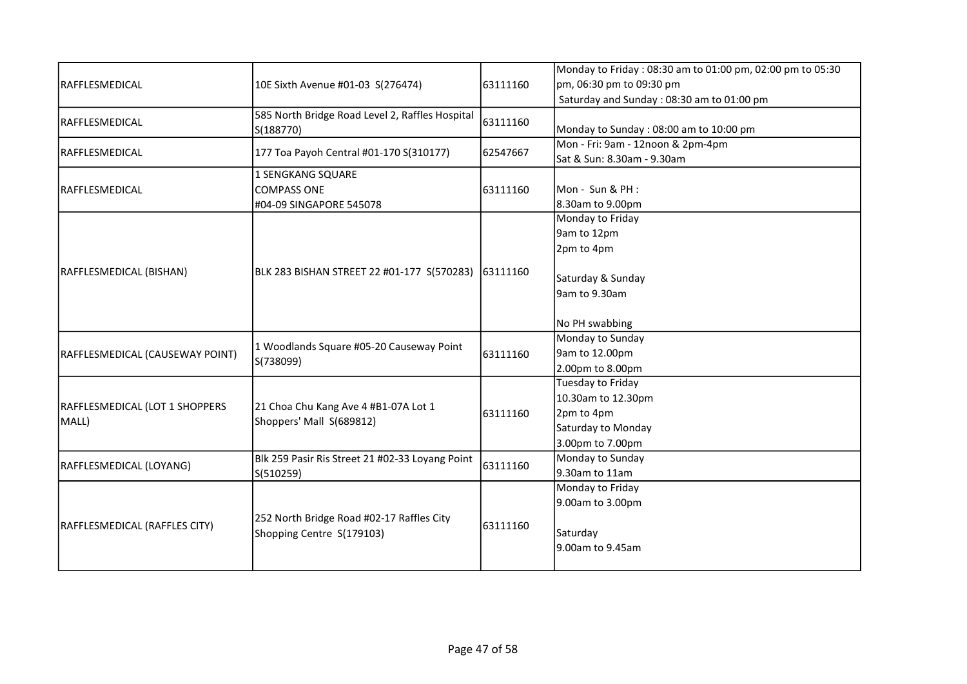|                                 |                                                                                               |          | Monday to Friday: 08:30 am to 01:00 pm, 02:00 pm to 05:30 |
|---------------------------------|-----------------------------------------------------------------------------------------------|----------|-----------------------------------------------------------|
| RAFFLESMEDICAL                  | 10E Sixth Avenue #01-03 S(276474)                                                             | 63111160 | pm, 06:30 pm to 09:30 pm                                  |
|                                 |                                                                                               |          | Saturday and Sunday: 08:30 am to 01:00 pm                 |
| RAFFLESMEDICAL                  | 585 North Bridge Road Level 2, Raffles Hospital                                               | 63111160 |                                                           |
|                                 | S(188770)                                                                                     |          | Monday to Sunday: 08:00 am to 10:00 pm                    |
|                                 |                                                                                               |          | Mon - Fri: 9am - 12noon & 2pm-4pm                         |
| RAFFLESMEDICAL                  | 177 Toa Payoh Central #01-170 S(310177)                                                       | 62547667 | Sat & Sun: 8.30am - 9.30am                                |
|                                 | 1 SENGKANG SQUARE                                                                             |          |                                                           |
| RAFFLESMEDICAL                  | <b>COMPASS ONE</b>                                                                            | 63111160 | Mon - Sun & PH :                                          |
|                                 | #04-09 SINGAPORE 545078                                                                       |          | 8.30am to 9.00pm                                          |
|                                 |                                                                                               |          | Monday to Friday                                          |
|                                 |                                                                                               |          | 9am to 12pm                                               |
|                                 |                                                                                               |          | 2pm to 4pm                                                |
| RAFFLESMEDICAL (BISHAN)         | BLK 283 BISHAN STREET 22 #01-177 S(570283) 63111160                                           |          |                                                           |
|                                 |                                                                                               |          | Saturday & Sunday                                         |
|                                 |                                                                                               |          | 9am to 9.30am                                             |
|                                 |                                                                                               |          | No PH swabbing                                            |
|                                 | 1 Woodlands Square #05-20 Causeway Point<br>S(738099)<br>21 Choa Chu Kang Ave 4 #B1-07A Lot 1 |          | Monday to Sunday                                          |
| RAFFLESMEDICAL (CAUSEWAY POINT) |                                                                                               | 63111160 | 9am to 12.00pm                                            |
|                                 |                                                                                               |          | 2.00pm to 8.00pm                                          |
|                                 |                                                                                               |          | Tuesday to Friday                                         |
|                                 |                                                                                               | 63111160 | 10.30am to 12.30pm                                        |
| RAFFLESMEDICAL (LOT 1 SHOPPERS  |                                                                                               |          | 2pm to 4pm                                                |
| MALL)                           | Shoppers' Mall S(689812)                                                                      |          | Saturday to Monday                                        |
|                                 |                                                                                               |          | 3.00pm to 7.00pm                                          |
|                                 | Blk 259 Pasir Ris Street 21 #02-33 Loyang Point                                               |          | Monday to Sunday                                          |
| RAFFLESMEDICAL (LOYANG)         | S(510259)                                                                                     | 63111160 | 9.30am to 11am                                            |
| RAFFLESMEDICAL (RAFFLES CITY)   |                                                                                               |          | Monday to Friday                                          |
|                                 |                                                                                               |          | 9.00am to 3.00pm                                          |
|                                 | 252 North Bridge Road #02-17 Raffles City                                                     |          |                                                           |
|                                 | Shopping Centre S(179103)                                                                     | 63111160 | Saturday                                                  |
|                                 |                                                                                               |          | 9.00am to 9.45am                                          |
|                                 |                                                                                               |          |                                                           |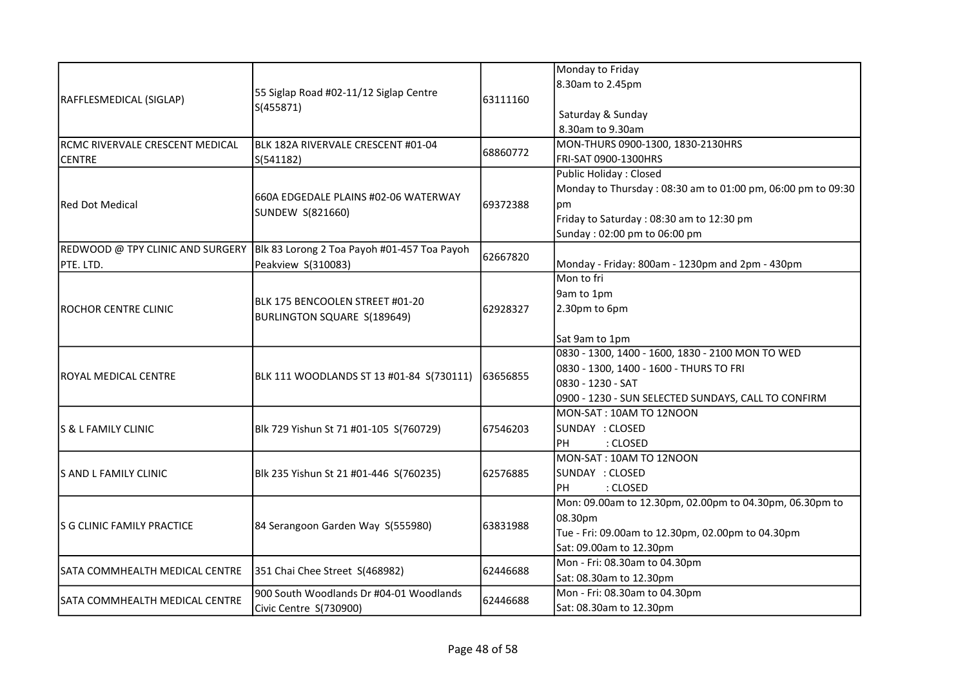|                                   |                                                                |          | Monday to Friday                                            |
|-----------------------------------|----------------------------------------------------------------|----------|-------------------------------------------------------------|
| RAFFLESMEDICAL (SIGLAP)           |                                                                |          | 8.30am to 2.45pm                                            |
|                                   | 55 Siglap Road #02-11/12 Siglap Centre                         | 63111160 |                                                             |
|                                   | S(455871)                                                      |          | Saturday & Sunday                                           |
|                                   |                                                                |          | 8.30am to 9.30am                                            |
| RCMC RIVERVALE CRESCENT MEDICAL   | BLK 182A RIVERVALE CRESCENT #01-04                             |          | MON-THURS 0900-1300, 1830-2130HRS                           |
| <b>CENTRE</b>                     | S(541182)                                                      | 68860772 | FRI-SAT 0900-1300HRS                                        |
|                                   |                                                                |          | Public Holiday: Closed                                      |
|                                   |                                                                |          | Monday to Thursday: 08:30 am to 01:00 pm, 06:00 pm to 09:30 |
| lRed Dot Medical                  | 660A EDGEDALE PLAINS #02-06 WATERWAY                           | 69372388 | рm                                                          |
|                                   | SUNDEW S(821660)                                               |          | Friday to Saturday: 08:30 am to 12:30 pm                    |
|                                   |                                                                |          | Sunday: 02:00 pm to 06:00 pm                                |
| REDWOOD @ TPY CLINIC AND SURGERY  | Blk 83 Lorong 2 Toa Payoh #01-457 Toa Payoh                    |          |                                                             |
| PTE. LTD.                         | Peakview S(310083)                                             | 62667820 | Monday - Friday: 800am - 1230pm and 2pm - 430pm             |
|                                   |                                                                |          | Mon to fri                                                  |
|                                   | BLK 175 BENCOOLEN STREET #01-20<br>BURLINGTON SQUARE S(189649) |          | 9am to 1pm                                                  |
| IROCHOR CENTRE CLINIC             |                                                                | 62928327 | 2.30pm to 6pm                                               |
|                                   |                                                                |          |                                                             |
|                                   |                                                                |          | Sat 9am to 1pm                                              |
|                                   | BLK 111 WOODLANDS ST 13 #01-84 S(730111)                       |          | 0830 - 1300, 1400 - 1600, 1830 - 2100 MON TO WED            |
| ROYAL MEDICAL CENTRE              |                                                                | 63656855 | 0830 - 1300, 1400 - 1600 - THURS TO FRI                     |
|                                   |                                                                |          | 0830 - 1230 - SAT                                           |
|                                   |                                                                |          | 0900 - 1230 - SUN SELECTED SUNDAYS, CALL TO CONFIRM         |
|                                   |                                                                |          | MON-SAT: 10AM TO 12NOON                                     |
| ls & L FAMILY CLINIC              | Blk 729 Yishun St 71 #01-105 S(760729)                         | 67546203 | SUNDAY : CLOSED                                             |
|                                   |                                                                |          | : CLOSED<br>PH                                              |
|                                   |                                                                |          | MON-SAT: 10AM TO 12NOON                                     |
| lS AND L FAMILY CLINIC            | Blk 235 Yishun St 21 #01-446 S(760235)                         | 62576885 | SUNDAY : CLOSED                                             |
|                                   |                                                                |          | : CLOSED<br>PН                                              |
|                                   |                                                                |          | Mon: 09.00am to 12.30pm, 02.00pm to 04.30pm, 06.30pm to     |
| <b>S G CLINIC FAMILY PRACTICE</b> | 84 Serangoon Garden Way S(555980)                              | 63831988 | 08.30pm                                                     |
|                                   |                                                                |          | Tue - Fri: 09.00am to 12.30pm, 02.00pm to 04.30pm           |
|                                   |                                                                |          | Sat: 09.00am to 12.30pm                                     |
| SATA COMMHEALTH MEDICAL CENTRE    | 351 Chai Chee Street S(468982)                                 | 62446688 | Mon - Fri: 08.30am to 04.30pm                               |
|                                   |                                                                |          | Sat: 08.30am to 12.30pm                                     |
| SATA COMMHEALTH MEDICAL CENTRE    | 900 South Woodlands Dr #04-01 Woodlands                        | 62446688 | Mon - Fri: 08.30am to 04.30pm                               |
|                                   | Civic Centre S(730900)                                         |          | Sat: 08.30am to 12.30pm                                     |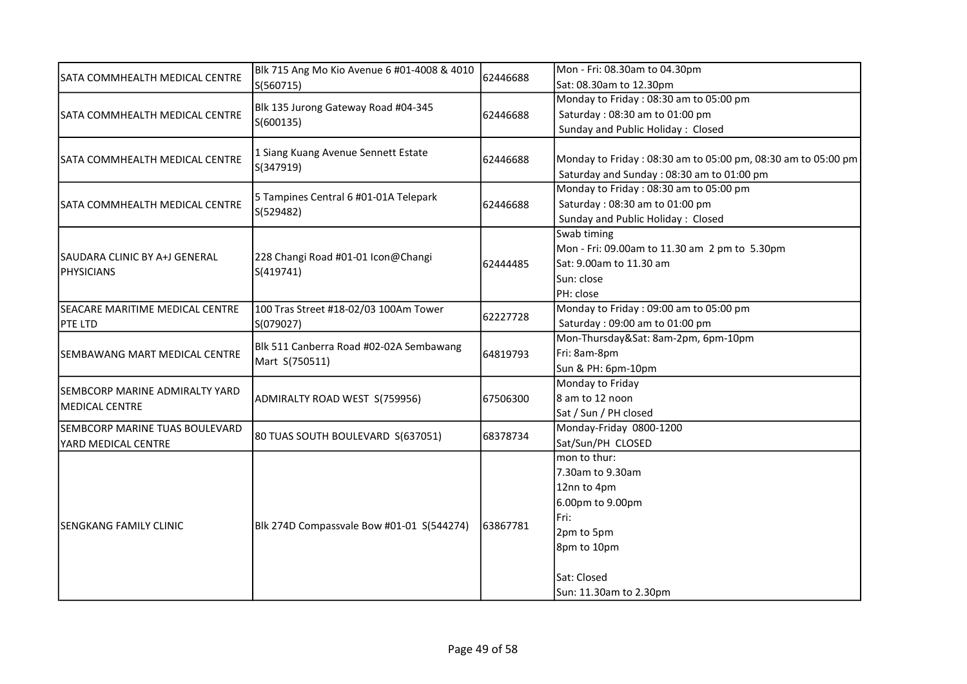|                                       | Blk 715 Ang Mo Kio Avenue 6 #01-4008 & 4010<br>S(560715)  | 62446688 | Mon - Fri: 08.30am to 04.30pm                                |
|---------------------------------------|-----------------------------------------------------------|----------|--------------------------------------------------------------|
| <b>SATA COMMHEALTH MEDICAL CENTRE</b> |                                                           |          | Sat: 08.30am to 12.30pm                                      |
|                                       |                                                           |          | Monday to Friday: 08:30 am to 05:00 pm                       |
| SATA COMMHEALTH MEDICAL CENTRE        | Blk 135 Jurong Gateway Road #04-345                       | 62446688 | Saturday: 08:30 am to 01:00 pm                               |
|                                       | S(600135)                                                 |          | Sunday and Public Holiday: Closed                            |
|                                       |                                                           |          |                                                              |
| SATA COMMHEALTH MEDICAL CENTRE        | 1 Siang Kuang Avenue Sennett Estate                       | 62446688 | Monday to Friday: 08:30 am to 05:00 pm, 08:30 am to 05:00 pm |
|                                       | S(347919)                                                 |          | Saturday and Sunday: 08:30 am to 01:00 pm                    |
|                                       |                                                           |          | Monday to Friday: 08:30 am to 05:00 pm                       |
| SATA COMMHEALTH MEDICAL CENTRE        | 5 Tampines Central 6 #01-01A Telepark                     | 62446688 | Saturday: 08:30 am to 01:00 pm                               |
|                                       | S(529482)                                                 |          | Sunday and Public Holiday: Closed                            |
|                                       |                                                           |          | Swab timing                                                  |
|                                       |                                                           |          | Mon - Fri: 09.00am to 11.30 am 2 pm to 5.30pm                |
| SAUDARA CLINIC BY A+J GENERAL         | 228 Changi Road #01-01 Icon@Changi                        | 62444485 | Sat: 9.00am to 11.30 am                                      |
| <b>PHYSICIANS</b>                     | S(419741)                                                 |          | Sun: close                                                   |
|                                       |                                                           |          | PH: close                                                    |
| SEACARE MARITIME MEDICAL CENTRE       | 100 Tras Street #18-02/03 100Am Tower                     |          | Monday to Friday: 09:00 am to 05:00 pm                       |
| <b>PTE LTD</b>                        | S(079027)                                                 | 62227728 | Saturday: 09:00 am to 01:00 pm                               |
|                                       | Blk 511 Canberra Road #02-02A Sembawang<br>Mart S(750511) | 64819793 | Mon-Thursday&Sat: 8am-2pm, 6pm-10pm                          |
| SEMBAWANG MART MEDICAL CENTRE         |                                                           |          | Fri: 8am-8pm                                                 |
|                                       |                                                           |          | Sun & PH: 6pm-10pm                                           |
|                                       | ADMIRALTY ROAD WEST S(759956)                             | 67506300 | Monday to Friday                                             |
| <b>SEMBCORP MARINE ADMIRALTY YARD</b> |                                                           |          | 8 am to 12 noon                                              |
| <b>MEDICAL CENTRE</b>                 |                                                           |          | Sat / Sun / PH closed                                        |
| ISEMBCORP MARINE TUAS BOULEVARD       |                                                           | 68378734 | Monday-Friday 0800-1200                                      |
| YARD MEDICAL CENTRE                   | 80 TUAS SOUTH BOULEVARD S(637051)                         |          | Sat/Sun/PH CLOSED                                            |
|                                       |                                                           |          | mon to thur:                                                 |
|                                       |                                                           |          | 7.30am to 9.30am                                             |
| <b>SENGKANG FAMILY CLINIC</b>         |                                                           |          | 12nn to 4pm                                                  |
|                                       |                                                           |          | 6.00pm to 9.00pm                                             |
|                                       | Blk 274D Compassvale Bow #01-01 S(544274)                 |          | Fri:                                                         |
|                                       |                                                           | 63867781 | 2pm to 5pm                                                   |
|                                       |                                                           |          | 8pm to 10pm                                                  |
|                                       |                                                           |          |                                                              |
|                                       |                                                           |          | Sat: Closed                                                  |
|                                       |                                                           |          | Sun: 11.30am to 2.30pm                                       |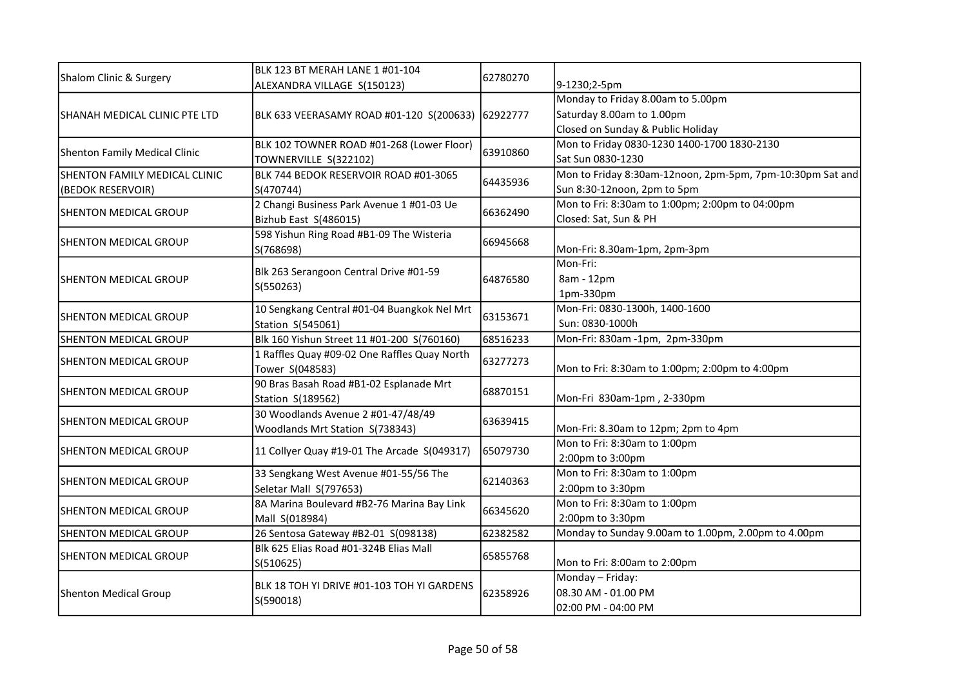| Shalom Clinic & Surgery       | BLK 123 BT MERAH LANE 1 #01-104                         | 62780270 |                                                           |
|-------------------------------|---------------------------------------------------------|----------|-----------------------------------------------------------|
|                               | ALEXANDRA VILLAGE S(150123)                             |          | 9-1230;2-5pm                                              |
|                               |                                                         |          | Monday to Friday 8.00am to 5.00pm                         |
| SHANAH MEDICAL CLINIC PTE LTD | BLK 633 VEERASAMY ROAD #01-120 S(200633)                | 62922777 | Saturday 8.00am to 1.00pm                                 |
|                               |                                                         |          | Closed on Sunday & Public Holiday                         |
| Shenton Family Medical Clinic | BLK 102 TOWNER ROAD #01-268 (Lower Floor)               | 63910860 | Mon to Friday 0830-1230 1400-1700 1830-2130               |
|                               | TOWNERVILLE S(322102)                                   |          | Sat Sun 0830-1230                                         |
| SHENTON FAMILY MEDICAL CLINIC | BLK 744 BEDOK RESERVOIR ROAD #01-3065                   | 64435936 | Mon to Friday 8:30am-12noon, 2pm-5pm, 7pm-10:30pm Sat and |
| (BEDOK RESERVOIR)             | S(470744)                                               |          | Sun 8:30-12noon, 2pm to 5pm                               |
| <b>SHENTON MEDICAL GROUP</b>  | 2 Changi Business Park Avenue 1 #01-03 Ue               | 66362490 | Mon to Fri: 8:30am to 1:00pm; 2:00pm to 04:00pm           |
|                               | Bizhub East S(486015)                                   |          | Closed: Sat, Sun & PH                                     |
| <b>SHENTON MEDICAL GROUP</b>  | 598 Yishun Ring Road #B1-09 The Wisteria                | 66945668 |                                                           |
|                               | S(768698)                                               |          | Mon-Fri: 8.30am-1pm, 2pm-3pm                              |
|                               | Blk 263 Serangoon Central Drive #01-59                  |          | Mon-Fri:                                                  |
| SHENTON MEDICAL GROUP         | S(550263)                                               | 64876580 | 8am - 12pm                                                |
|                               |                                                         |          | 1pm-330pm                                                 |
|                               | 10 Sengkang Central #01-04 Buangkok Nel Mrt             |          | Mon-Fri: 0830-1300h, 1400-1600                            |
| <b>SHENTON MEDICAL GROUP</b>  | Station S(545061)                                       | 63153671 | Sun: 0830-1000h                                           |
| SHENTON MEDICAL GROUP         | Blk 160 Yishun Street 11 #01-200 S(760160)              | 68516233 | Mon-Fri: 830am -1pm, 2pm-330pm                            |
| <b>SHENTON MEDICAL GROUP</b>  | 1 Raffles Quay #09-02 One Raffles Quay North            |          |                                                           |
|                               | Tower S(048583)                                         | 63277273 | Mon to Fri: 8:30am to 1:00pm; 2:00pm to 4:00pm            |
|                               | 90 Bras Basah Road #B1-02 Esplanade Mrt                 | 68870151 |                                                           |
| <b>SHENTON MEDICAL GROUP</b>  | Station S(189562)                                       |          | Mon-Fri 830am-1pm, 2-330pm                                |
| <b>SHENTON MEDICAL GROUP</b>  | 30 Woodlands Avenue 2 #01-47/48/49                      | 63639415 |                                                           |
|                               | Woodlands Mrt Station S(738343)                         |          | Mon-Fri: 8.30am to 12pm; 2pm to 4pm                       |
|                               |                                                         |          | Mon to Fri: 8:30am to 1:00pm                              |
| <b>SHENTON MEDICAL GROUP</b>  | 11 Collyer Quay #19-01 The Arcade S(049317)             | 65079730 | 2:00pm to 3:00pm                                          |
|                               | 33 Sengkang West Avenue #01-55/56 The                   | 62140363 | Mon to Fri: 8:30am to 1:00pm                              |
| SHENTON MEDICAL GROUP         | Seletar Mall S(797653)                                  |          | 2:00pm to 3:30pm                                          |
|                               | 8A Marina Boulevard #B2-76 Marina Bay Link              |          | Mon to Fri: 8:30am to 1:00pm                              |
| <b>SHENTON MEDICAL GROUP</b>  | Mall S(018984)                                          | 66345620 | 2:00pm to 3:30pm                                          |
| SHENTON MEDICAL GROUP         | 26 Sentosa Gateway #B2-01 S(098138)                     | 62382582 | Monday to Sunday 9.00am to 1.00pm, 2.00pm to 4.00pm       |
|                               | Blk 625 Elias Road #01-324B Elias Mall                  |          |                                                           |
| SHENTON MEDICAL GROUP         | S(510625)                                               | 65855768 | Mon to Fri: 8:00am to 2:00pm                              |
|                               |                                                         | 62358926 | Monday - Friday:                                          |
| Shenton Medical Group         | BLK 18 TOH YI DRIVE #01-103 TOH YI GARDENS<br>S(590018) |          | 08.30 AM - 01.00 PM                                       |
|                               |                                                         |          | 02:00 PM - 04:00 PM                                       |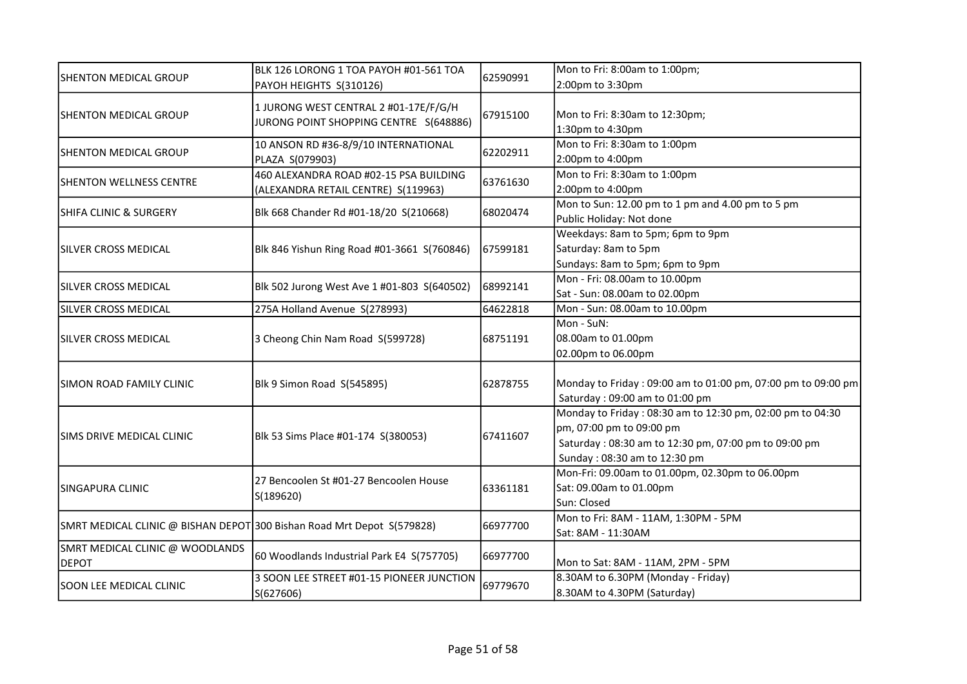| SHENTON MEDICAL GROUP                                                  | BLK 126 LORONG 1 TOA PAYOH #01-561 TOA<br>PAYOH HEIGHTS S(310126) | 62590991 | Mon to Fri: 8:00am to 1:00pm;                                |
|------------------------------------------------------------------------|-------------------------------------------------------------------|----------|--------------------------------------------------------------|
|                                                                        |                                                                   |          | 2:00pm to 3:30pm                                             |
| <b>SHENTON MEDICAL GROUP</b>                                           | 1 JURONG WEST CENTRAL 2 #01-17E/F/G/H                             |          |                                                              |
|                                                                        | JURONG POINT SHOPPING CENTRE S(648886)                            | 67915100 | Mon to Fri: 8:30am to 12:30pm;                               |
|                                                                        |                                                                   |          | 1:30pm to 4:30pm                                             |
| <b>SHENTON MEDICAL GROUP</b>                                           | 10 ANSON RD #36-8/9/10 INTERNATIONAL                              | 62202911 | Mon to Fri: 8:30am to 1:00pm                                 |
|                                                                        | PLAZA S(079903)                                                   |          | 2:00pm to 4:00pm                                             |
| <b>SHENTON WELLNESS CENTRE</b>                                         | 460 ALEXANDRA ROAD #02-15 PSA BUILDING                            | 63761630 | Mon to Fri: 8:30am to 1:00pm                                 |
|                                                                        | (ALEXANDRA RETAIL CENTRE) S(119963)                               |          | 2:00pm to 4:00pm                                             |
| <b>SHIFA CLINIC &amp; SURGERY</b>                                      | Blk 668 Chander Rd #01-18/20 S(210668)                            | 68020474 | Mon to Sun: 12.00 pm to 1 pm and 4.00 pm to 5 pm             |
|                                                                        |                                                                   |          | Public Holiday: Not done                                     |
|                                                                        |                                                                   |          | Weekdays: 8am to 5pm; 6pm to 9pm                             |
| SILVER CROSS MEDICAL                                                   | Blk 846 Yishun Ring Road #01-3661 S(760846)                       | 67599181 | Saturday: 8am to 5pm                                         |
|                                                                        |                                                                   |          | Sundays: 8am to 5pm; 6pm to 9pm                              |
| SILVER CROSS MEDICAL                                                   | Blk 502 Jurong West Ave 1 #01-803 S(640502)                       | 68992141 | Mon - Fri: 08.00am to 10.00pm                                |
|                                                                        |                                                                   |          | Sat - Sun: 08.00am to 02.00pm                                |
| SILVER CROSS MEDICAL                                                   | 275A Holland Avenue S(278993)                                     | 64622818 | Mon - Sun: 08.00am to 10.00pm                                |
| SILVER CROSS MEDICAL                                                   | 3 Cheong Chin Nam Road S(599728)                                  | 68751191 | Mon - SuN:                                                   |
|                                                                        |                                                                   |          | 08.00am to 01.00pm                                           |
|                                                                        |                                                                   |          | 02.00pm to 06.00pm                                           |
|                                                                        |                                                                   |          |                                                              |
| SIMON ROAD FAMILY CLINIC                                               | Blk 9 Simon Road S(545895)                                        | 62878755 | Monday to Friday: 09:00 am to 01:00 pm, 07:00 pm to 09:00 pm |
|                                                                        |                                                                   |          | Saturday: 09:00 am to 01:00 pm                               |
|                                                                        | Blk 53 Sims Place #01-174 S(380053)                               | 67411607 | Monday to Friday: 08:30 am to 12:30 pm, 02:00 pm to 04:30    |
| SIMS DRIVE MEDICAL CLINIC                                              |                                                                   |          | pm, 07:00 pm to 09:00 pm                                     |
|                                                                        |                                                                   |          | Saturday: 08:30 am to 12:30 pm, 07:00 pm to 09:00 pm         |
|                                                                        |                                                                   |          | Sunday: 08:30 am to 12:30 pm                                 |
|                                                                        | 27 Bencoolen St #01-27 Bencoolen House<br>S(189620)               |          | Mon-Fri: 09.00am to 01.00pm, 02.30pm to 06.00pm              |
| <b>SINGAPURA CLINIC</b>                                                |                                                                   | 63361181 | Sat: 09.00am to 01.00pm                                      |
|                                                                        |                                                                   |          | Sun: Closed                                                  |
| SMRT MEDICAL CLINIC @ BISHAN DEPOT 300 Bishan Road Mrt Depot S(579828) |                                                                   | 66977700 | Mon to Fri: 8AM - 11AM, 1:30PM - 5PM                         |
|                                                                        |                                                                   |          | Sat: 8AM - 11:30AM                                           |
| SMRT MEDICAL CLINIC @ WOODLANDS                                        |                                                                   | 66977700 |                                                              |
| <b>DEPOT</b>                                                           | 60 Woodlands Industrial Park E4 S(757705)                         |          | Mon to Sat: 8AM - 11AM, 2PM - 5PM                            |
|                                                                        | 3 SOON LEE STREET #01-15 PIONEER JUNCTION<br>S(627606)            | 69779670 | 8.30AM to 6.30PM (Monday - Friday)                           |
| <b>SOON LEE MEDICAL CLINIC</b>                                         |                                                                   |          | 8.30AM to 4.30PM (Saturday)                                  |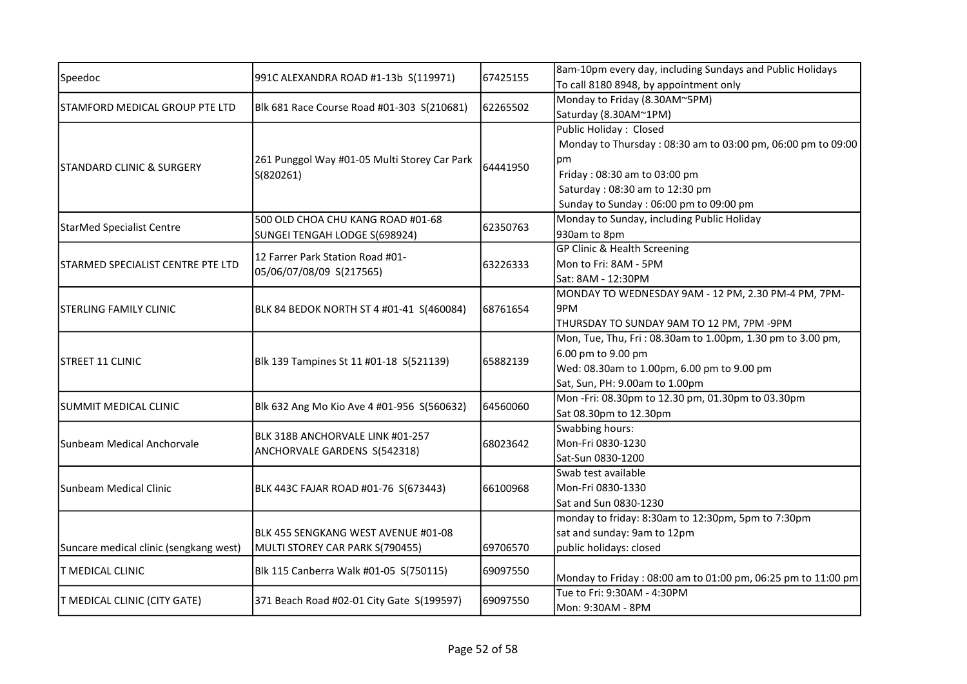| Speedoc                                | 991C ALEXANDRA ROAD #1-13b S(119971)                             | 67425155 | 8am-10pm every day, including Sundays and Public Holidays    |
|----------------------------------------|------------------------------------------------------------------|----------|--------------------------------------------------------------|
|                                        |                                                                  |          | To call 8180 8948, by appointment only                       |
| STAMFORD MEDICAL GROUP PTE LTD         | Blk 681 Race Course Road #01-303 S(210681)                       | 62265502 | Monday to Friday (8.30AM~5PM)                                |
|                                        |                                                                  |          | Saturday (8.30AM~1PM)                                        |
|                                        |                                                                  |          | Public Holiday: Closed                                       |
|                                        |                                                                  |          | Monday to Thursday: 08:30 am to 03:00 pm, 06:00 pm to 09:00  |
|                                        | 261 Punggol Way #01-05 Multi Storey Car Park                     |          | рm                                                           |
| ISTANDARD CLINIC & SURGERY             | S(820261)                                                        | 64441950 | Friday: 08:30 am to 03:00 pm                                 |
|                                        |                                                                  |          | Saturday: 08:30 am to 12:30 pm                               |
|                                        |                                                                  |          | Sunday to Sunday: 06:00 pm to 09:00 pm                       |
|                                        | 500 OLD CHOA CHU KANG ROAD #01-68                                |          | Monday to Sunday, including Public Holiday                   |
| StarMed Specialist Centre              | SUNGEI TENGAH LODGE S(698924)                                    | 62350763 | 930am to 8pm                                                 |
|                                        |                                                                  |          | GP Clinic & Health Screening                                 |
| STARMED SPECIALIST CENTRE PTE LTD      | 12 Farrer Park Station Road #01-                                 | 63226333 | Mon to Fri: 8AM - 5PM                                        |
|                                        | 05/06/07/08/09 S(217565)                                         |          | Sat: 8AM - 12:30PM                                           |
|                                        |                                                                  |          | MONDAY TO WEDNESDAY 9AM - 12 PM, 2.30 PM-4 PM, 7PM-          |
| <b>STERLING FAMILY CLINIC</b>          | BLK 84 BEDOK NORTH ST 4 #01-41 S(460084)                         | 68761654 | 9PM                                                          |
|                                        |                                                                  |          | THURSDAY TO SUNDAY 9AM TO 12 PM, 7PM -9PM                    |
|                                        |                                                                  |          | Mon, Tue, Thu, Fri: 08.30am to 1.00pm, 1.30 pm to 3.00 pm,   |
| <b>STREET 11 CLINIC</b>                | Blk 139 Tampines St 11 #01-18 S(521139)                          | 65882139 | 6.00 pm to 9.00 pm                                           |
|                                        |                                                                  |          | Wed: 08.30am to 1.00pm, 6.00 pm to 9.00 pm                   |
|                                        |                                                                  |          | Sat, Sun, PH: 9.00am to 1.00pm                               |
|                                        |                                                                  |          | Mon-Fri: 08.30pm to 12.30 pm, 01.30pm to 03.30pm             |
| SUMMIT MEDICAL CLINIC                  | Blk 632 Ang Mo Kio Ave 4 #01-956 S(560632)                       | 64560060 | Sat 08.30pm to 12.30pm                                       |
|                                        |                                                                  |          | Swabbing hours:                                              |
| Sunbeam Medical Anchorvale             | BLK 318B ANCHORVALE LINK #01-257<br>ANCHORVALE GARDENS S(542318) | 68023642 | Mon-Fri 0830-1230                                            |
|                                        |                                                                  |          | Sat-Sun 0830-1200                                            |
|                                        |                                                                  |          | Swab test available                                          |
| lSunbeam Medical Clinic                | BLK 443C FAJAR ROAD #01-76 S(673443)                             | 66100968 | Mon-Fri 0830-1330                                            |
|                                        |                                                                  |          | Sat and Sun 0830-1230                                        |
|                                        |                                                                  |          | monday to friday: 8:30am to 12:30pm, 5pm to 7:30pm           |
|                                        | BLK 455 SENGKANG WEST AVENUE #01-08                              |          | sat and sunday: 9am to 12pm                                  |
| Suncare medical clinic (sengkang west) | MULTI STOREY CAR PARK S(790455)                                  | 69706570 | public holidays: closed                                      |
|                                        | Blk 115 Canberra Walk #01-05 S(750115)                           | 69097550 |                                                              |
| <b>T MEDICAL CLINIC</b>                |                                                                  |          | Monday to Friday: 08:00 am to 01:00 pm, 06:25 pm to 11:00 pm |
|                                        |                                                                  |          | Tue to Fri: 9:30AM - 4:30PM                                  |
| T MEDICAL CLINIC (CITY GATE)           | 371 Beach Road #02-01 City Gate S(199597)                        | 69097550 | Mon: 9:30AM - 8PM                                            |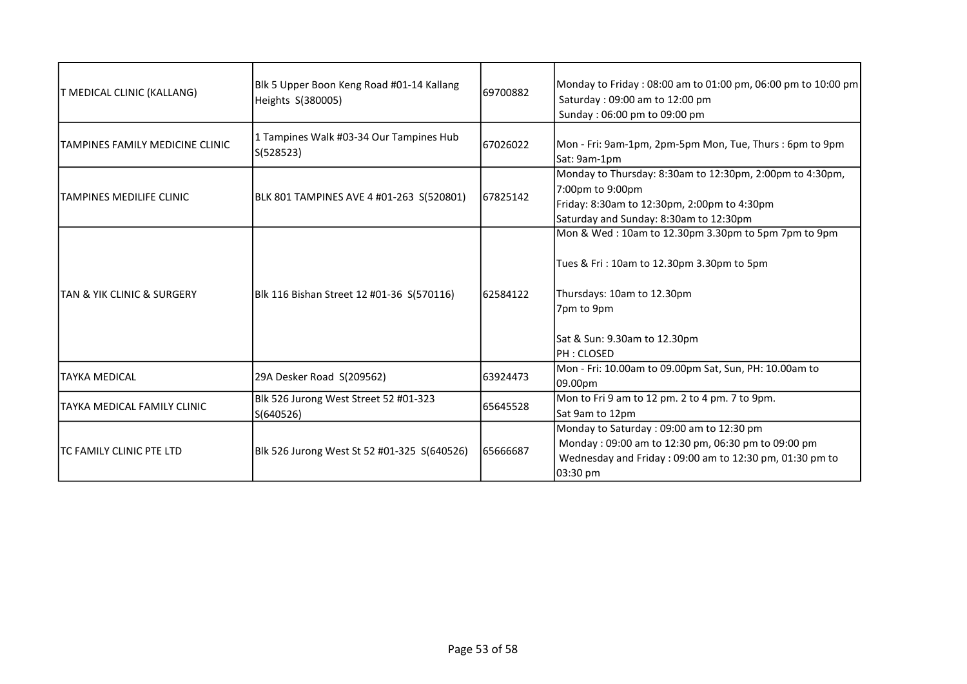| T MEDICAL CLINIC (KALLANG)                | Blk 5 Upper Boon Keng Road #01-14 Kallang<br>Heights S(380005) | 69700882 | Monday to Friday: 08:00 am to 01:00 pm, 06:00 pm to 10:00 pm<br>Saturday: 09:00 am to 12:00 pm<br>Sunday: 06:00 pm to 09:00 pm                                                               |
|-------------------------------------------|----------------------------------------------------------------|----------|----------------------------------------------------------------------------------------------------------------------------------------------------------------------------------------------|
| TAMPINES FAMILY MEDICINE CLINIC           | 1 Tampines Walk #03-34 Our Tampines Hub<br>S(528523)           | 67026022 | Mon - Fri: 9am-1pm, 2pm-5pm Mon, Tue, Thurs : 6pm to 9pm<br>Sat: 9am-1pm                                                                                                                     |
| ITAMPINES MEDILIFE CLINIC                 | BLK 801 TAMPINES AVE 4 #01-263 S(520801)                       | 67825142 | Monday to Thursday: 8:30am to 12:30pm, 2:00pm to 4:30pm,<br>7:00pm to 9:00pm<br>Friday: 8:30am to 12:30pm, 2:00pm to 4:30pm<br>Saturday and Sunday: 8:30am to 12:30pm                        |
| <b>TAN &amp; YIK CLINIC &amp; SURGERY</b> | Blk 116 Bishan Street 12 #01-36 S(570116)                      | 62584122 | Mon & Wed: 10am to 12.30pm 3.30pm to 5pm 7pm to 9pm<br>Tues & Fri: 10am to 12.30pm 3.30pm to 5pm<br>Thursdays: 10am to 12.30pm<br>7pm to 9pm<br>Sat & Sun: 9.30am to 12.30pm<br>IPH : CLOSED |
| <b>TAYKA MEDICAL</b>                      | 29A Desker Road S(209562)                                      | 63924473 | Mon - Fri: 10.00am to 09.00pm Sat, Sun, PH: 10.00am to<br>09.00pm                                                                                                                            |
| TAYKA MEDICAL FAMILY CLINIC               | Blk 526 Jurong West Street 52 #01-323<br>S(640526)             | 65645528 | Mon to Fri 9 am to 12 pm. 2 to 4 pm. 7 to 9pm.<br>Sat 9am to 12pm                                                                                                                            |
| TC FAMILY CLINIC PTE LTD                  | Blk 526 Jurong West St 52 #01-325 S(640526)                    | 65666687 | Monday to Saturday: 09:00 am to 12:30 pm<br>Monday: 09:00 am to 12:30 pm, 06:30 pm to 09:00 pm<br>Wednesday and Friday: 09:00 am to 12:30 pm, 01:30 pm to<br>03:30 pm                        |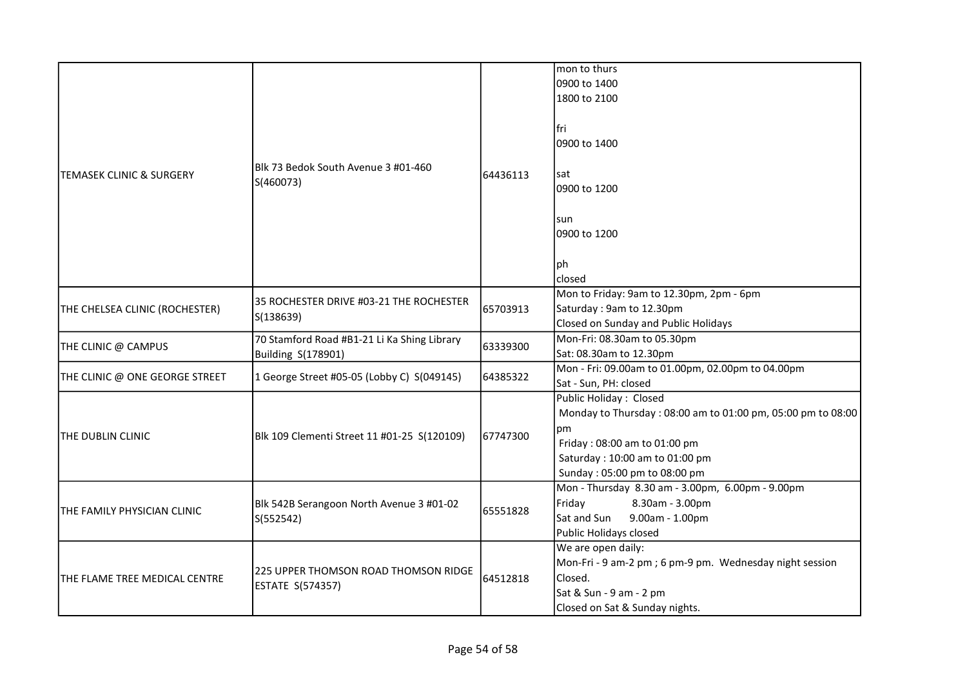|                                | Blk 73 Bedok South Avenue 3 #01-460<br>S(460073)                         | 64436113 | mon to thurs<br>0900 to 1400<br>1800 to 2100                                                                                                                                                  |
|--------------------------------|--------------------------------------------------------------------------|----------|-----------------------------------------------------------------------------------------------------------------------------------------------------------------------------------------------|
|                                |                                                                          |          | lfri<br>0900 to 1400                                                                                                                                                                          |
| TEMASEK CLINIC & SURGERY       |                                                                          |          | sat<br>0900 to 1200                                                                                                                                                                           |
|                                |                                                                          |          | sun<br>0900 to 1200                                                                                                                                                                           |
|                                |                                                                          |          | ph<br>closed                                                                                                                                                                                  |
| THE CHELSEA CLINIC (ROCHESTER) | 35 ROCHESTER DRIVE #03-21 THE ROCHESTER<br>S(138639)                     | 65703913 | Mon to Friday: 9am to 12.30pm, 2pm - 6pm<br>Saturday: 9am to 12.30pm<br>Closed on Sunday and Public Holidays                                                                                  |
| THE CLINIC @ CAMPUS            | 70 Stamford Road #B1-21 Li Ka Shing Library<br><b>Building S(178901)</b> | 63339300 | Mon-Fri: 08.30am to 05.30pm<br>Sat: 08.30am to 12.30pm                                                                                                                                        |
| THE CLINIC @ ONE GEORGE STREET | 1 George Street #05-05 (Lobby C) S(049145)                               | 64385322 | Mon - Fri: 09.00am to 01.00pm, 02.00pm to 04.00pm<br>Sat - Sun, PH: closed                                                                                                                    |
| THE DUBLIN CLINIC              | Blk 109 Clementi Street 11 #01-25 S(120109)                              | 67747300 | Public Holiday: Closed<br>Monday to Thursday: 08:00 am to 01:00 pm, 05:00 pm to 08:00<br>pm<br>Friday: 08:00 am to 01:00 pm<br>Saturday: 10:00 am to 01:00 pm<br>Sunday: 05:00 pm to 08:00 pm |
| THE FAMILY PHYSICIAN CLINIC    | Blk 542B Serangoon North Avenue 3 #01-02<br>S(552542)                    | 65551828 | Mon - Thursday 8.30 am - 3.00pm, 6.00pm - 9.00pm<br>8.30am - 3.00pm<br>Friday<br>Sat and Sun<br>9.00am - 1.00pm<br>Public Holidays closed                                                     |
| THE FLAME TREE MEDICAL CENTRE  | 225 UPPER THOMSON ROAD THOMSON RIDGE<br><b>ESTATE S(574357)</b>          | 64512818 | We are open daily:<br>Mon-Fri - 9 am-2 pm; 6 pm-9 pm. Wednesday night session<br>Closed.<br>Sat & Sun - 9 am - 2 pm<br>Closed on Sat & Sunday nights.                                         |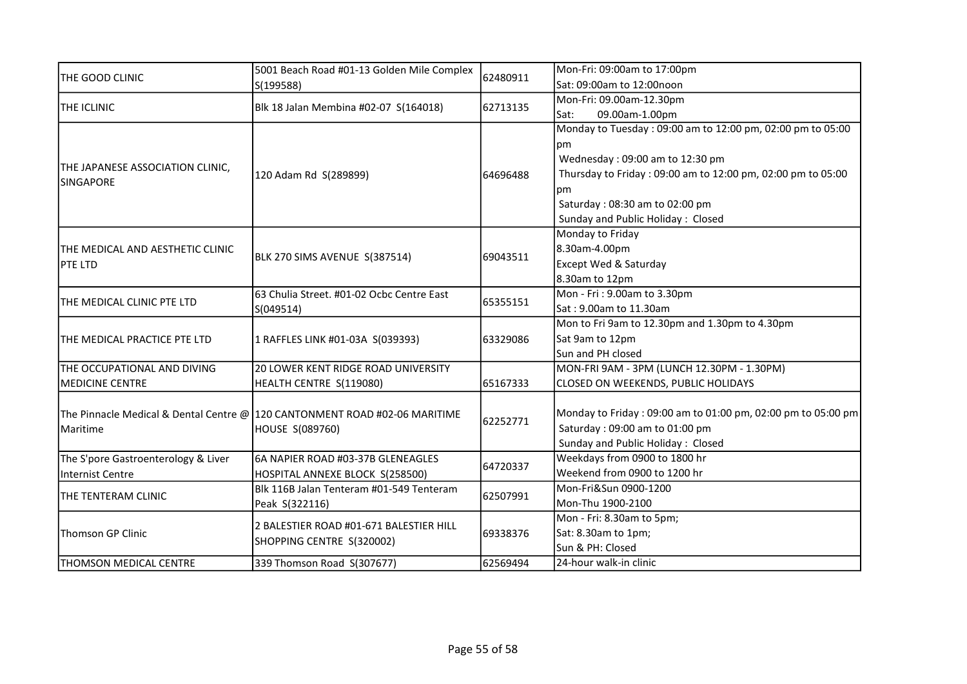|                                     | 5001 Beach Road #01-13 Golden Mile Complex<br>S(199588)                                       | 62480911 | Mon-Fri: 09:00am to 17:00pm                                  |
|-------------------------------------|-----------------------------------------------------------------------------------------------|----------|--------------------------------------------------------------|
| THE GOOD CLINIC                     |                                                                                               |          | Sat: 09:00am to 12:00noon                                    |
| THE ICLINIC                         | Blk 18 Jalan Membina #02-07 S(164018)                                                         |          | Mon-Fri: 09.00am-12.30pm                                     |
|                                     |                                                                                               | 62713135 | 09.00am-1.00pm<br>Sat:                                       |
|                                     |                                                                                               |          | Monday to Tuesday: 09:00 am to 12:00 pm, 02:00 pm to 05:00   |
|                                     |                                                                                               |          | pm                                                           |
|                                     |                                                                                               |          | Wednesday: 09:00 am to 12:30 pm                              |
| THE JAPANESE ASSOCIATION CLINIC,    | 120 Adam Rd S(289899)                                                                         | 64696488 | Thursday to Friday: 09:00 am to 12:00 pm, 02:00 pm to 05:00  |
| SINGAPORE                           |                                                                                               |          | рm                                                           |
|                                     |                                                                                               |          | Saturday: 08:30 am to 02:00 pm                               |
|                                     |                                                                                               |          | Sunday and Public Holiday: Closed                            |
|                                     |                                                                                               |          | Monday to Friday                                             |
| THE MEDICAL AND AESTHETIC CLINIC    |                                                                                               |          | 8.30am-4.00pm                                                |
| <b>PTE LTD</b>                      | BLK 270 SIMS AVENUE S(387514)                                                                 | 69043511 | Except Wed & Saturday                                        |
|                                     |                                                                                               |          | 8.30am to 12pm                                               |
|                                     | 63 Chulia Street. #01-02 Ocbc Centre East<br>S(049514)                                        | 65355151 | Mon - Fri: 9.00am to 3.30pm                                  |
| THE MEDICAL CLINIC PTE LTD          |                                                                                               |          | Sat: 9.00am to 11.30am                                       |
| THE MEDICAL PRACTICE PTE LTD        | 1 RAFFLES LINK #01-03A S(039393)                                                              | 63329086 | Mon to Fri 9am to 12.30pm and 1.30pm to 4.30pm               |
|                                     |                                                                                               |          | Sat 9am to 12pm                                              |
|                                     |                                                                                               |          | Sun and PH closed                                            |
| THE OCCUPATIONAL AND DIVING         | 20 LOWER KENT RIDGE ROAD UNIVERSITY                                                           |          | MON-FRI 9AM - 3PM (LUNCH 12.30PM - 1.30PM)                   |
| <b>MEDICINE CENTRE</b>              | HEALTH CENTRE S(119080)                                                                       | 65167333 | CLOSED ON WEEKENDS, PUBLIC HOLIDAYS                          |
|                                     |                                                                                               |          |                                                              |
|                                     | The Pinnacle Medical & Dental Centre @ 120 CANTONMENT ROAD #02-06 MARITIME<br>HOUSE S(089760) | 62252771 | Monday to Friday: 09:00 am to 01:00 pm, 02:00 pm to 05:00 pm |
| Maritime                            |                                                                                               |          | Saturday: 09:00 am to 01:00 pm                               |
|                                     |                                                                                               |          | Sunday and Public Holiday: Closed                            |
| The S'pore Gastroenterology & Liver | 6A NAPIER ROAD #03-37B GLENEAGLES                                                             | 64720337 | Weekdays from 0900 to 1800 hr                                |
| Internist Centre                    | HOSPITAL ANNEXE BLOCK S(258500)                                                               |          | Weekend from 0900 to 1200 hr                                 |
| THE TENTERAM CLINIC                 | Blk 116B Jalan Tenteram #01-549 Tenteram                                                      | 62507991 | Mon-Fri&Sun 0900-1200                                        |
|                                     | Peak S(322116)                                                                                |          | Mon-Thu 1900-2100                                            |
|                                     | 2 BALESTIER ROAD #01-671 BALESTIER HILL                                                       | 69338376 | Mon - Fri: 8.30am to 5pm;                                    |
| <b>Thomson GP Clinic</b>            | SHOPPING CENTRE S(320002)                                                                     |          | Sat: 8.30am to 1pm;                                          |
|                                     |                                                                                               |          | Sun & PH: Closed                                             |
| THOMSON MEDICAL CENTRE              | 339 Thomson Road S(307677)                                                                    | 62569494 | 24-hour walk-in clinic                                       |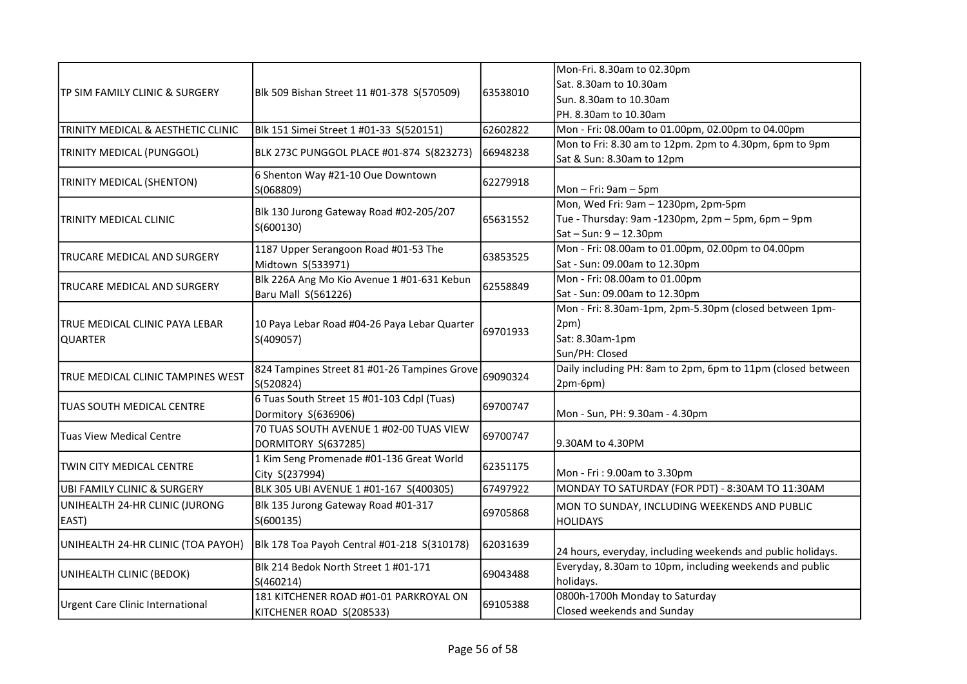|                                        |                                                           |           | Mon-Fri. 8.30am to 02.30pm                                  |
|----------------------------------------|-----------------------------------------------------------|-----------|-------------------------------------------------------------|
| TP SIM FAMILY CLINIC & SURGERY         |                                                           |           | Sat. 8.30am to 10.30am                                      |
|                                        | Blk 509 Bishan Street 11 #01-378 S(570509)                | 163538010 | Sun. 8.30am to 10.30am                                      |
|                                        |                                                           |           | PH. 8.30am to 10.30am                                       |
| TRINITY MEDICAL & AESTHETIC CLINIC     | Blk 151 Simei Street 1 #01-33 S(520151)                   | 62602822  | Mon - Fri: 08.00am to 01.00pm, 02.00pm to 04.00pm           |
|                                        |                                                           |           | Mon to Fri: 8.30 am to 12pm. 2pm to 4.30pm, 6pm to 9pm      |
| TRINITY MEDICAL (PUNGGOL)              | BLK 273C PUNGGOL PLACE #01-874 S(823273)                  | 66948238  | Sat & Sun: 8.30am to 12pm                                   |
| TRINITY MEDICAL (SHENTON)              | 6 Shenton Way #21-10 Oue Downtown                         | 62279918  |                                                             |
|                                        | S(068809)                                                 |           | Mon $-$ Fri: $9am - 5pm$                                    |
|                                        | Blk 130 Jurong Gateway Road #02-205/207                   |           | Mon, Wed Fri: 9am - 1230pm, 2pm-5pm                         |
| TRINITY MEDICAL CLINIC                 | S(600130)                                                 | 65631552  | Tue - Thursday: 9am -1230pm, 2pm - 5pm, 6pm - 9pm           |
|                                        |                                                           |           | $Sat - Sun: 9 - 12.30pm$                                    |
| TRUCARE MEDICAL AND SURGERY            | 1187 Upper Serangoon Road #01-53 The                      | 63853525  | Mon - Fri: 08.00am to 01.00pm, 02.00pm to 04.00pm           |
|                                        | Midtown S(533971)                                         |           | Sat - Sun: 09.00am to 12.30pm                               |
| TRUCARE MEDICAL AND SURGERY            | Blk 226A Ang Mo Kio Avenue 1 #01-631 Kebun                | 62558849  | Mon - Fri: 08.00am to 01.00pm                               |
|                                        | Baru Mall S(561226)                                       |           | Sat - Sun: 09.00am to 12.30pm                               |
|                                        | 10 Paya Lebar Road #04-26 Paya Lebar Quarter<br>S(409057) |           | Mon - Fri: 8.30am-1pm, 2pm-5.30pm (closed between 1pm-      |
| TRUE MEDICAL CLINIC PAYA LEBAR         |                                                           | 69701933  | 2pm)                                                        |
| <b>QUARTER</b>                         |                                                           |           | Sat: 8.30am-1pm                                             |
|                                        |                                                           |           | Sun/PH: Closed                                              |
| TRUE MEDICAL CLINIC TAMPINES WEST      | 824 Tampines Street 81 #01-26 Tampines Grove              | 69090324  | Daily including PH: 8am to 2pm, 6pm to 11pm (closed between |
|                                        | S(520824)                                                 |           | 2pm-6pm)                                                    |
| <b>TUAS SOUTH MEDICAL CENTRE</b>       | 6 Tuas South Street 15 #01-103 Cdpl (Tuas)                | 69700747  |                                                             |
|                                        | Dormitory S(636906)                                       |           | Mon - Sun, PH: 9.30am - 4.30pm                              |
| <b>Tuas View Medical Centre</b>        | 70 TUAS SOUTH AVENUE 1 #02-00 TUAS VIEW                   | 69700747  |                                                             |
|                                        | DORMITORY S(637285)                                       |           | 9.30AM to 4.30PM                                            |
| <b>TWIN CITY MEDICAL CENTRE</b>        | 1 Kim Seng Promenade #01-136 Great World                  | 62351175  |                                                             |
|                                        | City S(237994)                                            |           | Mon - Fri: 9.00am to 3.30pm                                 |
| <b>UBI FAMILY CLINIC &amp; SURGERY</b> | BLK 305 UBI AVENUE 1 #01-167 S(400305)                    | 67497922  | MONDAY TO SATURDAY (FOR PDT) - 8:30AM TO 11:30AM            |
| UNIHEALTH 24-HR CLINIC (JURONG         | Blk 135 Jurong Gateway Road #01-317                       | 69705868  | MON TO SUNDAY, INCLUDING WEEKENDS AND PUBLIC                |
| EAST)                                  | S(600135)                                                 |           | <b>HOLIDAYS</b>                                             |
| UNIHEALTH 24-HR CLINIC (TOA PAYOH)     | Blk 178 Toa Payoh Central #01-218 S(310178)               | 162031639 | 24 hours, everyday, including weekends and public holidays. |
|                                        | Blk 214 Bedok North Street 1 #01-171                      |           | Everyday, 8.30am to 10pm, including weekends and public     |
| UNIHEALTH CLINIC (BEDOK)               | S(460214)                                                 | 69043488  | holidays.                                                   |
|                                        | 181 KITCHENER ROAD #01-01 PARKROYAL ON                    |           | 0800h-1700h Monday to Saturday                              |
| Urgent Care Clinic International       | KITCHENER ROAD S(208533)                                  | 69105388  | Closed weekends and Sunday                                  |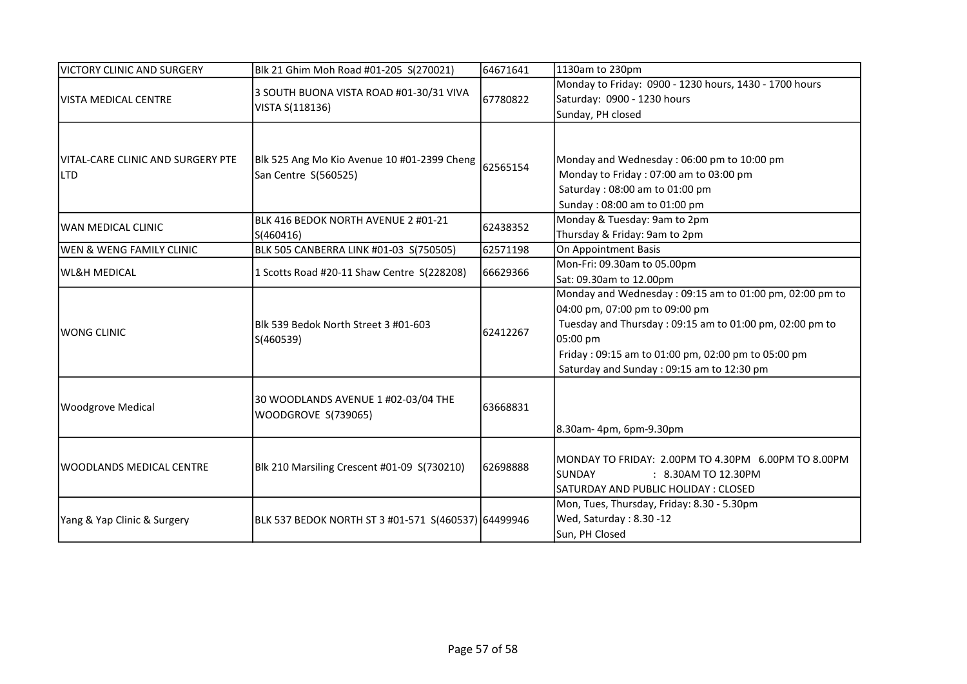| <b>VICTORY CLINIC AND SURGERY</b>               | Blk 21 Ghim Moh Road #01-205 S(270021)                              | 64671641 | 1130am to 230pm                                                                                                                                                                                                                                                     |
|-------------------------------------------------|---------------------------------------------------------------------|----------|---------------------------------------------------------------------------------------------------------------------------------------------------------------------------------------------------------------------------------------------------------------------|
| <b>VISTA MEDICAL CENTRE</b>                     | 3 SOUTH BUONA VISTA ROAD #01-30/31 VIVA<br>VISTA S(118136)          | 67780822 | Monday to Friday: 0900 - 1230 hours, 1430 - 1700 hours<br>Saturday: 0900 - 1230 hours                                                                                                                                                                               |
|                                                 |                                                                     |          | Sunday, PH closed                                                                                                                                                                                                                                                   |
| VITAL-CARE CLINIC AND SURGERY PTE<br><b>LTD</b> | Blk 525 Ang Mo Kio Avenue 10 #01-2399 Cheng<br>San Centre S(560525) | 62565154 | Monday and Wednesday: 06:00 pm to 10:00 pm<br>Monday to Friday: 07:00 am to 03:00 pm<br>Saturday: 08:00 am to 01:00 pm<br>Sunday: 08:00 am to 01:00 pm                                                                                                              |
| WAN MEDICAL CLINIC                              | BLK 416 BEDOK NORTH AVENUE 2 #01-21<br>S(460416)                    | 62438352 | Monday & Tuesday: 9am to 2pm<br>Thursday & Friday: 9am to 2pm                                                                                                                                                                                                       |
| WEN & WENG FAMILY CLINIC                        | BLK 505 CANBERRA LINK #01-03 S(750505)                              | 62571198 | On Appointment Basis                                                                                                                                                                                                                                                |
| <b>WL&amp;H MEDICAL</b>                         | 1 Scotts Road #20-11 Shaw Centre S(228208)                          | 66629366 | Mon-Fri: 09.30am to 05.00pm<br>Sat: 09.30am to 12.00pm                                                                                                                                                                                                              |
| <b>WONG CLINIC</b>                              | IBIk 539 Bedok North Street 3 #01-603<br>S(460539)                  | 62412267 | Monday and Wednesday: 09:15 am to 01:00 pm, 02:00 pm to<br>04:00 pm, 07:00 pm to 09:00 pm<br>Tuesday and Thursday: 09:15 am to 01:00 pm, 02:00 pm to<br>05:00 pm<br>Friday: 09:15 am to 01:00 pm, 02:00 pm to 05:00 pm<br>Saturday and Sunday: 09:15 am to 12:30 pm |
| <b>Woodgrove Medical</b>                        | 30 WOODLANDS AVENUE 1 #02-03/04 THE<br>WOODGROVE S(739065)          | 63668831 | 8.30am-4pm, 6pm-9.30pm                                                                                                                                                                                                                                              |
| WOODLANDS MEDICAL CENTRE                        | Blk 210 Marsiling Crescent #01-09 S(730210)                         | 62698888 | MONDAY TO FRIDAY: 2.00PM TO 4.30PM 6.00PM TO 8.00PM<br><b>SUNDAY</b><br>: 8.30AM TO 12.30PM<br>SATURDAY AND PUBLIC HOLIDAY : CLOSED                                                                                                                                 |
| Yang & Yap Clinic & Surgery                     | BLK 537 BEDOK NORTH ST 3 #01-571 S(460537) 64499946                 |          | Mon, Tues, Thursday, Friday: 8.30 - 5.30pm<br>Wed, Saturday: 8.30 -12<br>Sun, PH Closed                                                                                                                                                                             |